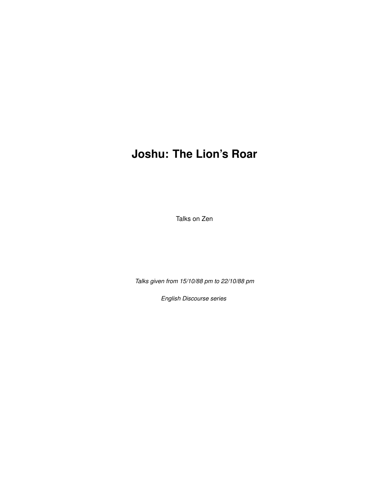# **Joshu: The Lion's Roar**

Talks on Zen

*Talks given from 15/10/88 pm to 22/10/88 pm*

*English Discourse series*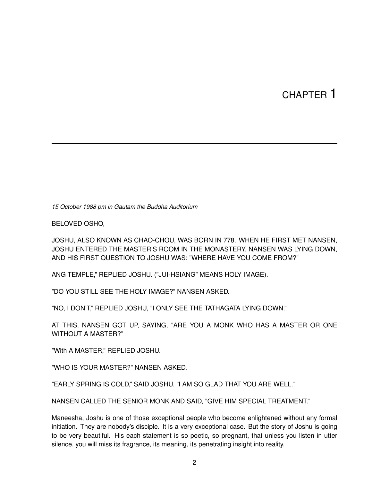# CHAPTER 1

*15 October 1988 pm in Gautam the Buddha Auditorium*

BELOVED OSHO,

JOSHU, ALSO KNOWN AS CHAO-CHOU, WAS BORN IN 778. WHEN HE FIRST MET NANSEN, JOSHU ENTERED THE MASTER'S ROOM IN THE MONASTERY. NANSEN WAS LYING DOWN, AND HIS FIRST QUESTION TO JOSHU WAS: "WHERE HAVE YOU COME FROM?"

ANG TEMPLE," REPLIED JOSHU. ("JUI-HSIANG" MEANS HOLY IMAGE).

"DO YOU STILL SEE THE HOLY IMAGE?" NANSEN ASKED.

"NO, I DON'T," REPLIED JOSHU, "I ONLY SEE THE TATHAGATA LYING DOWN."

AT THIS, NANSEN GOT UP, SAYING, "ARE YOU A MONK WHO HAS A MASTER OR ONE WITHOUT A MASTER?"

"With A MASTER," REPLIED JOSHU.

"WHO IS YOUR MASTER?" NANSEN ASKED.

"EARLY SPRING IS COLD," SAID JOSHU. "I AM SO GLAD THAT YOU ARE WELL."

NANSEN CALLED THE SENIOR MONK AND SAID, "GIVE HIM SPECIAL TREATMENT."

Maneesha, Joshu is one of those exceptional people who become enlightened without any formal initiation. They are nobody's disciple. It is a very exceptional case. But the story of Joshu is going to be very beautiful. His each statement is so poetic, so pregnant, that unless you listen in utter silence, you will miss its fragrance, its meaning, its penetrating insight into reality.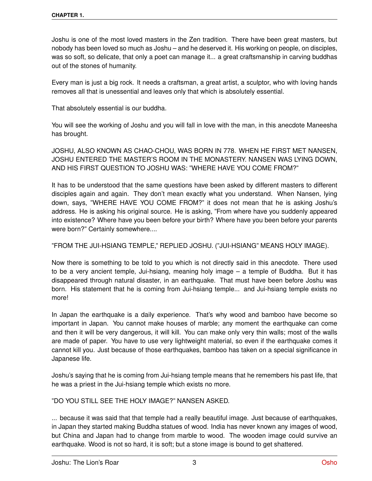Joshu is one of the most loved masters in the Zen tradition. There have been great masters, but nobody has been loved so much as Joshu – and he deserved it. His working on people, on disciples, was so soft, so delicate, that only a poet can manage it... a great craftsmanship in carving buddhas out of the stones of humanity.

Every man is just a big rock. It needs a craftsman, a great artist, a sculptor, who with loving hands removes all that is unessential and leaves only that which is absolutely essential.

That absolutely essential is our buddha.

You will see the working of Joshu and you will fall in love with the man, in this anecdote Maneesha has brought.

JOSHU, ALSO KNOWN AS CHAO-CHOU, WAS BORN IN 778. WHEN HE FIRST MET NANSEN, JOSHU ENTERED THE MASTER'S ROOM IN THE MONASTERY. NANSEN WAS LYING DOWN, AND HIS FIRST QUESTION TO JOSHU WAS: "WHERE HAVE YOU COME FROM?"

It has to be understood that the same questions have been asked by different masters to different disciples again and again. They don't mean exactly what you understand. When Nansen, lying down, says, "WHERE HAVE YOU COME FROM?" it does not mean that he is asking Joshu's address. He is asking his original source. He is asking, "From where have you suddenly appeared into existence? Where have you been before your birth? Where have you been before your parents were born?" Certainly somewhere....

### "FROM THE JUI-HSIANG TEMPLE," REPLIED JOSHU. ("JUI-HSIANG" MEANS HOLY IMAGE).

Now there is something to be told to you which is not directly said in this anecdote. There used to be a very ancient temple, Jui-hsiang, meaning holy image – a temple of Buddha. But it has disappeared through natural disaster, in an earthquake. That must have been before Joshu was born. His statement that he is coming from Jui-hsiang temple... and Jui-hsiang temple exists no more!

In Japan the earthquake is a daily experience. That's why wood and bamboo have become so important in Japan. You cannot make houses of marble; any moment the earthquake can come and then it will be very dangerous, it will kill. You can make only very thin walls; most of the walls are made of paper. You have to use very lightweight material, so even if the earthquake comes it cannot kill you. Just because of those earthquakes, bamboo has taken on a special significance in Japanese life.

Joshu's saying that he is coming from Jui-hsiang temple means that he remembers his past life, that he was a priest in the Jui-hsiang temple which exists no more.

"DO YOU STILL SEE THE HOLY IMAGE?" NANSEN ASKED.

... because it was said that that temple had a really beautiful image. Just because of earthquakes, in Japan they started making Buddha statues of wood. India has never known any images of wood, but China and Japan had to change from marble to wood. The wooden image could survive an earthquake. Wood is not so hard, it is soft; but a stone image is bound to get shattered.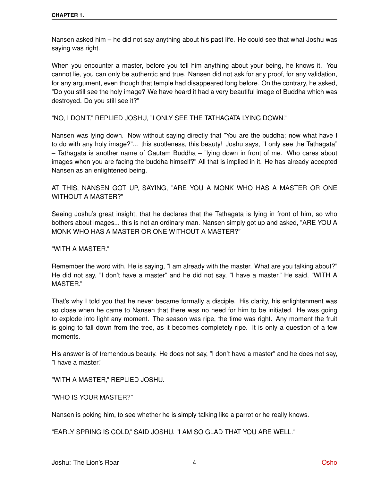Nansen asked him – he did not say anything about his past life. He could see that what Joshu was saying was right.

When you encounter a master, before you tell him anything about your being, he knows it. You cannot lie, you can only be authentic and true. Nansen did not ask for any proof, for any validation, for any argument, even though that temple had disappeared long before. On the contrary, he asked, "Do you still see the holy image? We have heard it had a very beautiful image of Buddha which was destroyed. Do you still see it?"

"NO, I DON'T," REPLIED JOSHU, "I ONLY SEE THE TATHAGATA LYING DOWN."

Nansen was lying down. Now without saying directly that "You are the buddha; now what have I to do with any holy image?"... this subtleness, this beauty! Joshu says, "I only see the Tathagata" – Tathagata is another name of Gautam Buddha – "lying down in front of me. Who cares about images when you are facing the buddha himself?" All that is implied in it. He has already accepted Nansen as an enlightened being.

AT THIS, NANSEN GOT UP, SAYING, "ARE YOU A MONK WHO HAS A MASTER OR ONE WITHOUT A MASTER?"

Seeing Joshu's great insight, that he declares that the Tathagata is lying in front of him, so who bothers about images... this is not an ordinary man. Nansen simply got up and asked, "ARE YOU A MONK WHO HAS A MASTER OR ONE WITHOUT A MASTER?"

"WITH A MASTER."

Remember the word with. He is saying, "I am already with the master. What are you talking about?" He did not say, "I don't have a master" and he did not say, "I have a master." He said, "WITH A MASTER."

That's why I told you that he never became formally a disciple. His clarity, his enlightenment was so close when he came to Nansen that there was no need for him to be initiated. He was going to explode into light any moment. The season was ripe, the time was right. Any moment the fruit is going to fall down from the tree, as it becomes completely ripe. It is only a question of a few moments.

His answer is of tremendous beauty. He does not say, "I don't have a master" and he does not say, "I have a master."

"WITH A MASTER," REPLIED JOSHU.

"WHO IS YOUR MASTER?"

Nansen is poking him, to see whether he is simply talking like a parrot or he really knows.

"EARLY SPRING IS COLD," SAID JOSHU. "I AM SO GLAD THAT YOU ARE WELL."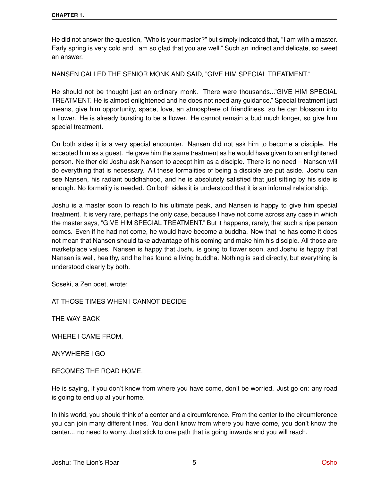He did not answer the question, "Who is your master?" but simply indicated that, "I am with a master. Early spring is very cold and I am so glad that you are well." Such an indirect and delicate, so sweet an answer.

NANSEN CALLED THE SENIOR MONK AND SAID, "GIVE HIM SPECIAL TREATMENT."

He should not be thought just an ordinary monk. There were thousands..."GIVE HIM SPECIAL TREATMENT. He is almost enlightened and he does not need any guidance." Special treatment just means, give him opportunity, space, love, an atmosphere of friendliness, so he can blossom into a flower. He is already bursting to be a flower. He cannot remain a bud much longer, so give him special treatment.

On both sides it is a very special encounter. Nansen did not ask him to become a disciple. He accepted him as a guest. He gave him the same treatment as he would have given to an enlightened person. Neither did Joshu ask Nansen to accept him as a disciple. There is no need – Nansen will do everything that is necessary. All these formalities of being a disciple are put aside. Joshu can see Nansen, his radiant buddhahood, and he is absolutely satisfied that just sitting by his side is enough. No formality is needed. On both sides it is understood that it is an informal relationship.

Joshu is a master soon to reach to his ultimate peak, and Nansen is happy to give him special treatment. It is very rare, perhaps the only case, because I have not come across any case in which the master says, "GIVE HIM SPECIAL TREATMENT." But it happens, rarely, that such a ripe person comes. Even if he had not come, he would have become a buddha. Now that he has come it does not mean that Nansen should take advantage of his coming and make him his disciple. All those are marketplace values. Nansen is happy that Joshu is going to flower soon, and Joshu is happy that Nansen is well, healthy, and he has found a living buddha. Nothing is said directly, but everything is understood clearly by both.

Soseki, a Zen poet, wrote:

AT THOSE TIMES WHEN I CANNOT DECIDE

THE WAY BACK

WHERE I CAME FROM,

ANYWHERE I GO

BECOMES THE ROAD HOME.

He is saying, if you don't know from where you have come, don't be worried. Just go on: any road is going to end up at your home.

In this world, you should think of a center and a circumference. From the center to the circumference you can join many different lines. You don't know from where you have come, you don't know the center... no need to worry. Just stick to one path that is going inwards and you will reach.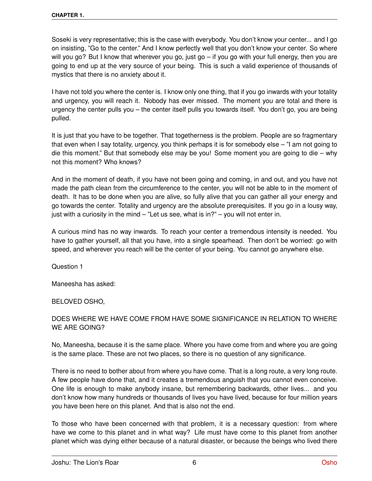Soseki is very representative; this is the case with everybody. You don't know your center... and I go on insisting, "Go to the center." And I know perfectly well that you don't know your center. So where will you go? But I know that wherever you go, just go – if you go with your full energy, then you are going to end up at the very source of your being. This is such a valid experience of thousands of mystics that there is no anxiety about it.

I have not told you where the center is. I know only one thing, that if you go inwards with your totality and urgency, you will reach it. Nobody has ever missed. The moment you are total and there is urgency the center pulls you – the center itself pulls you towards itself. You don't go, you are being pulled.

It is just that you have to be together. That togetherness is the problem. People are so fragmentary that even when I say totality, urgency, you think perhaps it is for somebody else – "I am not going to die this moment." But that somebody else may be you! Some moment you are going to die – why not this moment? Who knows?

And in the moment of death, if you have not been going and coming, in and out, and you have not made the path clean from the circumference to the center, you will not be able to in the moment of death. It has to be done when you are alive, so fully alive that you can gather all your energy and go towards the center. Totality and urgency are the absolute prerequisites. If you go in a lousy way, just with a curiosity in the mind  $-$  "Let us see, what is in?"  $-$  you will not enter in.

A curious mind has no way inwards. To reach your center a tremendous intensity is needed. You have to gather yourself, all that you have, into a single spearhead. Then don't be worried: go with speed, and wherever you reach will be the center of your being. You cannot go anywhere else.

Question 1

Maneesha has asked:

BELOVED OSHO,

### DOES WHERE WE HAVE COME FROM HAVE SOME SIGNIFICANCE IN RELATION TO WHERE WE ARE GOING?

No, Maneesha, because it is the same place. Where you have come from and where you are going is the same place. These are not two places, so there is no question of any significance.

There is no need to bother about from where you have come. That is a long route, a very long route. A few people have done that, and it creates a tremendous anguish that you cannot even conceive. One life is enough to make anybody insane, but remembering backwards, other lives... and you don't know how many hundreds or thousands of lives you have lived, because for four million years you have been here on this planet. And that is also not the end.

To those who have been concerned with that problem, it is a necessary question: from where have we come to this planet and in what way? Life must have come to this planet from another planet which was dying either because of a natural disaster, or because the beings who lived there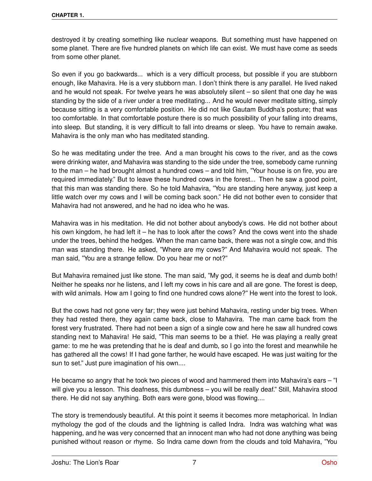destroyed it by creating something like nuclear weapons. But something must have happened on some planet. There are five hundred planets on which life can exist. We must have come as seeds from some other planet.

So even if you go backwards... which is a very difficult process, but possible if you are stubborn enough, like Mahavira. He is a very stubborn man. I don't think there is any parallel. He lived naked and he would not speak. For twelve years he was absolutely silent – so silent that one day he was standing by the side of a river under a tree meditating... And he would never meditate sitting, simply because sitting is a very comfortable position. He did not like Gautam Buddha's posture; that was too comfortable. In that comfortable posture there is so much possibility of your falling into dreams, into sleep. But standing, it is very difficult to fall into dreams or sleep. You have to remain awake. Mahavira is the only man who has meditated standing.

So he was meditating under the tree. And a man brought his cows to the river, and as the cows were drinking water, and Mahavira was standing to the side under the tree, somebody came running to the man – he had brought almost a hundred cows – and told him, "Your house is on fire, you are required immediately." But to leave these hundred cows in the forest... Then he saw a good point, that this man was standing there. So he told Mahavira, "You are standing here anyway, just keep a little watch over my cows and I will be coming back soon." He did not bother even to consider that Mahavira had not answered, and he had no idea who he was.

Mahavira was in his meditation. He did not bother about anybody's cows. He did not bother about his own kingdom, he had left it – he has to look after the cows? And the cows went into the shade under the trees, behind the hedges. When the man came back, there was not a single cow, and this man was standing there. He asked, "Where are my cows?" And Mahavira would not speak. The man said, "You are a strange fellow. Do you hear me or not?"

But Mahavira remained just like stone. The man said, "My god, it seems he is deaf and dumb both! Neither he speaks nor he listens, and I left my cows in his care and all are gone. The forest is deep, with wild animals. How am I going to find one hundred cows alone?" He went into the forest to look.

But the cows had not gone very far; they were just behind Mahavira, resting under big trees. When they had rested there, they again came back, close to Mahavira. The man came back from the forest very frustrated. There had not been a sign of a single cow and here he saw all hundred cows standing next to Mahavira! He said, "This man seems to be a thief. He was playing a really great game: to me he was pretending that he is deaf and dumb, so I go into the forest and meanwhile he has gathered all the cows! If I had gone farther, he would have escaped. He was just waiting for the sun to set." Just pure imagination of his own....

He became so angry that he took two pieces of wood and hammered them into Mahavira's ears – "I will give you a lesson. This deafness, this dumbness – you will be really deaf." Still, Mahavira stood there. He did not say anything. Both ears were gone, blood was flowing....

The story is tremendously beautiful. At this point it seems it becomes more metaphorical. In Indian mythology the god of the clouds and the lightning is called Indra. Indra was watching what was happening, and he was very concerned that an innocent man who had not done anything was being punished without reason or rhyme. So Indra came down from the clouds and told Mahavira, "You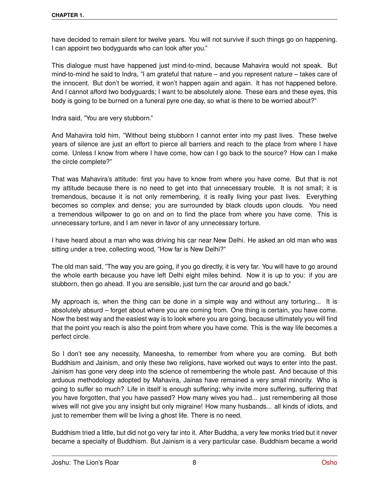have decided to remain silent for twelve years. You will not survive if such things go on happening. I can appoint two bodyguards who can look after you."

This dialogue must have happened just mind-to-mind, because Mahavira would not speak. But mind-to-mind he said to Indra, "I am grateful that nature – and you represent nature – takes care of the innocent. But don't be worried, it won't happen again and again. It has not happened before. And I cannot afford two bodyguards; I want to be absolutely alone. These ears and these eyes, this body is going to be burned on a funeral pyre one day, so what is there to be worried about?"

Indra said, "You are very stubborn."

And Mahavira told him, "Without being stubborn I cannot enter into my past lives. These twelve years of silence are just an effort to pierce all barriers and reach to the place from where I have come. Unless I know from where I have come, how can I go back to the source? How can I make the circle complete?"

That was Mahavira's attitude: first you have to know from where you have come. But that is not my attitude because there is no need to get into that unnecessary trouble. It is not small; it is tremendous, because it is not only remembering, it is really living your past lives. Everything becomes so complex and dense; you are surrounded by black clouds upon clouds. You need a tremendous willpower to go on and on to find the place from where you have come. This is unnecessary torture, and I am never in favor of any unnecessary torture.

I have heard about a man who was driving his car near New Delhi. He asked an old man who was sitting under a tree, collecting wood, "How far is New Delhi?"

The old man said, "The way you are going, if you go directly, it is very far. You will have to go around the whole earth because you have left Delhi eight miles behind. Now it is up to you: if you are stubborn, then go ahead. If you are sensible, just turn the car around and go back."

My approach is, when the thing can be done in a simple way and without any torturing... It is absolutely absurd – forget about where you are coming from. One thing is certain, you have come. Now the best way and the easiest way is to look where you are going, because ultimately you will find that the point you reach is also the point from where you have come. This is the way life becomes a perfect circle.

So I don't see any necessity, Maneesha, to remember from where you are coming. But both Buddhism and Jainism, and only these two religions, have worked out ways to enter into the past. Jainism has gone very deep into the science of remembering the whole past. And because of this arduous methodology adopted by Mahavira, Jainas have remained a very small minority. Who is going to suffer so much? Life in itself is enough suffering; why invite more suffering, suffering that you have forgotten, that you have passed? How many wives you had... just remembering all those wives will not give you any insight but only migraine! How many husbands... all kinds of idiots, and just to remember them will be living a ghost life. There is no need.

Buddhism tried a little, but did not go very far into it. After Buddha, a very few monks tried but it never became a specialty of Buddhism. But Jainism is a very particular case. Buddhism became a world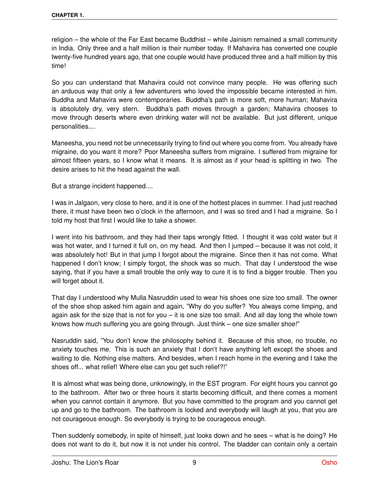religion – the whole of the Far East became Buddhist – while Jainism remained a small community in India. Only three and a half million is their number today. If Mahavira has converted one couple twenty-five hundred years ago, that one couple would have produced three and a half million by this time!

So you can understand that Mahavira could not convince many people. He was offering such an arduous way that only a few adventurers who loved the impossible became interested in him. Buddha and Mahavira were contemporaries. Buddha's path is more soft, more human; Mahavira is absolutely dry, very stern. Buddha's path moves through a garden; Mahavira chooses to move through deserts where even drinking water will not be available. But just different, unique personalities....

Maneesha, you need not be unnecessarily trying to find out where you come from. You already have migraine, do you want it more? Poor Maneesha suffers from migraine. I suffered from migraine for almost fifteen years, so I know what it means. It is almost as if your head is splitting in two. The desire arises to hit the head against the wall.

But a strange incident happened....

I was in Jalgaon, very close to here, and it is one of the hottest places in summer. I had just reached there, it must have been two o'clock in the afternoon, and I was so tired and I had a migraine. So I told my host that first I would like to take a shower.

I went into his bathroom, and they had their taps wrongly fitted. I thought it was cold water but it was hot water, and I turned it full on, on my head. And then I jumped – because it was not cold, it was absolutely hot! But in that jump I forgot about the migraine. Since then it has not come. What happened I don't know; I simply forgot, the shock was so much. That day I understood the wise saying, that if you have a small trouble the only way to cure it is to find a bigger trouble. Then you will forget about it.

That day I understood why Mulla Nasruddin used to wear his shoes one size too small. The owner of the shoe shop asked him again and again, "Why do you suffer? You always come limping, and again ask for the size that is not for you – it is one size too small. And all day long the whole town knows how much suffering you are going through. Just think – one size smaller shoe!"

Nasruddin said, "You don't know the philosophy behind it. Because of this shoe, no trouble, no anxiety touches me. This is such an anxiety that I don't have anything left except the shoes and waiting to die. Nothing else matters. And besides, when I reach home in the evening and I take the shoes off... what relief! Where else can you get such relief?!"

It is almost what was being done, unknowingly, in the EST program. For eight hours you cannot go to the bathroom. After two or three hours it starts becoming difficult, and there comes a moment when you cannot contain it anymore. But you have committed to the program and you cannot get up and go to the bathroom. The bathroom is locked and everybody will laugh at you, that you are not courageous enough. So everybody is trying to be courageous enough.

Then suddenly somebody, in spite of himself, just looks down and he sees – what is he doing? He does not want to do it, but now it is not under his control. The bladder can contain only a certain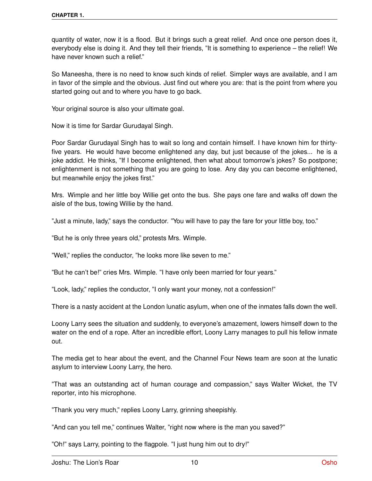quantity of water, now it is a flood. But it brings such a great relief. And once one person does it, everybody else is doing it. And they tell their friends, "It is something to experience – the relief! We have never known such a relief."

So Maneesha, there is no need to know such kinds of relief. Simpler ways are available, and I am in favor of the simple and the obvious. Just find out where you are: that is the point from where you started going out and to where you have to go back.

Your original source is also your ultimate goal.

Now it is time for Sardar Gurudayal Singh.

Poor Sardar Gurudayal Singh has to wait so long and contain himself. I have known him for thirtyfive years. He would have become enlightened any day, but just because of the jokes... he is a joke addict. He thinks, "If I become enlightened, then what about tomorrow's jokes? So postpone; enlightenment is not something that you are going to lose. Any day you can become enlightened, but meanwhile enjoy the jokes first."

Mrs. Wimple and her little boy Willie get onto the bus. She pays one fare and walks off down the aisle of the bus, towing Willie by the hand.

"Just a minute, lady," says the conductor. "You will have to pay the fare for your little boy, too."

"But he is only three years old," protests Mrs. Wimple.

"Well," replies the conductor, "he looks more like seven to me."

"But he can't be!" cries Mrs. Wimple. "I have only been married for four years."

"Look, lady," replies the conductor, "I only want your money, not a confession!"

There is a nasty accident at the London lunatic asylum, when one of the inmates falls down the well.

Loony Larry sees the situation and suddenly, to everyone's amazement, lowers himself down to the water on the end of a rope. After an incredible effort, Loony Larry manages to pull his fellow inmate out.

The media get to hear about the event, and the Channel Four News team are soon at the lunatic asylum to interview Loony Larry, the hero.

"That was an outstanding act of human courage and compassion," says Walter Wicket, the TV reporter, into his microphone.

"Thank you very much," replies Loony Larry, grinning sheepishly.

"And can you tell me," continues Walter, "right now where is the man you saved?"

"Oh!" says Larry, pointing to the flagpole. "I just hung him out to dry!"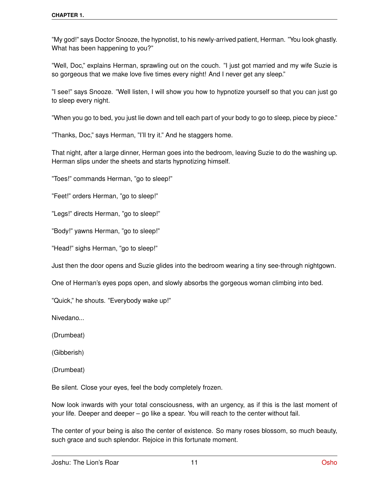"My god!" says Doctor Snooze, the hypnotist, to his newly-arrived patient, Herman. "You look ghastly. What has been happening to you?"

"Well, Doc," explains Herman, sprawling out on the couch. "I just got married and my wife Suzie is so gorgeous that we make love five times every night! And I never get any sleep."

"I see!" says Snooze. "Well listen, I will show you how to hypnotize yourself so that you can just go to sleep every night.

"When you go to bed, you just lie down and tell each part of your body to go to sleep, piece by piece."

"Thanks, Doc," says Herman, "I'll try it." And he staggers home.

That night, after a large dinner, Herman goes into the bedroom, leaving Suzie to do the washing up. Herman slips under the sheets and starts hypnotizing himself.

"Toes!" commands Herman, "go to sleep!"

"Feet!" orders Herman, "go to sleep!"

"Legs!" directs Herman, "go to sleep!"

"Body!" yawns Herman, "go to sleep!"

"Head!" sighs Herman, "go to sleep!"

Just then the door opens and Suzie glides into the bedroom wearing a tiny see-through nightgown.

One of Herman's eyes pops open, and slowly absorbs the gorgeous woman climbing into bed.

"Quick," he shouts. "Everybody wake up!"

Nivedano...

(Drumbeat)

(Gibberish)

(Drumbeat)

Be silent. Close your eyes, feel the body completely frozen.

Now look inwards with your total consciousness, with an urgency, as if this is the last moment of your life. Deeper and deeper – go like a spear. You will reach to the center without fail.

The center of your being is also the center of existence. So many roses blossom, so much beauty, such grace and such splendor. Rejoice in this fortunate moment.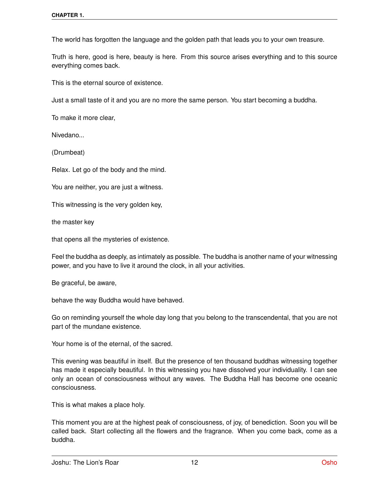The world has forgotten the language and the golden path that leads you to your own treasure.

Truth is here, good is here, beauty is here. From this source arises everything and to this source everything comes back.

This is the eternal source of existence.

Just a small taste of it and you are no more the same person. You start becoming a buddha.

To make it more clear,

Nivedano...

(Drumbeat)

Relax. Let go of the body and the mind.

You are neither, you are just a witness.

This witnessing is the very golden key,

the master key

that opens all the mysteries of existence.

Feel the buddha as deeply, as intimately as possible. The buddha is another name of your witnessing power, and you have to live it around the clock, in all your activities.

Be graceful, be aware,

behave the way Buddha would have behaved.

Go on reminding yourself the whole day long that you belong to the transcendental, that you are not part of the mundane existence.

Your home is of the eternal, of the sacred.

This evening was beautiful in itself. But the presence of ten thousand buddhas witnessing together has made it especially beautiful. In this witnessing you have dissolved your individuality. I can see only an ocean of consciousness without any waves. The Buddha Hall has become one oceanic consciousness.

This is what makes a place holy.

This moment you are at the highest peak of consciousness, of joy, of benediction. Soon you will be called back. Start collecting all the flowers and the fragrance. When you come back, come as a buddha.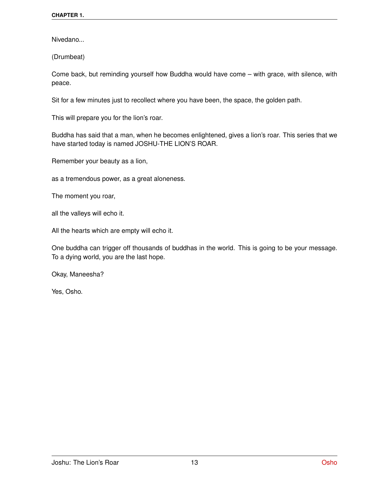Nivedano...

(Drumbeat)

Come back, but reminding yourself how Buddha would have come – with grace, with silence, with peace.

Sit for a few minutes just to recollect where you have been, the space, the golden path.

This will prepare you for the lion's roar.

Buddha has said that a man, when he becomes enlightened, gives a lion's roar. This series that we have started today is named JOSHU-THE LION'S ROAR.

Remember your beauty as a lion,

as a tremendous power, as a great aloneness.

The moment you roar,

all the valleys will echo it.

All the hearts which are empty will echo it.

One buddha can trigger off thousands of buddhas in the world. This is going to be your message. To a dying world, you are the last hope.

Okay, Maneesha?

Yes, Osho.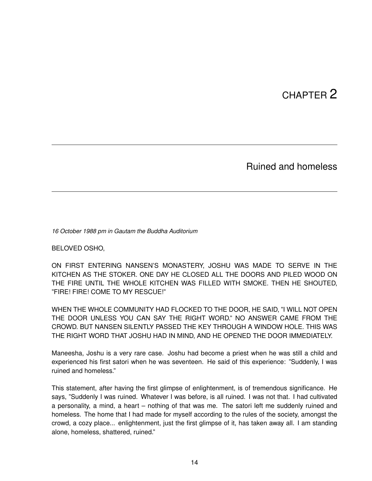# CHAPTER 2

Ruined and homeless

*16 October 1988 pm in Gautam the Buddha Auditorium*

BELOVED OSHO,

ON FIRST ENTERING NANSEN'S MONASTERY, JOSHU WAS MADE TO SERVE IN THE KITCHEN AS THE STOKER. ONE DAY HE CLOSED ALL THE DOORS AND PILED WOOD ON THE FIRE UNTIL THE WHOLE KITCHEN WAS FILLED WITH SMOKE. THEN HE SHOUTED, "FIRE! FIRE! COME TO MY RESCUE!"

WHEN THE WHOLE COMMUNITY HAD FLOCKED TO THE DOOR, HE SAID, "I WILL NOT OPEN THE DOOR UNLESS YOU CAN SAY THE RIGHT WORD." NO ANSWER CAME FROM THE CROWD. BUT NANSEN SILENTLY PASSED THE KEY THROUGH A WINDOW HOLE. THIS WAS THE RIGHT WORD THAT JOSHU HAD IN MIND, AND HE OPENED THE DOOR IMMEDIATELY.

Maneesha, Joshu is a very rare case. Joshu had become a priest when he was still a child and experienced his first satori when he was seventeen. He said of this experience: "Suddenly, I was ruined and homeless."

This statement, after having the first glimpse of enlightenment, is of tremendous significance. He says, "Suddenly I was ruined. Whatever I was before, is all ruined. I was not that. I had cultivated a personality, a mind, a heart – nothing of that was me. The satori left me suddenly ruined and homeless. The home that I had made for myself according to the rules of the society, amongst the crowd, a cozy place... enlightenment, just the first glimpse of it, has taken away all. I am standing alone, homeless, shattered, ruined."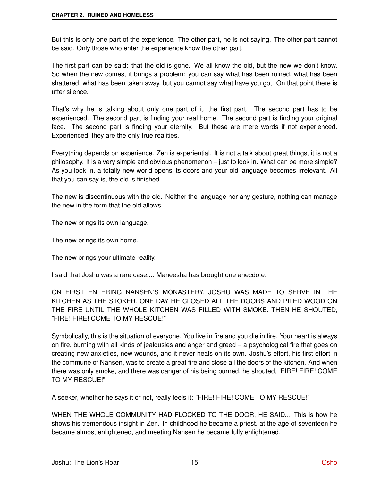But this is only one part of the experience. The other part, he is not saying. The other part cannot be said. Only those who enter the experience know the other part.

The first part can be said: that the old is gone. We all know the old, but the new we don't know. So when the new comes, it brings a problem: you can say what has been ruined, what has been shattered, what has been taken away, but you cannot say what have you got. On that point there is utter silence.

That's why he is talking about only one part of it, the first part. The second part has to be experienced. The second part is finding your real home. The second part is finding your original face. The second part is finding your eternity. But these are mere words if not experienced. Experienced, they are the only true realities.

Everything depends on experience. Zen is experiential. It is not a talk about great things, it is not a philosophy. It is a very simple and obvious phenomenon – just to look in. What can be more simple? As you look in, a totally new world opens its doors and your old language becomes irrelevant. All that you can say is, the old is finished.

The new is discontinuous with the old. Neither the language nor any gesture, nothing can manage the new in the form that the old allows.

The new brings its own language.

The new brings its own home.

The new brings your ultimate reality.

I said that Joshu was a rare case.... Maneesha has brought one anecdote:

ON FIRST ENTERING NANSEN'S MONASTERY, JOSHU WAS MADE TO SERVE IN THE KITCHEN AS THE STOKER. ONE DAY HE CLOSED ALL THE DOORS AND PILED WOOD ON THE FIRE UNTIL THE WHOLE KITCHEN WAS FILLED WITH SMOKE. THEN HE SHOUTED, "FIRE! FIRE! COME TO MY RESCUE!"

Symbolically, this is the situation of everyone. You live in fire and you die in fire. Your heart is always on fire, burning with all kinds of jealousies and anger and greed – a psychological fire that goes on creating new anxieties, new wounds, and it never heals on its own. Joshu's effort, his first effort in the commune of Nansen, was to create a great fire and close all the doors of the kitchen. And when there was only smoke, and there was danger of his being burned, he shouted, "FIRE! FIRE! COME TO MY RESCUE!"

A seeker, whether he says it or not, really feels it: "FIRE! FIRE! COME TO MY RESCUE!"

WHEN THE WHOLE COMMUNITY HAD FLOCKED TO THE DOOR, HE SAID... This is how he shows his tremendous insight in Zen. In childhood he became a priest, at the age of seventeen he became almost enlightened, and meeting Nansen he became fully enlightened.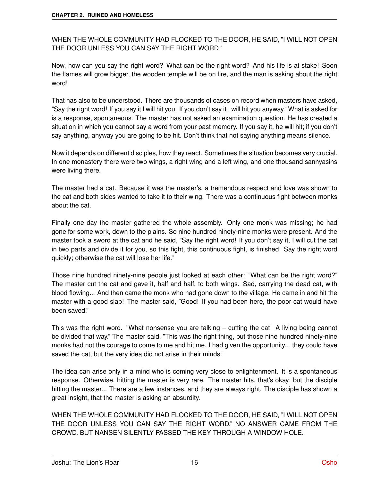WHEN THE WHOLE COMMUNITY HAD FLOCKED TO THE DOOR, HE SAID, "I WILL NOT OPEN THE DOOR UNLESS YOU CAN SAY THE RIGHT WORD."

Now, how can you say the right word? What can be the right word? And his life is at stake! Soon the flames will grow bigger, the wooden temple will be on fire, and the man is asking about the right word!

That has also to be understood. There are thousands of cases on record when masters have asked, "Say the right word! If you say it I will hit you. If you don't say it I will hit you anyway." What is asked for is a response, spontaneous. The master has not asked an examination question. He has created a situation in which you cannot say a word from your past memory. If you say it, he will hit; if you don't say anything, anyway you are going to be hit. Don't think that not saying anything means silence.

Now it depends on different disciples, how they react. Sometimes the situation becomes very crucial. In one monastery there were two wings, a right wing and a left wing, and one thousand sannyasins were living there.

The master had a cat. Because it was the master's, a tremendous respect and love was shown to the cat and both sides wanted to take it to their wing. There was a continuous fight between monks about the cat.

Finally one day the master gathered the whole assembly. Only one monk was missing; he had gone for some work, down to the plains. So nine hundred ninety-nine monks were present. And the master took a sword at the cat and he said, "Say the right word! If you don't say it, I will cut the cat in two parts and divide it for you, so this fight, this continuous fight, is finished! Say the right word quickly; otherwise the cat will lose her life."

Those nine hundred ninety-nine people just looked at each other: "What can be the right word?" The master cut the cat and gave it, half and half, to both wings. Sad, carrying the dead cat, with blood flowing... And then came the monk who had gone down to the village. He came in and hit the master with a good slap! The master said, "Good! If you had been here, the poor cat would have been saved."

This was the right word. "What nonsense you are talking – cutting the cat! A living being cannot be divided that way." The master said, "This was the right thing, but those nine hundred ninety-nine monks had not the courage to come to me and hit me. I had given the opportunity... they could have saved the cat, but the very idea did not arise in their minds."

The idea can arise only in a mind who is coming very close to enlightenment. It is a spontaneous response. Otherwise, hitting the master is very rare. The master hits, that's okay; but the disciple hitting the master... There are a few instances, and they are always right. The disciple has shown a great insight, that the master is asking an absurdity.

WHEN THE WHOLE COMMUNITY HAD FLOCKED TO THE DOOR, HE SAID, "I WILL NOT OPEN THE DOOR UNLESS YOU CAN SAY THE RIGHT WORD." NO ANSWER CAME FROM THE CROWD. BUT NANSEN SILENTLY PASSED THE KEY THROUGH A WINDOW HOLE.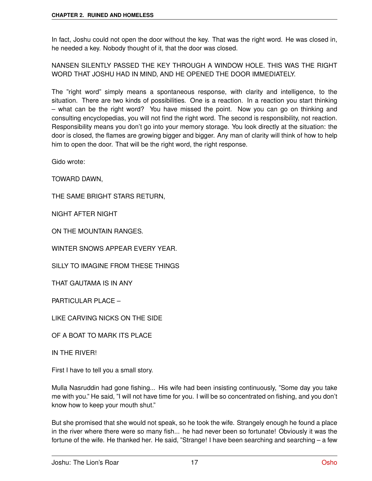In fact, Joshu could not open the door without the key. That was the right word. He was closed in, he needed a key. Nobody thought of it, that the door was closed.

NANSEN SILENTLY PASSED THE KEY THROUGH A WINDOW HOLE. THIS WAS THE RIGHT WORD THAT JOSHU HAD IN MIND, AND HE OPENED THE DOOR IMMEDIATELY.

The "right word" simply means a spontaneous response, with clarity and intelligence, to the situation. There are two kinds of possibilities. One is a reaction. In a reaction you start thinking – what can be the right word? You have missed the point. Now you can go on thinking and consulting encyclopedias, you will not find the right word. The second is responsibility, not reaction. Responsibility means you don't go into your memory storage. You look directly at the situation: the door is closed, the flames are growing bigger and bigger. Any man of clarity will think of how to help him to open the door. That will be the right word, the right response.

Gido wrote:

TOWARD DAWN,

THE SAME BRIGHT STARS RETURN,

NIGHT AFTER NIGHT

ON THE MOUNTAIN RANGES.

WINTER SNOWS APPEAR EVERY YEAR.

SILLY TO IMAGINE FROM THESE THINGS

THAT GAUTAMA IS IN ANY

PARTICULAR PLACE –

LIKE CARVING NICKS ON THE SIDE

OF A BOAT TO MARK ITS PLACE

IN THE RIVER!

First I have to tell you a small story.

Mulla Nasruddin had gone fishing... His wife had been insisting continuously, "Some day you take me with you." He said, "I will not have time for you. I will be so concentrated on fishing, and you don't know how to keep your mouth shut."

But she promised that she would not speak, so he took the wife. Strangely enough he found a place in the river where there were so many fish... he had never been so fortunate! Obviously it was the fortune of the wife. He thanked her. He said, "Strange! I have been searching and searching – a few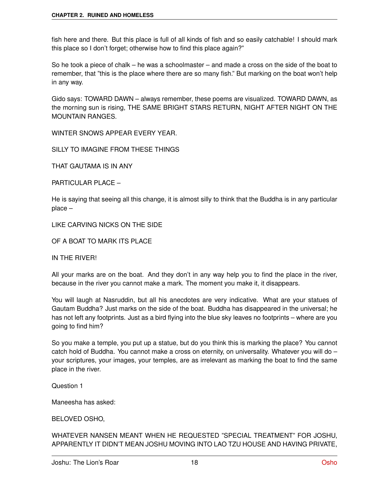fish here and there. But this place is full of all kinds of fish and so easily catchable! I should mark this place so I don't forget; otherwise how to find this place again?"

So he took a piece of chalk – he was a schoolmaster – and made a cross on the side of the boat to remember, that "this is the place where there are so many fish." But marking on the boat won't help in any way.

Gido says: TOWARD DAWN – always remember, these poems are visualized. TOWARD DAWN, as the morning sun is rising, THE SAME BRIGHT STARS RETURN, NIGHT AFTER NIGHT ON THE MOUNTAIN RANGES.

WINTER SNOWS APPEAR EVERY YEAR.

SILLY TO IMAGINE FROM THESE THINGS

THAT GAUTAMA IS IN ANY

PARTICULAR PLACE –

He is saying that seeing all this change, it is almost silly to think that the Buddha is in any particular place –

LIKE CARVING NICKS ON THE SIDE

OF A BOAT TO MARK ITS PLACE

IN THE RIVER!

All your marks are on the boat. And they don't in any way help you to find the place in the river, because in the river you cannot make a mark. The moment you make it, it disappears.

You will laugh at Nasruddin, but all his anecdotes are very indicative. What are your statues of Gautam Buddha? Just marks on the side of the boat. Buddha has disappeared in the universal; he has not left any footprints. Just as a bird flying into the blue sky leaves no footprints – where are you going to find him?

So you make a temple, you put up a statue, but do you think this is marking the place? You cannot catch hold of Buddha. You cannot make a cross on eternity, on universality. Whatever you will do your scriptures, your images, your temples, are as irrelevant as marking the boat to find the same place in the river.

Question 1

Maneesha has asked:

BELOVED OSHO,

WHATEVER NANSEN MEANT WHEN HE REQUESTED "SPECIAL TREATMENT" FOR JOSHU, APPARENTLY IT DIDN'T MEAN JOSHU MOVING INTO LAO TZU HOUSE AND HAVING PRIVATE,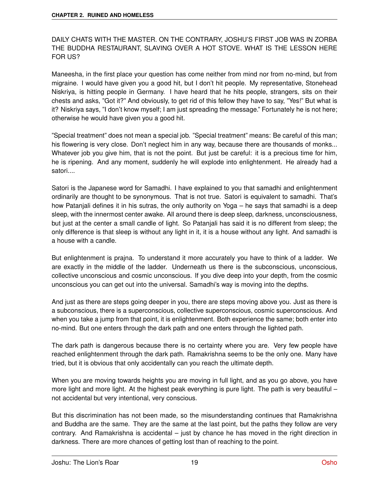### DAILY CHATS WITH THE MASTER. ON THE CONTRARY, JOSHU'S FIRST JOB WAS IN ZORBA THE BUDDHA RESTAURANT, SLAVING OVER A HOT STOVE. WHAT IS THE LESSON HERE FOR US?

Maneesha, in the first place your question has come neither from mind nor from no-mind, but from migraine. I would have given you a good hit, but I don't hit people. My representative, Stonehead Niskriya, is hitting people in Germany. I have heard that he hits people, strangers, sits on their chests and asks, "Got it?" And obviously, to get rid of this fellow they have to say, "Yes!" But what is it? Niskriya says, "I don't know myself; I am just spreading the message." Fortunately he is not here; otherwise he would have given you a good hit.

"Special treatment" does not mean a special job. "Special treatment" means: Be careful of this man; his flowering is very close. Don't neglect him in any way, because there are thousands of monks... Whatever job you give him, that is not the point. But just be careful: it is a precious time for him, he is ripening. And any moment, suddenly he will explode into enlightenment. He already had a satori....

Satori is the Japanese word for Samadhi. I have explained to you that samadhi and enlightenment ordinarily are thought to be synonymous. That is not true. Satori is equivalent to samadhi. That's how Patanjali defines it in his sutras, the only authority on Yoga – he says that samadhi is a deep sleep, with the innermost center awake. All around there is deep sleep, darkness, unconsciousness, but just at the center a small candle of light. So Patanjali has said it is no different from sleep; the only difference is that sleep is without any light in it, it is a house without any light. And samadhi is a house with a candle.

But enlightenment is prajna. To understand it more accurately you have to think of a ladder. We are exactly in the middle of the ladder. Underneath us there is the subconscious, unconscious, collective unconscious and cosmic unconscious. If you dive deep into your depth, from the cosmic unconscious you can get out into the universal. Samadhi's way is moving into the depths.

And just as there are steps going deeper in you, there are steps moving above you. Just as there is a subconscious, there is a superconscious, collective superconscious, cosmic superconscious. And when you take a jump from that point, it is enlightenment. Both experience the same; both enter into no-mind. But one enters through the dark path and one enters through the lighted path.

The dark path is dangerous because there is no certainty where you are. Very few people have reached enlightenment through the dark path. Ramakrishna seems to be the only one. Many have tried, but it is obvious that only accidentally can you reach the ultimate depth.

When you are moving towards heights you are moving in full light, and as you go above, you have more light and more light. At the highest peak everything is pure light. The path is very beautiful  $$ not accidental but very intentional, very conscious.

But this discrimination has not been made, so the misunderstanding continues that Ramakrishna and Buddha are the same. They are the same at the last point, but the paths they follow are very contrary. And Ramakrishna is accidental – just by chance he has moved in the right direction in darkness. There are more chances of getting lost than of reaching to the point.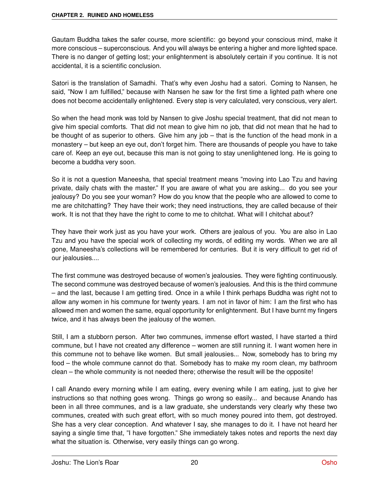Gautam Buddha takes the safer course, more scientific: go beyond your conscious mind, make it more conscious – superconscious. And you will always be entering a higher and more lighted space. There is no danger of getting lost; your enlightenment is absolutely certain if you continue. It is not accidental, it is a scientific conclusion.

Satori is the translation of Samadhi. That's why even Joshu had a satori. Coming to Nansen, he said, "Now I am fulfilled," because with Nansen he saw for the first time a lighted path where one does not become accidentally enlightened. Every step is very calculated, very conscious, very alert.

So when the head monk was told by Nansen to give Joshu special treatment, that did not mean to give him special comforts. That did not mean to give him no job, that did not mean that he had to be thought of as superior to others. Give him any job – that is the function of the head monk in a monastery – but keep an eye out, don't forget him. There are thousands of people you have to take care of. Keep an eye out, because this man is not going to stay unenlightened long. He is going to become a buddha very soon.

So it is not a question Maneesha, that special treatment means "moving into Lao Tzu and having private, daily chats with the master." If you are aware of what you are asking... do you see your jealousy? Do you see your woman? How do you know that the people who are allowed to come to me are chitchatting? They have their work; they need instructions, they are called because of their work. It is not that they have the right to come to me to chitchat. What will I chitchat about?

They have their work just as you have your work. Others are jealous of you. You are also in Lao Tzu and you have the special work of collecting my words, of editing my words. When we are all gone, Maneesha's collections will be remembered for centuries. But it is very difficult to get rid of our jealousies....

The first commune was destroyed because of women's jealousies. They were fighting continuously. The second commune was destroyed because of women's jealousies. And this is the third commune – and the last, because I am getting tired. Once in a while I think perhaps Buddha was right not to allow any women in his commune for twenty years. I am not in favor of him: I am the first who has allowed men and women the same, equal opportunity for enlightenment. But I have burnt my fingers twice, and it has always been the jealousy of the women.

Still, I am a stubborn person. After two communes, immense effort wasted, I have started a third commune, but I have not created any difference – women are still running it. I want women here in this commune not to behave like women. But small jealousies... Now, somebody has to bring my food – the whole commune cannot do that. Somebody has to make my room clean, my bathroom clean – the whole community is not needed there; otherwise the result will be the opposite!

I call Anando every morning while I am eating, every evening while I am eating, just to give her instructions so that nothing goes wrong. Things go wrong so easily... and because Anando has been in all three communes, and is a law graduate, she understands very clearly why these two communes, created with such great effort, with so much money poured into them, got destroyed. She has a very clear conception. And whatever I say, she manages to do it. I have not heard her saying a single time that, "I have forgotten." She immediately takes notes and reports the next day what the situation is. Otherwise, very easily things can go wrong.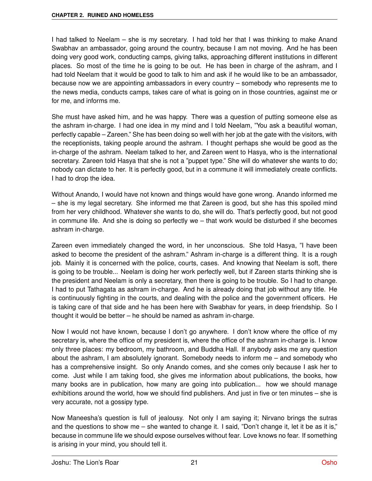I had talked to Neelam – she is my secretary. I had told her that I was thinking to make Anand Swabhav an ambassador, going around the country, because I am not moving. And he has been doing very good work, conducting camps, giving talks, approaching different institutions in different places. So most of the time he is going to be out. He has been in charge of the ashram, and I had told Neelam that it would be good to talk to him and ask if he would like to be an ambassador, because now we are appointing ambassadors in every country – somebody who represents me to the news media, conducts camps, takes care of what is going on in those countries, against me or for me, and informs me.

She must have asked him, and he was happy. There was a question of putting someone else as the ashram in-charge. I had one idea in my mind and I told Neelam, "You ask a beautiful woman, perfectly capable – Zareen." She has been doing so well with her job at the gate with the visitors, with the receptionists, taking people around the ashram. I thought perhaps she would be good as the in-charge of the ashram. Neelam talked to her, and Zareen went to Hasya, who is the international secretary. Zareen told Hasya that she is not a "puppet type." She will do whatever she wants to do; nobody can dictate to her. It is perfectly good, but in a commune it will immediately create conflicts. I had to drop the idea.

Without Anando, I would have not known and things would have gone wrong. Anando informed me – she is my legal secretary. She informed me that Zareen is good, but she has this spoiled mind from her very childhood. Whatever she wants to do, she will do. That's perfectly good, but not good in commune life. And she is doing so perfectly we – that work would be disturbed if she becomes ashram in-charge.

Zareen even immediately changed the word, in her unconscious. She told Hasya, "I have been asked to become the president of the ashram." Ashram in-charge is a different thing. It is a rough job. Mainly it is concerned with the police, courts, cases. And knowing that Neelam is soft, there is going to be trouble... Neelam is doing her work perfectly well, but if Zareen starts thinking she is the president and Neelam is only a secretary, then there is going to be trouble. So I had to change. I had to put Tathagata as ashram in-charge. And he is already doing that job without any title. He is continuously fighting in the courts, and dealing with the police and the government officers. He is taking care of that side and he has been here with Swabhav for years, in deep friendship. So I thought it would be better – he should be named as ashram in-charge.

Now I would not have known, because I don't go anywhere. I don't know where the office of my secretary is, where the office of my president is, where the office of the ashram in-charge is. I know only three places: my bedroom, my bathroom, and Buddha Hall. If anybody asks me any question about the ashram, I am absolutely ignorant. Somebody needs to inform me – and somebody who has a comprehensive insight. So only Anando comes, and she comes only because I ask her to come. Just while I am taking food, she gives me information about publications, the books, how many books are in publication, how many are going into publication... how we should manage exhibitions around the world, how we should find publishers. And just in five or ten minutes – she is very accurate, not a gossipy type.

Now Maneesha's question is full of jealousy. Not only I am saying it; Nirvano brings the sutras and the questions to show me – she wanted to change it. I said, "Don't change it, let it be as it is," because in commune life we should expose ourselves without fear. Love knows no fear. If something is arising in your mind, you should tell it.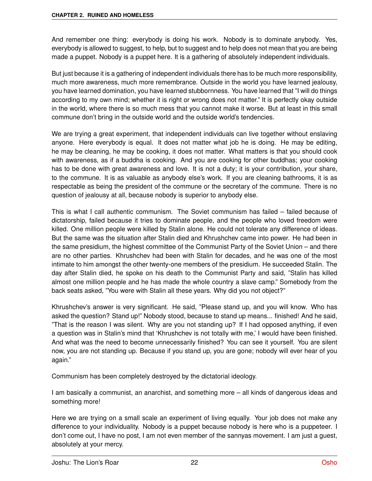And remember one thing: everybody is doing his work. Nobody is to dominate anybody. Yes, everybody is allowed to suggest, to help, but to suggest and to help does not mean that you are being made a puppet. Nobody is a puppet here. It is a gathering of absolutely independent individuals.

But just because it is a gathering of independent individuals there has to be much more responsibility, much more awareness, much more remembrance. Outside in the world you have learned jealousy, you have learned domination, you have learned stubbornness. You have learned that "I will do things according to my own mind; whether it is right or wrong does not matter." It is perfectly okay outside in the world, where there is so much mess that you cannot make it worse. But at least in this small commune don't bring in the outside world and the outside world's tendencies.

We are trying a great experiment, that independent individuals can live together without enslaving anyone. Here everybody is equal. It does not matter what job he is doing. He may be editing, he may be cleaning, he may be cooking, it does not matter. What matters is that you should cook with awareness, as if a buddha is cooking. And you are cooking for other buddhas; your cooking has to be done with great awareness and love. It is not a duty; it is your contribution, your share, to the commune. It is as valuable as anybody else's work. If you are cleaning bathrooms, it is as respectable as being the president of the commune or the secretary of the commune. There is no question of jealousy at all, because nobody is superior to anybody else.

This is what I call authentic communism. The Soviet communism has failed – failed because of dictatorship, failed because it tries to dominate people, and the people who loved freedom were killed. One million people were killed by Stalin alone. He could not tolerate any difference of ideas. But the same was the situation after Stalin died and Khrushchev came into power. He had been in the same presidium, the highest committee of the Communist Party of the Soviet Union – and there are no other parties. Khrushchev had been with Stalin for decades, and he was one of the most intimate to him amongst the other twenty-one members of the presidium. He succeeded Stalin. The day after Stalin died, he spoke on his death to the Communist Party and said, "Stalin has killed almost one million people and he has made the whole country a slave camp." Somebody from the back seats asked, "You were with Stalin all these years. Why did you not object?"

Khrushchev's answer is very significant. He said, "Please stand up, and you will know. Who has asked the question? Stand up!" Nobody stood, because to stand up means... finished! And he said, "That is the reason I was silent. Why are you not standing up? If I had opposed anything, if even a question was in Stalin's mind that 'Khrushchev is not totally with me,' I would have been finished. And what was the need to become unnecessarily finished? You can see it yourself. You are silent now, you are not standing up. Because if you stand up, you are gone; nobody will ever hear of you again."

Communism has been completely destroyed by the dictatorial ideology.

I am basically a communist, an anarchist, and something more – all kinds of dangerous ideas and something more!

Here we are trying on a small scale an experiment of living equally. Your job does not make any difference to your individuality. Nobody is a puppet because nobody is here who is a puppeteer. I don't come out, I have no post, I am not even member of the sannyas movement. I am just a guest, absolutely at your mercy.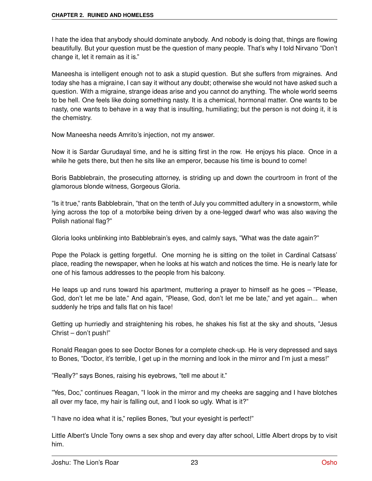I hate the idea that anybody should dominate anybody. And nobody is doing that, things are flowing beautifully. But your question must be the question of many people. That's why I told Nirvano "Don't change it, let it remain as it is."

Maneesha is intelligent enough not to ask a stupid question. But she suffers from migraines. And today she has a migraine, I can say it without any doubt; otherwise she would not have asked such a question. With a migraine, strange ideas arise and you cannot do anything. The whole world seems to be hell. One feels like doing something nasty. It is a chemical, hormonal matter. One wants to be nasty, one wants to behave in a way that is insulting, humiliating; but the person is not doing it, it is the chemistry.

Now Maneesha needs Amrito's injection, not my answer.

Now it is Sardar Gurudayal time, and he is sitting first in the row. He enjoys his place. Once in a while he gets there, but then he sits like an emperor, because his time is bound to come!

Boris Babblebrain, the prosecuting attorney, is striding up and down the courtroom in front of the glamorous blonde witness, Gorgeous Gloria.

"Is it true," rants Babblebrain, "that on the tenth of July you committed adultery in a snowstorm, while lying across the top of a motorbike being driven by a one-legged dwarf who was also waving the Polish national flag?"

Gloria looks unblinking into Babblebrain's eyes, and calmly says, "What was the date again?"

Pope the Polack is getting forgetful. One morning he is sitting on the toilet in Cardinal Catsass' place, reading the newspaper, when he looks at his watch and notices the time. He is nearly late for one of his famous addresses to the people from his balcony.

He leaps up and runs toward his apartment, muttering a prayer to himself as he goes – "Please, God, don't let me be late." And again, "Please, God, don't let me be late," and yet again... when suddenly he trips and falls flat on his face!

Getting up hurriedly and straightening his robes, he shakes his fist at the sky and shouts, "Jesus Christ – don't push!"

Ronald Reagan goes to see Doctor Bones for a complete check-up. He is very depressed and says to Bones, "Doctor, it's terrible, I get up in the morning and look in the mirror and I'm just a mess!"

"Really?" says Bones, raising his eyebrows, "tell me about it."

"Yes, Doc," continues Reagan, "I look in the mirror and my cheeks are sagging and I have blotches all over my face, my hair is falling out, and I look so ugly. What is it?"

"I have no idea what it is," replies Bones, "but your eyesight is perfect!"

Little Albert's Uncle Tony owns a sex shop and every day after school, Little Albert drops by to visit him.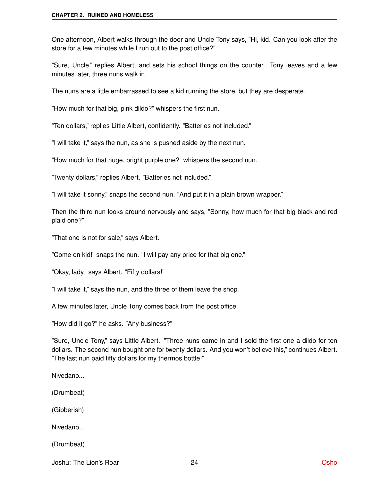One afternoon, Albert walks through the door and Uncle Tony says, "Hi, kid. Can you look after the store for a few minutes while I run out to the post office?"

"Sure, Uncle," replies Albert, and sets his school things on the counter. Tony leaves and a few minutes later, three nuns walk in.

The nuns are a little embarrassed to see a kid running the store, but they are desperate.

"How much for that big, pink dildo?" whispers the first nun.

"Ten dollars," replies Little Albert, confidently. "Batteries not included."

"I will take it," says the nun, as she is pushed aside by the next nun.

"How much for that huge, bright purple one?" whispers the second nun.

"Twenty dollars," replies Albert. "Batteries not included."

"I will take it sonny," snaps the second nun. "And put it in a plain brown wrapper."

Then the third nun looks around nervously and says, "Sonny, how much for that big black and red plaid one?"

"That one is not for sale," says Albert.

"Come on kid!" snaps the nun. "I will pay any price for that big one."

"Okay, lady," says Albert. "Fifty dollars!"

"I will take it," says the nun, and the three of them leave the shop.

A few minutes later, Uncle Tony comes back from the post office.

"How did it go?" he asks. "Any business?"

"Sure, Uncle Tony," says Little Albert. "Three nuns came in and I sold the first one a dildo for ten dollars. The second nun bought one for twenty dollars. And you won't believe this," continues Albert. "The last nun paid fifty dollars for my thermos bottle!"

Nivedano...

(Drumbeat)

(Gibberish)

Nivedano...

(Drumbeat)

Joshu: The Lion's Roar 24 [Osho](http://www.oshoworld.com)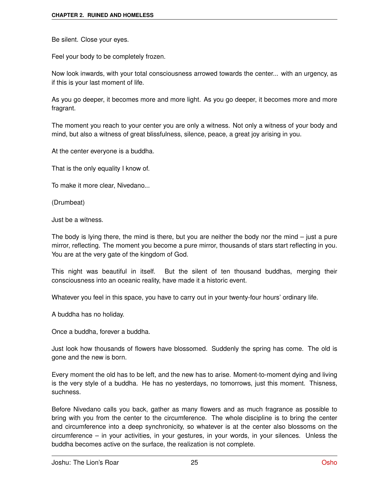Be silent. Close your eyes.

Feel your body to be completely frozen.

Now look inwards, with your total consciousness arrowed towards the center... with an urgency, as if this is your last moment of life.

As you go deeper, it becomes more and more light. As you go deeper, it becomes more and more fragrant.

The moment you reach to your center you are only a witness. Not only a witness of your body and mind, but also a witness of great blissfulness, silence, peace, a great joy arising in you.

At the center everyone is a buddha.

That is the only equality I know of.

To make it more clear, Nivedano...

(Drumbeat)

Just be a witness.

The body is lying there, the mind is there, but you are neither the body nor the mind – just a pure mirror, reflecting. The moment you become a pure mirror, thousands of stars start reflecting in you. You are at the very gate of the kingdom of God.

This night was beautiful in itself. But the silent of ten thousand buddhas, merging their consciousness into an oceanic reality, have made it a historic event.

Whatever you feel in this space, you have to carry out in your twenty-four hours' ordinary life.

A buddha has no holiday.

Once a buddha, forever a buddha.

Just look how thousands of flowers have blossomed. Suddenly the spring has come. The old is gone and the new is born.

Every moment the old has to be left, and the new has to arise. Moment-to-moment dying and living is the very style of a buddha. He has no yesterdays, no tomorrows, just this moment. Thisness, suchness.

Before Nivedano calls you back, gather as many flowers and as much fragrance as possible to bring with you from the center to the circumference. The whole discipline is to bring the center and circumference into a deep synchronicity, so whatever is at the center also blossoms on the circumference – in your activities, in your gestures, in your words, in your silences. Unless the buddha becomes active on the surface, the realization is not complete.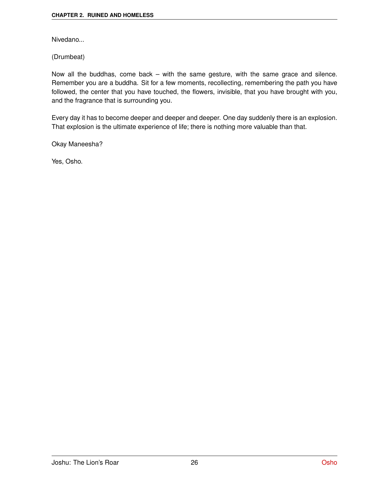Nivedano...

(Drumbeat)

Now all the buddhas, come back – with the same gesture, with the same grace and silence. Remember you are a buddha. Sit for a few moments, recollecting, remembering the path you have followed, the center that you have touched, the flowers, invisible, that you have brought with you, and the fragrance that is surrounding you.

Every day it has to become deeper and deeper and deeper. One day suddenly there is an explosion. That explosion is the ultimate experience of life; there is nothing more valuable than that.

Okay Maneesha?

Yes, Osho.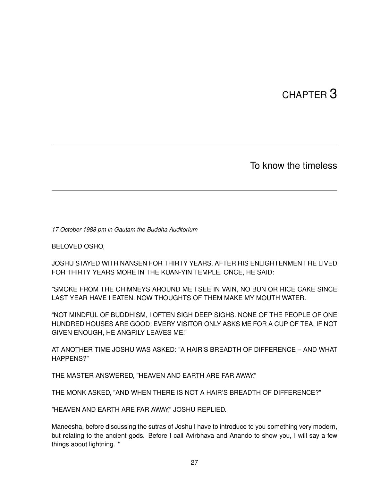# CHAPTER<sup>3</sup>

To know the timeless

*17 October 1988 pm in Gautam the Buddha Auditorium*

BELOVED OSHO,

JOSHU STAYED WITH NANSEN FOR THIRTY YEARS. AFTER HIS ENLIGHTENMENT HE LIVED FOR THIRTY YEARS MORE IN THE KUAN-YIN TEMPLE. ONCE, HE SAID:

"SMOKE FROM THE CHIMNEYS AROUND ME I SEE IN VAIN, NO BUN OR RICE CAKE SINCE LAST YEAR HAVE I EATEN. NOW THOUGHTS OF THEM MAKE MY MOUTH WATER.

"NOT MINDFUL OF BUDDHISM, I OFTEN SIGH DEEP SIGHS. NONE OF THE PEOPLE OF ONE HUNDRED HOUSES ARE GOOD: EVERY VISITOR ONLY ASKS ME FOR A CUP OF TEA. IF NOT GIVEN ENOUGH, HE ANGRILY LEAVES ME."

AT ANOTHER TIME JOSHU WAS ASKED: "A HAIR'S BREADTH OF DIFFERENCE – AND WHAT HAPPENS?"

THE MASTER ANSWERED, "HEAVEN AND EARTH ARE FAR AWAY."

THE MONK ASKED, "AND WHEN THERE IS NOT A HAIR'S BREADTH OF DIFFERENCE?"

"HEAVEN AND EARTH ARE FAR AWAY," JOSHU REPLIED.

Maneesha, before discussing the sutras of Joshu I have to introduce to you something very modern, but relating to the ancient gods. Before I call Avirbhava and Anando to show you, I will say a few things about lightning. \*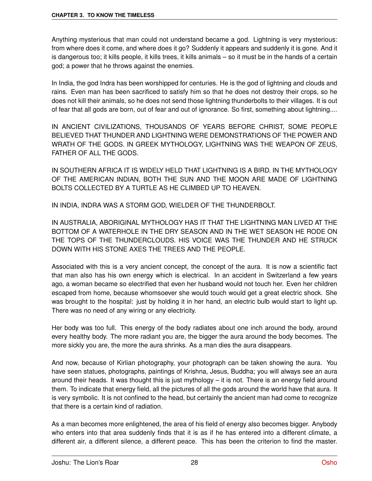Anything mysterious that man could not understand became a god. Lightning is very mysterious: from where does it come, and where does it go? Suddenly it appears and suddenly it is gone. And it is dangerous too; it kills people, it kills trees, it kills animals – so it must be in the hands of a certain god; a power that he throws against the enemies.

In India, the god Indra has been worshipped for centuries. He is the god of lightning and clouds and rains. Even man has been sacrificed to satisfy him so that he does not destroy their crops, so he does not kill their animals, so he does not send those lightning thunderbolts to their villages. It is out of fear that all gods are born, out of fear and out of ignorance. So first, something about lightning....

IN ANCIENT CIVILIZATIONS, THOUSANDS OF YEARS BEFORE CHRIST, SOME PEOPLE BELIEVED THAT THUNDER AND LIGHTNING WERE DEMONSTRATIONS OF THE POWER AND WRATH OF THE GODS. IN GREEK MYTHOLOGY, LIGHTNING WAS THE WEAPON OF ZEUS, FATHER OF ALL THE GODS.

IN SOUTHERN AFRICA IT IS WIDELY HELD THAT LIGHTNING IS A BIRD. IN THE MYTHOLOGY OF THE AMERICAN INDIAN, BOTH THE SUN AND THE MOON ARE MADE OF LIGHTNING BOLTS COLLECTED BY A TURTLE AS HE CLIMBED UP TO HEAVEN.

IN INDIA, INDRA WAS A STORM GOD, WIELDER OF THE THUNDERBOLT.

IN AUSTRALIA, ABORIGINAL MYTHOLOGY HAS IT THAT THE LIGHTNING MAN LIVED AT THE BOTTOM OF A WATERHOLE IN THE DRY SEASON AND IN THE WET SEASON HE RODE ON THE TOPS OF THE THUNDERCLOUDS. HIS VOICE WAS THE THUNDER AND HE STRUCK DOWN WITH HIS STONE AXES THE TREES AND THE PEOPLE.

Associated with this is a very ancient concept, the concept of the aura. It is now a scientific fact that man also has his own energy which is electrical. In an accident in Switzerland a few years ago, a woman became so electrified that even her husband would not touch her. Even her children escaped from home, because whomsoever she would touch would get a great electric shock. She was brought to the hospital: just by holding it in her hand, an electric bulb would start to light up. There was no need of any wiring or any electricity.

Her body was too full. This energy of the body radiates about one inch around the body, around every healthy body. The more radiant you are, the bigger the aura around the body becomes. The more sickly you are, the more the aura shrinks. As a man dies the aura disappears.

And now, because of Kirlian photography, your photograph can be taken showing the aura. You have seen statues, photographs, paintings of Krishna, Jesus, Buddha; you will always see an aura around their heads. It was thought this is just mythology – it is not. There is an energy field around them. To indicate that energy field, all the pictures of all the gods around the world have that aura. It is very symbolic. It is not confined to the head, but certainly the ancient man had come to recognize that there is a certain kind of radiation.

As a man becomes more enlightened, the area of his field of energy also becomes bigger. Anybody who enters into that area suddenly finds that it is as if he has entered into a different climate, a different air, a different silence, a different peace. This has been the criterion to find the master.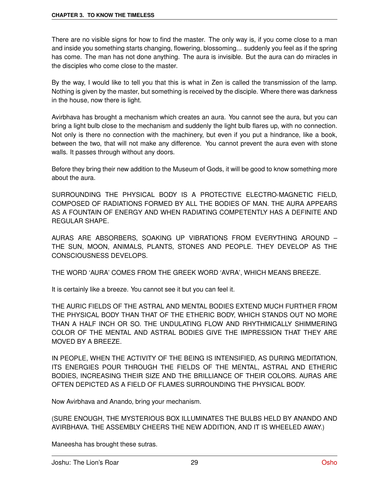There are no visible signs for how to find the master. The only way is, if you come close to a man and inside you something starts changing, flowering, blossoming... suddenly you feel as if the spring has come. The man has not done anything. The aura is invisible. But the aura can do miracles in the disciples who come close to the master.

By the way, I would like to tell you that this is what in Zen is called the transmission of the lamp. Nothing is given by the master, but something is received by the disciple. Where there was darkness in the house, now there is light.

Avirbhava has brought a mechanism which creates an aura. You cannot see the aura, but you can bring a light bulb close to the mechanism and suddenly the light bulb flares up, with no connection. Not only is there no connection with the machinery, but even if you put a hindrance, like a book, between the two, that will not make any difference. You cannot prevent the aura even with stone walls. It passes through without any doors.

Before they bring their new addition to the Museum of Gods, it will be good to know something more about the aura.

SURROUNDING THE PHYSICAL BODY IS A PROTECTIVE ELECTRO-MAGNETIC FIELD, COMPOSED OF RADIATIONS FORMED BY ALL THE BODIES OF MAN. THE AURA APPEARS AS A FOUNTAIN OF ENERGY AND WHEN RADIATING COMPETENTLY HAS A DEFINITE AND REGULAR SHAPE.

AURAS ARE ABSORBERS, SOAKING UP VIBRATIONS FROM EVERYTHING AROUND – THE SUN, MOON, ANIMALS, PLANTS, STONES AND PEOPLE. THEY DEVELOP AS THE CONSCIOUSNESS DEVELOPS.

THE WORD 'AURA' COMES FROM THE GREEK WORD 'AVRA', WHICH MEANS BREEZE.

It is certainly like a breeze. You cannot see it but you can feel it.

THE AURIC FIELDS OF THE ASTRAL AND MENTAL BODIES EXTEND MUCH FURTHER FROM THE PHYSICAL BODY THAN THAT OF THE ETHERIC BODY, WHICH STANDS OUT NO MORE THAN A HALF INCH OR SO. THE UNDULATING FLOW AND RHYTHMICALLY SHIMMERING COLOR OF THE MENTAL AND ASTRAL BODIES GIVE THE IMPRESSION THAT THEY ARE MOVED BY A BREEZE.

IN PEOPLE, WHEN THE ACTIVITY OF THE BEING IS INTENSIFIED, AS DURING MEDITATION, ITS ENERGIES POUR THROUGH THE FIELDS OF THE MENTAL, ASTRAL AND ETHERIC BODIES, INCREASING THEIR SIZE AND THE BRILLIANCE OF THEIR COLORS. AURAS ARE OFTEN DEPICTED AS A FIELD OF FLAMES SURROUNDING THE PHYSICAL BODY.

Now Avirbhava and Anando, bring your mechanism.

(SURE ENOUGH, THE MYSTERIOUS BOX ILLUMINATES THE BULBS HELD BY ANANDO AND AVIRBHAVA. THE ASSEMBLY CHEERS THE NEW ADDITION, AND IT IS WHEELED AWAY.)

Maneesha has brought these sutras.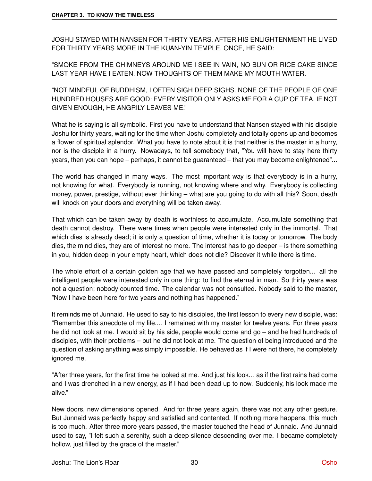JOSHU STAYED WITH NANSEN FOR THIRTY YEARS. AFTER HIS ENLIGHTENMENT HE LIVED FOR THIRTY YEARS MORE IN THE KUAN-YIN TEMPLE. ONCE, HE SAID:

"SMOKE FROM THE CHIMNEYS AROUND ME I SEE IN VAIN, NO BUN OR RICE CAKE SINCE LAST YEAR HAVE I EATEN. NOW THOUGHTS OF THEM MAKE MY MOUTH WATER.

"NOT MINDFUL OF BUDDHISM, I OFTEN SIGH DEEP SIGHS. NONE OF THE PEOPLE OF ONE HUNDRED HOUSES ARE GOOD: EVERY VISITOR ONLY ASKS ME FOR A CUP OF TEA. IF NOT GIVEN ENOUGH, HE ANGRILY LEAVES ME."

What he is saying is all symbolic. First you have to understand that Nansen stayed with his disciple Joshu for thirty years, waiting for the time when Joshu completely and totally opens up and becomes a flower of spiritual splendor. What you have to note about it is that neither is the master in a hurry, nor is the disciple in a hurry. Nowadays, to tell somebody that, "You will have to stay here thirty years, then you can hope – perhaps, it cannot be guaranteed – that you may become enlightened"...

The world has changed in many ways. The most important way is that everybody is in a hurry, not knowing for what. Everybody is running, not knowing where and why. Everybody is collecting money, power, prestige, without ever thinking – what are you going to do with all this? Soon, death will knock on your doors and everything will be taken away.

That which can be taken away by death is worthless to accumulate. Accumulate something that death cannot destroy. There were times when people were interested only in the immortal. That which dies is already dead; it is only a question of time, whether it is today or tomorrow. The body dies, the mind dies, they are of interest no more. The interest has to go deeper – is there something in you, hidden deep in your empty heart, which does not die? Discover it while there is time.

The whole effort of a certain golden age that we have passed and completely forgotten... all the intelligent people were interested only in one thing: to find the eternal in man. So thirty years was not a question; nobody counted time. The calendar was not consulted. Nobody said to the master, "Now I have been here for two years and nothing has happened."

It reminds me of Junnaid. He used to say to his disciples, the first lesson to every new disciple, was: "Remember this anecdote of my life.... I remained with my master for twelve years. For three years he did not look at me. I would sit by his side, people would come and go – and he had hundreds of disciples, with their problems – but he did not look at me. The question of being introduced and the question of asking anything was simply impossible. He behaved as if I were not there, he completely ignored me.

"After three years, for the first time he looked at me. And just his look... as if the first rains had come and I was drenched in a new energy, as if I had been dead up to now. Suddenly, his look made me alive."

New doors, new dimensions opened. And for three years again, there was not any other gesture. But Junnaid was perfectly happy and satisfied and contented. If nothing more happens, this much is too much. After three more years passed, the master touched the head of Junnaid. And Junnaid used to say, "I felt such a serenity, such a deep silence descending over me. I became completely hollow, just filled by the grace of the master."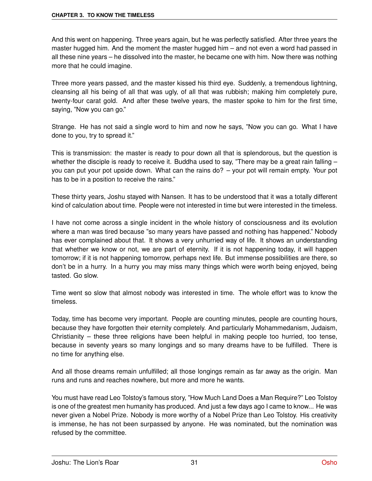And this went on happening. Three years again, but he was perfectly satisfied. After three years the master hugged him. And the moment the master hugged him – and not even a word had passed in all these nine years – he dissolved into the master, he became one with him. Now there was nothing more that he could imagine.

Three more years passed, and the master kissed his third eye. Suddenly, a tremendous lightning, cleansing all his being of all that was ugly, of all that was rubbish; making him completely pure, twenty-four carat gold. And after these twelve years, the master spoke to him for the first time, saying, "Now you can go."

Strange. He has not said a single word to him and now he says, "Now you can go. What I have done to you, try to spread it."

This is transmission: the master is ready to pour down all that is splendorous, but the question is whether the disciple is ready to receive it. Buddha used to say, "There may be a great rain falling – you can put your pot upside down. What can the rains do? – your pot will remain empty. Your pot has to be in a position to receive the rains."

These thirty years, Joshu stayed with Nansen. It has to be understood that it was a totally different kind of calculation about time. People were not interested in time but were interested in the timeless.

I have not come across a single incident in the whole history of consciousness and its evolution where a man was tired because "so many years have passed and nothing has happened." Nobody has ever complained about that. It shows a very unhurried way of life. It shows an understanding that whether we know or not, we are part of eternity. If it is not happening today, it will happen tomorrow; if it is not happening tomorrow, perhaps next life. But immense possibilities are there, so don't be in a hurry. In a hurry you may miss many things which were worth being enjoyed, being tasted. Go slow.

Time went so slow that almost nobody was interested in time. The whole effort was to know the timeless.

Today, time has become very important. People are counting minutes, people are counting hours, because they have forgotten their eternity completely. And particularly Mohammedanism, Judaism, Christianity – these three religions have been helpful in making people too hurried, too tense, because in seventy years so many longings and so many dreams have to be fulfilled. There is no time for anything else.

And all those dreams remain unfulfilled; all those longings remain as far away as the origin. Man runs and runs and reaches nowhere, but more and more he wants.

You must have read Leo Tolstoy's famous story, "How Much Land Does a Man Require?" Leo Tolstoy is one of the greatest men humanity has produced. And just a few days ago I came to know... He was never given a Nobel Prize. Nobody is more worthy of a Nobel Prize than Leo Tolstoy. His creativity is immense, he has not been surpassed by anyone. He was nominated, but the nomination was refused by the committee.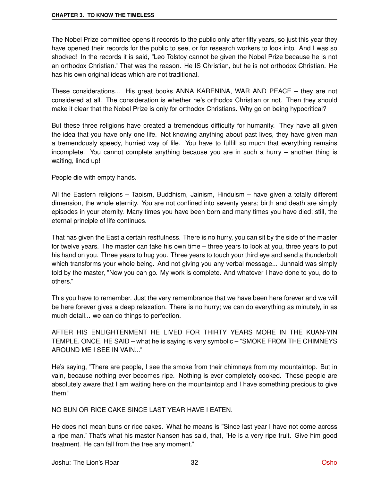The Nobel Prize committee opens it records to the public only after fifty years, so just this year they have opened their records for the public to see, or for research workers to look into. And I was so shocked! In the records it is said, "Leo Tolstoy cannot be given the Nobel Prize because he is not an orthodox Christian." That was the reason. He IS Christian, but he is not orthodox Christian. He has his own original ideas which are not traditional.

These considerations... His great books ANNA KARENINA, WAR AND PEACE – they are not considered at all. The consideration is whether he's orthodox Christian or not. Then they should make it clear that the Nobel Prize is only for orthodox Christians. Why go on being hypocritical?

But these three religions have created a tremendous difficulty for humanity. They have all given the idea that you have only one life. Not knowing anything about past lives, they have given man a tremendously speedy, hurried way of life. You have to fulfill so much that everything remains incomplete. You cannot complete anything because you are in such a hurry – another thing is waiting, lined up!

People die with empty hands.

All the Eastern religions – Taoism, Buddhism, Jainism, Hinduism – have given a totally different dimension, the whole eternity. You are not confined into seventy years; birth and death are simply episodes in your eternity. Many times you have been born and many times you have died; still, the eternal principle of life continues.

That has given the East a certain restfulness. There is no hurry, you can sit by the side of the master for twelve years. The master can take his own time – three years to look at you, three years to put his hand on you. Three years to hug you. Three years to touch your third eye and send a thunderbolt which transforms your whole being. And not giving you any verbal message... Junnaid was simply told by the master, "Now you can go. My work is complete. And whatever I have done to you, do to others."

This you have to remember. Just the very remembrance that we have been here forever and we will be here forever gives a deep relaxation. There is no hurry; we can do everything as minutely, in as much detail... we can do things to perfection.

AFTER HIS ENLIGHTENMENT HE LIVED FOR THIRTY YEARS MORE IN THE KUAN-YIN TEMPLE. ONCE, HE SAID – what he is saying is very symbolic – "SMOKE FROM THE CHIMNEYS AROUND ME I SEE IN VAIN..."

He's saying, "There are people, I see the smoke from their chimneys from my mountaintop. But in vain, because nothing ever becomes ripe. Nothing is ever completely cooked. These people are absolutely aware that I am waiting here on the mountaintop and I have something precious to give them."

NO BUN OR RICE CAKE SINCE LAST YEAR HAVE I EATEN.

He does not mean buns or rice cakes. What he means is "Since last year I have not come across a ripe man." That's what his master Nansen has said, that, "He is a very ripe fruit. Give him good treatment. He can fall from the tree any moment."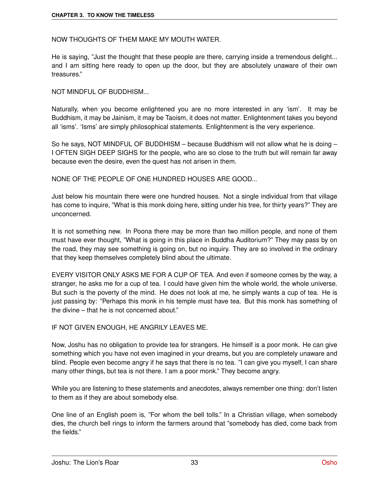### NOW THOUGHTS OF THEM MAKE MY MOUTH WATER.

He is saying, "Just the thought that these people are there, carrying inside a tremendous delight... and I am sitting here ready to open up the door, but they are absolutely unaware of their own treasures."

NOT MINDEUL OF BUDDHISM

Naturally, when you become enlightened you are no more interested in any 'ism'. It may be Buddhism, it may be Jainism, it may be Taoism, it does not matter. Enlightenment takes you beyond all 'isms'. 'Isms' are simply philosophical statements. Enlightenment is the very experience.

So he says, NOT MINDFUL OF BUDDHISM – because Buddhism will not allow what he is doing – I OFTEN SIGH DEEP SIGHS for the people, who are so close to the truth but will remain far away because even the desire, even the quest has not arisen in them.

NONE OF THE PEOPLE OF ONE HUNDRED HOUSES ARE GOOD...

Just below his mountain there were one hundred houses. Not a single individual from that village has come to inquire, "What is this monk doing here, sitting under his tree, for thirty years?" They are unconcerned.

It is not something new. In Poona there may be more than two million people, and none of them must have ever thought, "What is going in this place in Buddha Auditorium?" They may pass by on the road, they may see something is going on, but no inquiry. They are so involved in the ordinary that they keep themselves completely blind about the ultimate.

EVERY VISITOR ONLY ASKS ME FOR A CUP OF TEA. And even if someone comes by the way, a stranger, he asks me for a cup of tea. I could have given him the whole world, the whole universe. But such is the poverty of the mind. He does not look at me, he simply wants a cup of tea. He is just passing by: "Perhaps this monk in his temple must have tea. But this monk has something of the divine – that he is not concerned about."

IF NOT GIVEN ENOUGH, HE ANGRILY LEAVES ME.

Now, Joshu has no obligation to provide tea for strangers. He himself is a poor monk. He can give something which you have not even imagined in your dreams, but you are completely unaware and blind. People even become angry if he says that there is no tea. "I can give you myself, I can share many other things, but tea is not there. I am a poor monk." They become angry.

While you are listening to these statements and anecdotes, always remember one thing: don't listen to them as if they are about somebody else.

One line of an English poem is, "For whom the bell tolls." In a Christian village, when somebody dies, the church bell rings to inform the farmers around that "somebody has died, come back from the fields."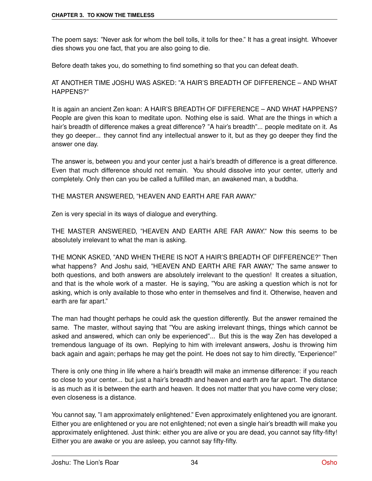The poem says: "Never ask for whom the bell tolls, it tolls for thee." It has a great insight. Whoever dies shows you one fact, that you are also going to die.

Before death takes you, do something to find something so that you can defeat death.

### AT ANOTHER TIME JOSHU WAS ASKED: "A HAIR'S BREADTH OF DIFFERENCE – AND WHAT HAPPENS?"

It is again an ancient Zen koan: A HAIR'S BREADTH OF DIFFERENCE – AND WHAT HAPPENS? People are given this koan to meditate upon. Nothing else is said. What are the things in which a hair's breadth of difference makes a great difference? "A hair's breadth"... people meditate on it. As they go deeper... they cannot find any intellectual answer to it, but as they go deeper they find the answer one day.

The answer is, between you and your center just a hair's breadth of difference is a great difference. Even that much difference should not remain. You should dissolve into your center, utterly and completely. Only then can you be called a fulfilled man, an awakened man, a buddha.

THE MASTER ANSWERED, "HEAVEN AND EARTH ARE FAR AWAY."

Zen is very special in its ways of dialogue and everything.

THE MASTER ANSWERED, "HEAVEN AND EARTH ARE FAR AWAY." Now this seems to be absolutely irrelevant to what the man is asking.

THE MONK ASKED, "AND WHEN THERE IS NOT A HAIR'S BREADTH OF DIFFERENCE?" Then what happens? And Joshu said, "HEAVEN AND EARTH ARE FAR AWAY," The same answer to both questions, and both answers are absolutely irrelevant to the question! It creates a situation, and that is the whole work of a master. He is saying, "You are asking a question which is not for asking, which is only available to those who enter in themselves and find it. Otherwise, heaven and earth are far apart."

The man had thought perhaps he could ask the question differently. But the answer remained the same. The master, without saying that "You are asking irrelevant things, things which cannot be asked and answered, which can only be experienced"... But this is the way Zen has developed a tremendous language of its own. Replying to him with irrelevant answers, Joshu is throwing him back again and again; perhaps he may get the point. He does not say to him directly, "Experience!"

There is only one thing in life where a hair's breadth will make an immense difference: if you reach so close to your center... but just a hair's breadth and heaven and earth are far apart. The distance is as much as it is between the earth and heaven. It does not matter that you have come very close; even closeness is a distance.

You cannot say, "I am approximately enlightened." Even approximately enlightened you are ignorant. Either you are enlightened or you are not enlightened; not even a single hair's breadth will make you approximately enlightened. Just think: either you are alive or you are dead, you cannot say fifty-fifty! Either you are awake or you are asleep, you cannot say fifty-fifty.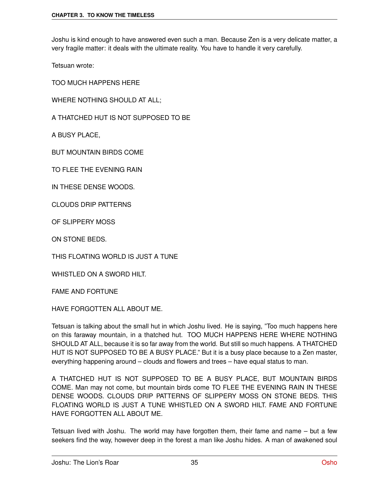Joshu is kind enough to have answered even such a man. Because Zen is a very delicate matter, a very fragile matter: it deals with the ultimate reality. You have to handle it very carefully.

Tetsuan wrote:

TOO MUCH HAPPENS HERE

WHERE NOTHING SHOULD AT ALL;

A THATCHED HUT IS NOT SUPPOSED TO BE

A BUSY PLACE,

BUT MOUNTAIN BIRDS COME

TO FLEE THE EVENING RAIN

IN THESE DENSE WOODS.

CLOUDS DRIP PATTERNS

OF SLIPPERY MOSS

ON STONE BEDS.

THIS FLOATING WORLD IS JUST A TUNE

WHISTLED ON A SWORD HILT.

FAME AND FORTUNE

HAVE FORGOTTEN ALL ABOUT ME.

Tetsuan is talking about the small hut in which Joshu lived. He is saying, "Too much happens here on this faraway mountain, in a thatched hut. TOO MUCH HAPPENS HERE WHERE NOTHING SHOULD AT ALL, because it is so far away from the world. But still so much happens. A THATCHED HUT IS NOT SUPPOSED TO BE A BUSY PLACE." But it is a busy place because to a Zen master, everything happening around – clouds and flowers and trees – have equal status to man.

A THATCHED HUT IS NOT SUPPOSED TO BE A BUSY PLACE, BUT MOUNTAIN BIRDS COME. Man may not come, but mountain birds come TO FLEE THE EVENING RAIN IN THESE DENSE WOODS. CLOUDS DRIP PATTERNS OF SLIPPERY MOSS ON STONE BEDS. THIS FLOATING WORLD IS JUST A TUNE WHISTLED ON A SWORD HILT. FAME AND FORTUNE HAVE FORGOTTEN ALL ABOUT ME.

Tetsuan lived with Joshu. The world may have forgotten them, their fame and name – but a few seekers find the way, however deep in the forest a man like Joshu hides. A man of awakened soul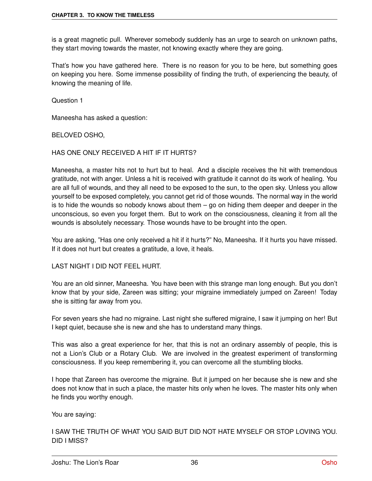is a great magnetic pull. Wherever somebody suddenly has an urge to search on unknown paths, they start moving towards the master, not knowing exactly where they are going.

That's how you have gathered here. There is no reason for you to be here, but something goes on keeping you here. Some immense possibility of finding the truth, of experiencing the beauty, of knowing the meaning of life.

Question 1

Maneesha has asked a question:

#### BELOVED OSHO,

### HAS ONE ONLY RECEIVED A HIT IF IT HURTS?

Maneesha, a master hits not to hurt but to heal. And a disciple receives the hit with tremendous gratitude, not with anger. Unless a hit is received with gratitude it cannot do its work of healing. You are all full of wounds, and they all need to be exposed to the sun, to the open sky. Unless you allow yourself to be exposed completely, you cannot get rid of those wounds. The normal way in the world is to hide the wounds so nobody knows about them – go on hiding them deeper and deeper in the unconscious, so even you forget them. But to work on the consciousness, cleaning it from all the wounds is absolutely necessary. Those wounds have to be brought into the open.

You are asking, "Has one only received a hit if it hurts?" No, Maneesha. If it hurts you have missed. If it does not hurt but creates a gratitude, a love, it heals.

#### LAST NIGHT I DID NOT FEEL HURT.

You are an old sinner, Maneesha. You have been with this strange man long enough. But you don't know that by your side, Zareen was sitting; your migraine immediately jumped on Zareen! Today she is sitting far away from you.

For seven years she had no migraine. Last night she suffered migraine, I saw it jumping on her! But I kept quiet, because she is new and she has to understand many things.

This was also a great experience for her, that this is not an ordinary assembly of people, this is not a Lion's Club or a Rotary Club. We are involved in the greatest experiment of transforming consciousness. If you keep remembering it, you can overcome all the stumbling blocks.

I hope that Zareen has overcome the migraine. But it jumped on her because she is new and she does not know that in such a place, the master hits only when he loves. The master hits only when he finds you worthy enough.

You are saying:

I SAW THE TRUTH OF WHAT YOU SAID BUT DID NOT HATE MYSELF OR STOP LOVING YOU. DID I MISS?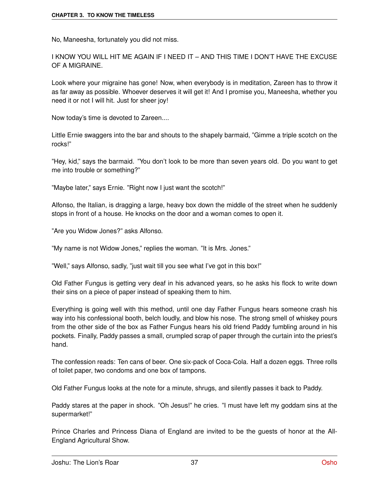No, Maneesha, fortunately you did not miss.

I KNOW YOU WILL HIT ME AGAIN IF I NEED IT – AND THIS TIME I DON'T HAVE THE EXCUSE OF A MIGRAINE.

Look where your migraine has gone! Now, when everybody is in meditation, Zareen has to throw it as far away as possible. Whoever deserves it will get it! And I promise you, Maneesha, whether you need it or not I will hit. Just for sheer joy!

Now today's time is devoted to Zareen....

Little Ernie swaggers into the bar and shouts to the shapely barmaid, "Gimme a triple scotch on the rocks!"

"Hey, kid," says the barmaid. "You don't look to be more than seven years old. Do you want to get me into trouble or something?"

"Maybe later," says Ernie. "Right now I just want the scotch!"

Alfonso, the Italian, is dragging a large, heavy box down the middle of the street when he suddenly stops in front of a house. He knocks on the door and a woman comes to open it.

"Are you Widow Jones?" asks Alfonso.

"My name is not Widow Jones," replies the woman. "It is Mrs. Jones."

"Well," says Alfonso, sadly, "just wait till you see what I've got in this box!"

Old Father Fungus is getting very deaf in his advanced years, so he asks his flock to write down their sins on a piece of paper instead of speaking them to him.

Everything is going well with this method, until one day Father Fungus hears someone crash his way into his confessional booth, belch loudly, and blow his nose. The strong smell of whiskey pours from the other side of the box as Father Fungus hears his old friend Paddy fumbling around in his pockets. Finally, Paddy passes a small, crumpled scrap of paper through the curtain into the priest's hand.

The confession reads: Ten cans of beer. One six-pack of Coca-Cola. Half a dozen eggs. Three rolls of toilet paper, two condoms and one box of tampons.

Old Father Fungus looks at the note for a minute, shrugs, and silently passes it back to Paddy.

Paddy stares at the paper in shock. "Oh Jesus!" he cries. "I must have left my goddam sins at the supermarket!"

Prince Charles and Princess Diana of England are invited to be the guests of honor at the All-England Agricultural Show.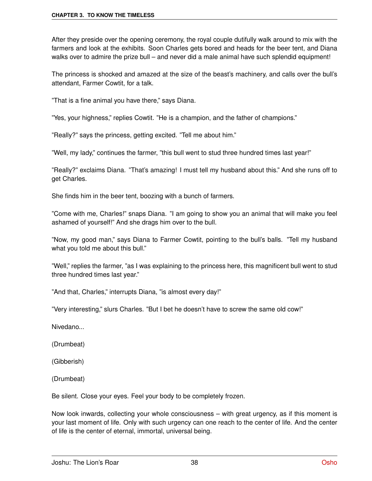After they preside over the opening ceremony, the royal couple dutifully walk around to mix with the farmers and look at the exhibits. Soon Charles gets bored and heads for the beer tent, and Diana walks over to admire the prize bull – and never did a male animal have such splendid equipment!

The princess is shocked and amazed at the size of the beast's machinery, and calls over the bull's attendant, Farmer Cowtit, for a talk.

"That is a fine animal you have there," says Diana.

"Yes, your highness," replies Cowtit. "He is a champion, and the father of champions."

"Really?" says the princess, getting excited. "Tell me about him."

"Well, my lady," continues the farmer, "this bull went to stud three hundred times last year!"

"Really?" exclaims Diana. "That's amazing! I must tell my husband about this." And she runs off to get Charles.

She finds him in the beer tent, boozing with a bunch of farmers.

"Come with me, Charles!" snaps Diana. "I am going to show you an animal that will make you feel ashamed of yourself!" And she drags him over to the bull.

"Now, my good man," says Diana to Farmer Cowtit, pointing to the bull's balls. "Tell my husband what you told me about this bull."

"Well," replies the farmer, "as I was explaining to the princess here, this magnificent bull went to stud three hundred times last year."

"And that, Charles," interrupts Diana, "is almost every day!"

"Very interesting," slurs Charles. "But I bet he doesn't have to screw the same old cow!"

Nivedano...

(Drumbeat)

(Gibberish)

(Drumbeat)

Be silent. Close your eyes. Feel your body to be completely frozen.

Now look inwards, collecting your whole consciousness – with great urgency, as if this moment is your last moment of life. Only with such urgency can one reach to the center of life. And the center of life is the center of eternal, immortal, universal being.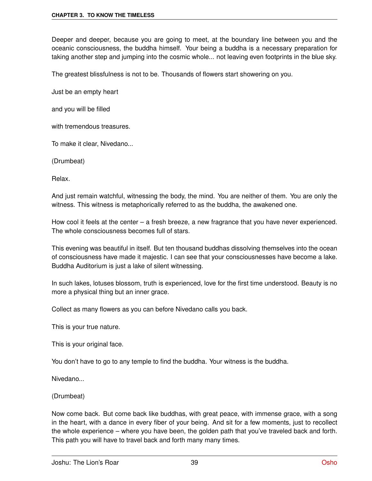Deeper and deeper, because you are going to meet, at the boundary line between you and the oceanic consciousness, the buddha himself. Your being a buddha is a necessary preparation for taking another step and jumping into the cosmic whole... not leaving even footprints in the blue sky.

The greatest blissfulness is not to be. Thousands of flowers start showering on you.

Just be an empty heart

and you will be filled

with tremendous treasures.

To make it clear, Nivedano...

(Drumbeat)

Relax.

And just remain watchful, witnessing the body, the mind. You are neither of them. You are only the witness. This witness is metaphorically referred to as the buddha, the awakened one.

How cool it feels at the center – a fresh breeze, a new fragrance that you have never experienced. The whole consciousness becomes full of stars.

This evening was beautiful in itself. But ten thousand buddhas dissolving themselves into the ocean of consciousness have made it majestic. I can see that your consciousnesses have become a lake. Buddha Auditorium is just a lake of silent witnessing.

In such lakes, lotuses blossom, truth is experienced, love for the first time understood. Beauty is no more a physical thing but an inner grace.

Collect as many flowers as you can before Nivedano calls you back.

This is your true nature.

This is your original face.

You don't have to go to any temple to find the buddha. Your witness is the buddha.

Nivedano...

(Drumbeat)

Now come back. But come back like buddhas, with great peace, with immense grace, with a song in the heart, with a dance in every fiber of your being. And sit for a few moments, just to recollect the whole experience – where you have been, the golden path that you've traveled back and forth. This path you will have to travel back and forth many many times.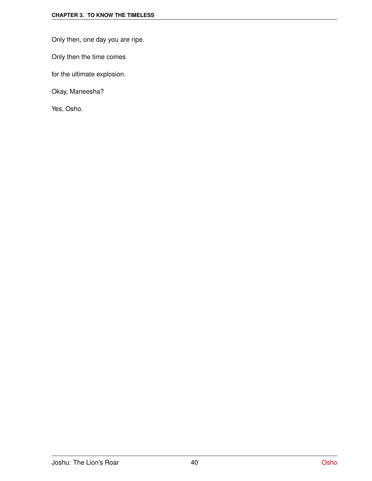Only then, one day you are ripe.

Only then the time comes

for the ultimate explosion.

Okay, Maneesha?

Yes, Osho.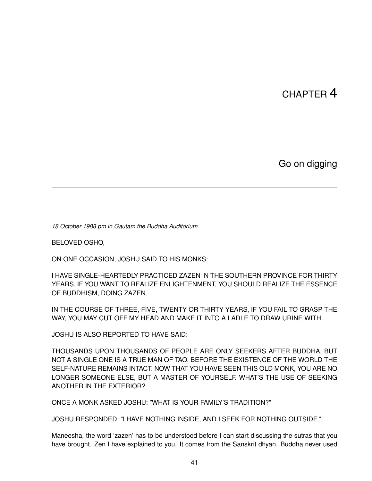## CHAPTER 4

Go on digging

*18 October 1988 pm in Gautam the Buddha Auditorium*

BELOVED OSHO,

ON ONE OCCASION, JOSHU SAID TO HIS MONKS:

I HAVE SINGLE-HEARTEDLY PRACTICED ZAZEN IN THE SOUTHERN PROVINCE FOR THIRTY YEARS. IF YOU WANT TO REALIZE ENLIGHTENMENT, YOU SHOULD REALIZE THE ESSENCE OF BUDDHISM, DOING ZAZEN.

IN THE COURSE OF THREE, FIVE, TWENTY OR THIRTY YEARS, IF YOU FAIL TO GRASP THE WAY, YOU MAY CUT OFF MY HEAD AND MAKE IT INTO A LADLE TO DRAW URINE WITH.

JOSHU IS ALSO REPORTED TO HAVE SAID:

THOUSANDS UPON THOUSANDS OF PEOPLE ARE ONLY SEEKERS AFTER BUDDHA, BUT NOT A SINGLE ONE IS A TRUE MAN OF TAO. BEFORE THE EXISTENCE OF THE WORLD THE SELF-NATURE REMAINS INTACT. NOW THAT YOU HAVE SEEN THIS OLD MONK, YOU ARE NO LONGER SOMEONE ELSE, BUT A MASTER OF YOURSELF. WHAT'S THE USE OF SEEKING ANOTHER IN THE EXTERIOR?

ONCE A MONK ASKED JOSHU: "WHAT IS YOUR FAMILY'S TRADITION?"

JOSHU RESPONDED: "I HAVE NOTHING INSIDE, AND I SEEK FOR NOTHING OUTSIDE."

Maneesha, the word 'zazen' has to be understood before I can start discussing the sutras that you have brought. Zen I have explained to you. It comes from the Sanskrit dhyan. Buddha never used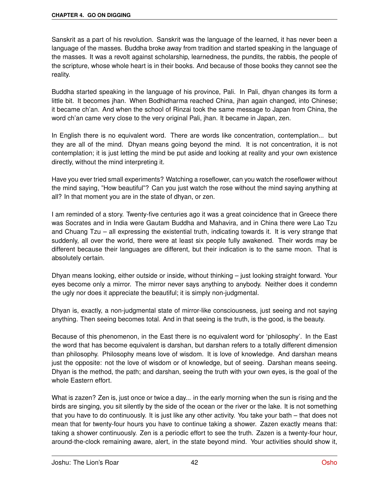Sanskrit as a part of his revolution. Sanskrit was the language of the learned, it has never been a language of the masses. Buddha broke away from tradition and started speaking in the language of the masses. It was a revolt against scholarship, learnedness, the pundits, the rabbis, the people of the scripture, whose whole heart is in their books. And because of those books they cannot see the reality.

Buddha started speaking in the language of his province, Pali. In Pali, dhyan changes its form a little bit. It becomes jhan. When Bodhidharma reached China, jhan again changed, into Chinese; it became ch'an. And when the school of Rinzai took the same message to Japan from China, the word ch'an came very close to the very original Pali, jhan. It became in Japan, zen.

In English there is no equivalent word. There are words like concentration, contemplation... but they are all of the mind. Dhyan means going beyond the mind. It is not concentration, it is not contemplation; it is just letting the mind be put aside and looking at reality and your own existence directly, without the mind interpreting it.

Have you ever tried small experiments? Watching a roseflower, can you watch the roseflower without the mind saying, "How beautiful"? Can you just watch the rose without the mind saying anything at all? In that moment you are in the state of dhyan, or zen.

I am reminded of a story. Twenty-five centuries ago it was a great coincidence that in Greece there was Socrates and in India were Gautam Buddha and Mahavira, and in China there were Lao Tzu and Chuang Tzu – all expressing the existential truth, indicating towards it. It is very strange that suddenly, all over the world, there were at least six people fully awakened. Their words may be different because their languages are different, but their indication is to the same moon. That is absolutely certain.

Dhyan means looking, either outside or inside, without thinking – just looking straight forward. Your eyes become only a mirror. The mirror never says anything to anybody. Neither does it condemn the ugly nor does it appreciate the beautiful; it is simply non-judgmental.

Dhyan is, exactly, a non-judgmental state of mirror-like consciousness, just seeing and not saying anything. Then seeing becomes total. And in that seeing is the truth, is the good, is the beauty.

Because of this phenomenon, in the East there is no equivalent word for 'philosophy'. In the East the word that has become equivalent is darshan, but darshan refers to a totally different dimension than philosophy. Philosophy means love of wisdom. It is love of knowledge. And darshan means just the opposite: not the love of wisdom or of knowledge, but of seeing. Darshan means seeing. Dhyan is the method, the path; and darshan, seeing the truth with your own eyes, is the goal of the whole Eastern effort.

What is zazen? Zen is, just once or twice a day... in the early morning when the sun is rising and the birds are singing, you sit silently by the side of the ocean or the river or the lake. It is not something that you have to do continuously. It is just like any other activity. You take your bath – that does not mean that for twenty-four hours you have to continue taking a shower. Zazen exactly means that: taking a shower continuously. Zen is a periodic effort to see the truth. Zazen is a twenty-four hour, around-the-clock remaining aware, alert, in the state beyond mind. Your activities should show it,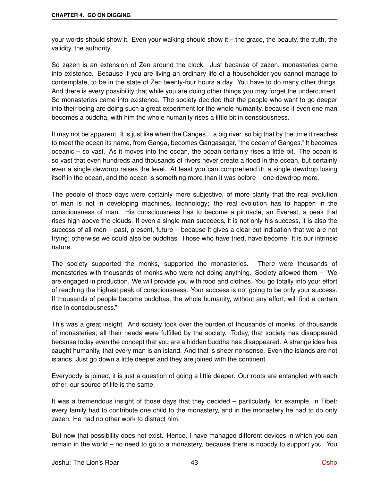your words should show it. Even your walking should show it – the grace, the beauty, the truth, the validity, the authority.

So zazen is an extension of Zen around the clock. Just because of zazen, monasteries came into existence. Because if you are living an ordinary life of a householder you cannot manage to contemplate, to be in the state of Zen twenty-four hours a day. You have to do many other things. And there is every possibility that while you are doing other things you may forget the undercurrent. So monasteries came into existence. The society decided that the people who want to go deeper into their being are doing such a great experiment for the whole humanity, because if even one man becomes a buddha, with him the whole humanity rises a little bit in consciousness.

It may not be apparent. It is just like when the Ganges... a big river, so big that by the time it reaches to meet the ocean its name, from Ganga, becomes Gangasagar, "the ocean of Ganges." It becomes oceanic – so vast. As it moves into the ocean, the ocean certainly rises a little bit. The ocean is so vast that even hundreds and thousands of rivers never create a flood in the ocean, but certainly even a single dewdrop raises the level. At least you can comprehend it: a single dewdrop losing itself in the ocean, and the ocean is something more than it was before – one dewdrop more.

The people of those days were certainly more subjective, of more clarity that the real evolution of man is not in developing machines, technology; the real evolution has to happen in the consciousness of man. His consciousness has to become a pinnacle, an Everest, a peak that rises high above the clouds. If even a single man succeeds, it is not only his success, it is also the success of all men – past, present, future – because it gives a clear-cut indication that we are not trying; otherwise we could also be buddhas. Those who have tried, have become. It is our intrinsic nature.

The society supported the monks, supported the monasteries. There were thousands of monasteries with thousands of monks who were not doing anything. Society allowed them – "We are engaged in production. We will provide you with food and clothes. You go totally into your effort of reaching the highest peak of consciousness. Your success is not going to be only your success. If thousands of people become buddhas, the whole humanity, without any effort, will find a certain rise in consciousness."

This was a great insight. And society took over the burden of thousands of monks, of thousands of monasteries; all their needs were fulfilled by the society. Today, that society has disappeared because today even the concept that you are a hidden buddha has disappeared. A strange idea has caught humanity, that every man is an island. And that is sheer nonsense. Even the islands are not islands. Just go down a little deeper and they are joined with the continent.

Everybody is joined, it is just a question of going a little deeper. Our roots are entangled with each other, our source of life is the same.

It was a tremendous insight of those days that they decided – particularly, for example, in Tibet: every family had to contribute one child to the monastery, and in the monastery he had to do only zazen. He had no other work to distract him.

But now that possibility does not exist. Hence, I have managed different devices in which you can remain in the world – no need to go to a monastery, because there is nobody to support you. You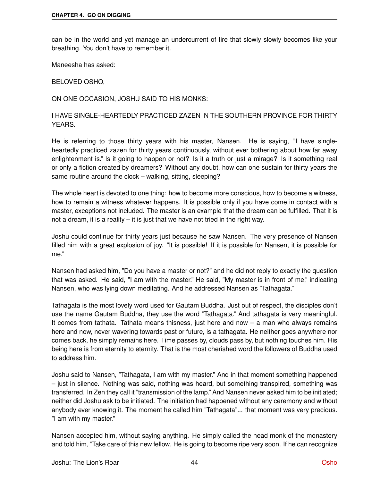can be in the world and yet manage an undercurrent of fire that slowly slowly becomes like your breathing. You don't have to remember it.

Maneesha has asked:

BELOVED OSHO,

ON ONE OCCASION, JOSHU SAID TO HIS MONKS:

I HAVE SINGLE-HEARTEDLY PRACTICED ZAZEN IN THE SOUTHERN PROVINCE FOR THIRTY YEARS.

He is referring to those thirty years with his master, Nansen. He is saying, "I have singleheartedly practiced zazen for thirty years continuously, without ever bothering about how far away enlightenment is." Is it going to happen or not? Is it a truth or just a mirage? Is it something real or only a fiction created by dreamers? Without any doubt, how can one sustain for thirty years the same routine around the clock – walking, sitting, sleeping?

The whole heart is devoted to one thing: how to become more conscious, how to become a witness, how to remain a witness whatever happens. It is possible only if you have come in contact with a master, exceptions not included. The master is an example that the dream can be fulfilled. That it is not a dream, it is a reality – it is just that we have not tried in the right way.

Joshu could continue for thirty years just because he saw Nansen. The very presence of Nansen filled him with a great explosion of joy. "It is possible! If it is possible for Nansen, it is possible for me."

Nansen had asked him, "Do you have a master or not?" and he did not reply to exactly the question that was asked. He said, "I am with the master." He said, "My master is in front of me," indicating Nansen, who was lying down meditating. And he addressed Nansen as "Tathagata."

Tathagata is the most lovely word used for Gautam Buddha. Just out of respect, the disciples don't use the name Gautam Buddha, they use the word "Tathagata." And tathagata is very meaningful. It comes from tathata. Tathata means thisness, just here and now – a man who always remains here and now, never wavering towards past or future, is a tathagata. He neither goes anywhere nor comes back, he simply remains here. Time passes by, clouds pass by, but nothing touches him. His being here is from eternity to eternity. That is the most cherished word the followers of Buddha used to address him.

Joshu said to Nansen, "Tathagata, I am with my master." And in that moment something happened – just in silence. Nothing was said, nothing was heard, but something transpired, something was transferred. In Zen they call it "transmission of the lamp." And Nansen never asked him to be initiated; neither did Joshu ask to be initiated. The initiation had happened without any ceremony and without anybody ever knowing it. The moment he called him "Tathagata"... that moment was very precious. "I am with my master."

Nansen accepted him, without saying anything. He simply called the head monk of the monastery and told him, "Take care of this new fellow. He is going to become ripe very soon. If he can recognize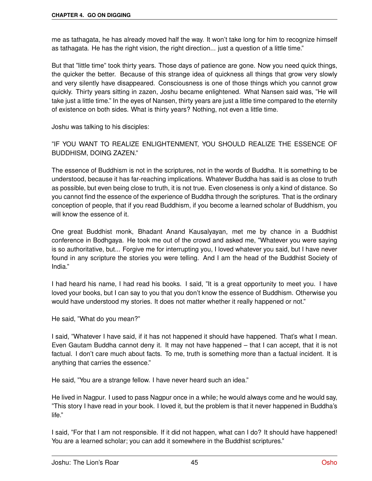me as tathagata, he has already moved half the way. It won't take long for him to recognize himself as tathagata. He has the right vision, the right direction... just a question of a little time."

But that "little time" took thirty years. Those days of patience are gone. Now you need quick things, the quicker the better. Because of this strange idea of quickness all things that grow very slowly and very silently have disappeared. Consciousness is one of those things which you cannot grow quickly. Thirty years sitting in zazen, Joshu became enlightened. What Nansen said was, "He will take just a little time." In the eyes of Nansen, thirty years are just a little time compared to the eternity of existence on both sides. What is thirty years? Nothing, not even a little time.

Joshu was talking to his disciples:

"IF YOU WANT TO REALIZE ENLIGHTENMENT, YOU SHOULD REALIZE THE ESSENCE OF BUDDHISM, DOING ZAZEN."

The essence of Buddhism is not in the scriptures, not in the words of Buddha. It is something to be understood, because it has far-reaching implications. Whatever Buddha has said is as close to truth as possible, but even being close to truth, it is not true. Even closeness is only a kind of distance. So you cannot find the essence of the experience of Buddha through the scriptures. That is the ordinary conception of people, that if you read Buddhism, if you become a learned scholar of Buddhism, you will know the essence of it.

One great Buddhist monk, Bhadant Anand Kausalyayan, met me by chance in a Buddhist conference in Bodhgaya. He took me out of the crowd and asked me, "Whatever you were saying is so authoritative, but... Forgive me for interrupting you, I loved whatever you said, but I have never found in any scripture the stories you were telling. And I am the head of the Buddhist Society of India."

I had heard his name, I had read his books. I said, "It is a great opportunity to meet you. I have loved your books, but I can say to you that you don't know the essence of Buddhism. Otherwise you would have understood my stories. It does not matter whether it really happened or not."

He said, "What do you mean?"

I said, "Whatever I have said, if it has not happened it should have happened. That's what I mean. Even Gautam Buddha cannot deny it. It may not have happened – that I can accept, that it is not factual. I don't care much about facts. To me, truth is something more than a factual incident. It is anything that carries the essence."

He said, "You are a strange fellow. I have never heard such an idea."

He lived in Nagpur. I used to pass Nagpur once in a while; he would always come and he would say, "This story I have read in your book. I loved it, but the problem is that it never happened in Buddha's life."

I said, "For that I am not responsible. If it did not happen, what can I do? It should have happened! You are a learned scholar; you can add it somewhere in the Buddhist scriptures."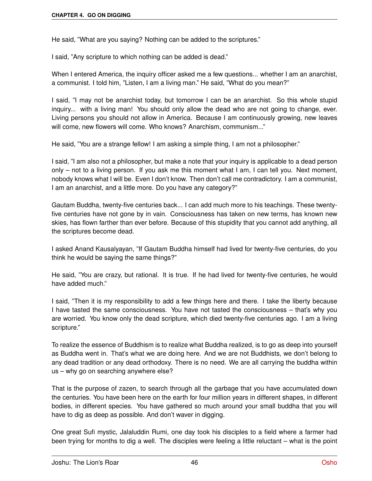He said, "What are you saying? Nothing can be added to the scriptures."

I said, "Any scripture to which nothing can be added is dead."

When I entered America, the inquiry officer asked me a few questions... whether I am an anarchist, a communist. I told him, "Listen, I am a living man." He said, "What do you mean?"

I said, "I may not be anarchist today, but tomorrow I can be an anarchist. So this whole stupid inquiry... with a living man! You should only allow the dead who are not going to change, ever. Living persons you should not allow in America. Because I am continuously growing, new leaves will come, new flowers will come. Who knows? Anarchism, communism..."

He said, "You are a strange fellow! I am asking a simple thing, I am not a philosopher."

I said, "I am also not a philosopher, but make a note that your inquiry is applicable to a dead person only – not to a living person. If you ask me this moment what I am, I can tell you. Next moment, nobody knows what I will be. Even I don't know. Then don't call me contradictory. I am a communist, I am an anarchist, and a little more. Do you have any category?"

Gautam Buddha, twenty-five centuries back... I can add much more to his teachings. These twentyfive centuries have not gone by in vain. Consciousness has taken on new terms, has known new skies, has flown farther than ever before. Because of this stupidity that you cannot add anything, all the scriptures become dead.

I asked Anand Kausalyayan, "If Gautam Buddha himself had lived for twenty-five centuries, do you think he would be saying the same things?"

He said, "You are crazy, but rational. It is true. If he had lived for twenty-five centuries, he would have added much."

I said, "Then it is my responsibility to add a few things here and there. I take the liberty because I have tasted the same consciousness. You have not tasted the consciousness – that's why you are worried. You know only the dead scripture, which died twenty-five centuries ago. I am a living scripture."

To realize the essence of Buddhism is to realize what Buddha realized, is to go as deep into yourself as Buddha went in. That's what we are doing here. And we are not Buddhists, we don't belong to any dead tradition or any dead orthodoxy. There is no need. We are all carrying the buddha within us – why go on searching anywhere else?

That is the purpose of zazen, to search through all the garbage that you have accumulated down the centuries. You have been here on the earth for four million years in different shapes, in different bodies, in different species. You have gathered so much around your small buddha that you will have to dig as deep as possible. And don't waver in digging.

One great Sufi mystic, Jalaluddin Rumi, one day took his disciples to a field where a farmer had been trying for months to dig a well. The disciples were feeling a little reluctant – what is the point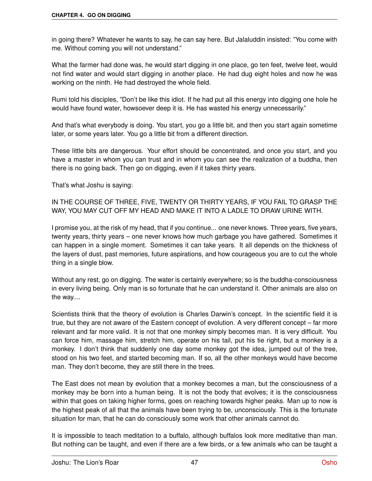in going there? Whatever he wants to say, he can say here. But Jalaluddin insisted: "You come with me. Without coming you will not understand."

What the farmer had done was, he would start digging in one place, go ten feet, twelve feet, would not find water and would start digging in another place. He had dug eight holes and now he was working on the ninth. He had destroyed the whole field.

Rumi told his disciples, "Don't be like this idiot. If he had put all this energy into digging one hole he would have found water, howsoever deep it is. He has wasted his energy unnecessarily."

And that's what everybody is doing. You start, you go a little bit, and then you start again sometime later, or some years later. You go a little bit from a different direction.

These little bits are dangerous. Your effort should be concentrated, and once you start, and you have a master in whom you can trust and in whom you can see the realization of a buddha, then there is no going back. Then go on digging, even if it takes thirty years.

That's what Joshu is saying:

IN THE COURSE OF THREE, FIVE, TWENTY OR THIRTY YEARS, IF YOU FAIL TO GRASP THE WAY, YOU MAY CUT OFF MY HEAD AND MAKE IT INTO A LADLE TO DRAW URINE WITH.

I promise you, at the risk of my head, that if you continue... one never knows. Three years, five years, twenty years, thirty years – one never knows how much garbage you have gathered. Sometimes it can happen in a single moment. Sometimes it can take years. It all depends on the thickness of the layers of dust, past memories, future aspirations, and how courageous you are to cut the whole thing in a single blow.

Without any rest, go on digging. The water is certainly everywhere; so is the buddha-consciousness in every living being. Only man is so fortunate that he can understand it. Other animals are also on the way....

Scientists think that the theory of evolution is Charles Darwin's concept. In the scientific field it is true, but they are not aware of the Eastern concept of evolution. A very different concept – far more relevant and far more valid. It is not that one monkey simply becomes man. It is very difficult. You can force him, massage him, stretch him, operate on his tail, put his tie right, but a monkey is a monkey. I don't think that suddenly one day some monkey got the idea, jumped out of the tree, stood on his two feet, and started becoming man. If so, all the other monkeys would have become man. They don't become, they are still there in the trees.

The East does not mean by evolution that a monkey becomes a man, but the consciousness of a monkey may be born into a human being. It is not the body that evolves; it is the consciousness within that goes on taking higher forms, goes on reaching towards higher peaks. Man up to now is the highest peak of all that the animals have been trying to be, unconsciously. This is the fortunate situation for man, that he can do consciously some work that other animals cannot do.

It is impossible to teach meditation to a buffalo, although buffalos look more meditative than man. But nothing can be taught, and even if there are a few birds, or a few animals who can be taught a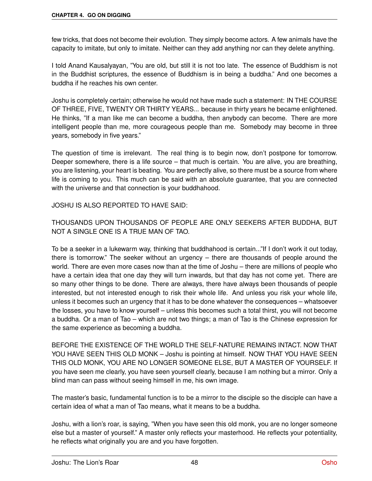few tricks, that does not become their evolution. They simply become actors. A few animals have the capacity to imitate, but only to imitate. Neither can they add anything nor can they delete anything.

I told Anand Kausalyayan, "You are old, but still it is not too late. The essence of Buddhism is not in the Buddhist scriptures, the essence of Buddhism is in being a buddha." And one becomes a buddha if he reaches his own center.

Joshu is completely certain; otherwise he would not have made such a statement: IN THE COURSE OF THREE, FIVE, TWENTY OR THIRTY YEARS... because in thirty years he became enlightened. He thinks, "If a man like me can become a buddha, then anybody can become. There are more intelligent people than me, more courageous people than me. Somebody may become in three years, somebody in five years."

The question of time is irrelevant. The real thing is to begin now, don't postpone for tomorrow. Deeper somewhere, there is a life source – that much is certain. You are alive, you are breathing, you are listening, your heart is beating. You are perfectly alive, so there must be a source from where life is coming to you. This much can be said with an absolute guarantee, that you are connected with the universe and that connection is your buddhahood.

JOSHU IS ALSO REPORTED TO HAVE SAID:

THOUSANDS UPON THOUSANDS OF PEOPLE ARE ONLY SEEKERS AFTER BUDDHA, BUT NOT A SINGLE ONE IS A TRUE MAN OF TAO.

To be a seeker in a lukewarm way, thinking that buddhahood is certain..."If I don't work it out today, there is tomorrow." The seeker without an urgency – there are thousands of people around the world. There are even more cases now than at the time of Joshu – there are millions of people who have a certain idea that one day they will turn inwards, but that day has not come yet. There are so many other things to be done. There are always, there have always been thousands of people interested, but not interested enough to risk their whole life. And unless you risk your whole life, unless it becomes such an urgency that it has to be done whatever the consequences – whatsoever the losses, you have to know yourself – unless this becomes such a total thirst, you will not become a buddha. Or a man of Tao – which are not two things; a man of Tao is the Chinese expression for the same experience as becoming a buddha.

BEFORE THE EXISTENCE OF THE WORLD THE SELF-NATURE REMAINS INTACT. NOW THAT YOU HAVE SEEN THIS OLD MONK – Joshu is pointing at himself. NOW THAT YOU HAVE SEEN THIS OLD MONK, YOU ARE NO LONGER SOMEONE ELSE, BUT A MASTER OF YOURSELF. If you have seen me clearly, you have seen yourself clearly, because I am nothing but a mirror. Only a blind man can pass without seeing himself in me, his own image.

The master's basic, fundamental function is to be a mirror to the disciple so the disciple can have a certain idea of what a man of Tao means, what it means to be a buddha.

Joshu, with a lion's roar, is saying, "When you have seen this old monk, you are no longer someone else but a master of yourself." A master only reflects your masterhood. He reflects your potentiality, he reflects what originally you are and you have forgotten.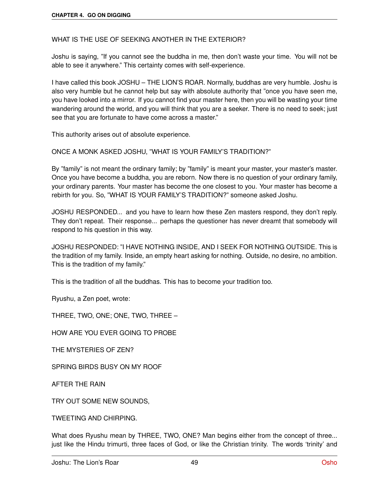WHAT IS THE USE OF SEEKING ANOTHER IN THE EXTERIOR?

Joshu is saying, "If you cannot see the buddha in me, then don't waste your time. You will not be able to see it anywhere." This certainty comes with self-experience.

I have called this book JOSHU – THE LION'S ROAR. Normally, buddhas are very humble. Joshu is also very humble but he cannot help but say with absolute authority that "once you have seen me, you have looked into a mirror. If you cannot find your master here, then you will be wasting your time wandering around the world, and you will think that you are a seeker. There is no need to seek; just see that you are fortunate to have come across a master."

This authority arises out of absolute experience.

ONCE A MONK ASKED JOSHU, "WHAT IS YOUR FAMILY'S TRADITION?"

By "family" is not meant the ordinary family; by "family" is meant your master, your master's master. Once you have become a buddha, you are reborn. Now there is no question of your ordinary family, your ordinary parents. Your master has become the one closest to you. Your master has become a rebirth for you. So, "WHAT IS YOUR FAMILY'S TRADITION?" someone asked Joshu.

JOSHU RESPONDED... and you have to learn how these Zen masters respond, they don't reply. They don't repeat. Their response... perhaps the questioner has never dreamt that somebody will respond to his question in this way.

JOSHU RESPONDED: "I HAVE NOTHING INSIDE, AND I SEEK FOR NOTHING OUTSIDE. This is the tradition of my family. Inside, an empty heart asking for nothing. Outside, no desire, no ambition. This is the tradition of my family."

This is the tradition of all the buddhas. This has to become your tradition too.

Ryushu, a Zen poet, wrote:

THREE, TWO, ONE; ONE, TWO, THREE –

HOW ARE YOU EVER GOING TO PROBE

THE MYSTERIES OF ZEN?

SPRING BIRDS BUSY ON MY ROOF

AFTER THE RAIN

TRY OUT SOME NEW SOUNDS,

TWEETING AND CHIRPING.

What does Ryushu mean by THREE, TWO, ONE? Man begins either from the concept of three... just like the Hindu trimurti, three faces of God, or like the Christian trinity. The words 'trinity' and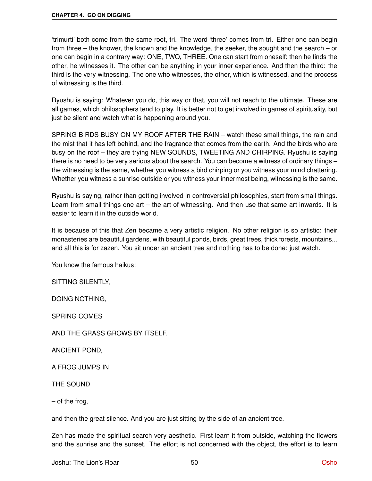'trimurti' both come from the same root, tri. The word 'three' comes from tri. Either one can begin from three – the knower, the known and the knowledge, the seeker, the sought and the search – or one can begin in a contrary way: ONE, TWO, THREE. One can start from oneself; then he finds the other, he witnesses it. The other can be anything in your inner experience. And then the third: the third is the very witnessing. The one who witnesses, the other, which is witnessed, and the process of witnessing is the third.

Ryushu is saying: Whatever you do, this way or that, you will not reach to the ultimate. These are all games, which philosophers tend to play. It is better not to get involved in games of spirituality, but just be silent and watch what is happening around you.

SPRING BIRDS BUSY ON MY ROOF AFTER THE RAIN – watch these small things, the rain and the mist that it has left behind, and the fragrance that comes from the earth. And the birds who are busy on the roof – they are trying NEW SOUNDS, TWEETING AND CHIRPING. Ryushu is saying there is no need to be very serious about the search. You can become a witness of ordinary things – the witnessing is the same, whether you witness a bird chirping or you witness your mind chattering. Whether you witness a sunrise outside or you witness your innermost being, witnessing is the same.

Ryushu is saying, rather than getting involved in controversial philosophies, start from small things. Learn from small things one art – the art of witnessing. And then use that same art inwards. It is easier to learn it in the outside world.

It is because of this that Zen became a very artistic religion. No other religion is so artistic: their monasteries are beautiful gardens, with beautiful ponds, birds, great trees, thick forests, mountains... and all this is for zazen. You sit under an ancient tree and nothing has to be done: just watch.

You know the famous haikus:

SITTING SILENTLY,

DOING NOTHING,

SPRING COMES

AND THE GRASS GROWS BY ITSELF.

ANCIENT POND,

A FROG JUMPS IN

THE SOUND

– of the frog,

and then the great silence. And you are just sitting by the side of an ancient tree.

Zen has made the spiritual search very aesthetic. First learn it from outside, watching the flowers and the sunrise and the sunset. The effort is not concerned with the object, the effort is to learn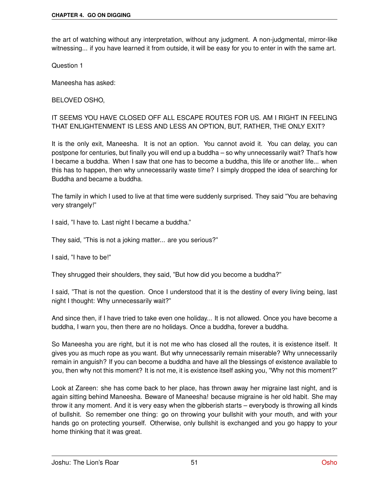the art of watching without any interpretation, without any judgment. A non-judgmental, mirror-like witnessing... if you have learned it from outside, it will be easy for you to enter in with the same art.

Question 1

Maneesha has asked:

BELOVED OSHO,

IT SEEMS YOU HAVE CLOSED OFF ALL ESCAPE ROUTES FOR US. AM I RIGHT IN FEELING THAT ENLIGHTENMENT IS LESS AND LESS AN OPTION, BUT, RATHER, THE ONLY EXIT?

It is the only exit, Maneesha. It is not an option. You cannot avoid it. You can delay, you can postpone for centuries, but finally you will end up a buddha – so why unnecessarily wait? That's how I became a buddha. When I saw that one has to become a buddha, this life or another life... when this has to happen, then why unnecessarily waste time? I simply dropped the idea of searching for Buddha and became a buddha.

The family in which I used to live at that time were suddenly surprised. They said "You are behaving very strangely!"

I said, "I have to. Last night I became a buddha."

They said, "This is not a joking matter... are you serious?"

I said, "I have to be!"

They shrugged their shoulders, they said, "But how did you become a buddha?"

I said, "That is not the question. Once I understood that it is the destiny of every living being, last night I thought: Why unnecessarily wait?"

And since then, if I have tried to take even one holiday... It is not allowed. Once you have become a buddha, I warn you, then there are no holidays. Once a buddha, forever a buddha.

So Maneesha you are right, but it is not me who has closed all the routes, it is existence itself. It gives you as much rope as you want. But why unnecessarily remain miserable? Why unnecessarily remain in anguish? If you can become a buddha and have all the blessings of existence available to you, then why not this moment? It is not me, it is existence itself asking you, "Why not this moment?"

Look at Zareen: she has come back to her place, has thrown away her migraine last night, and is again sitting behind Maneesha. Beware of Maneesha! because migraine is her old habit. She may throw it any moment. And it is very easy when the gibberish starts – everybody is throwing all kinds of bullshit. So remember one thing: go on throwing your bullshit with your mouth, and with your hands go on protecting yourself. Otherwise, only bullshit is exchanged and you go happy to your home thinking that it was great.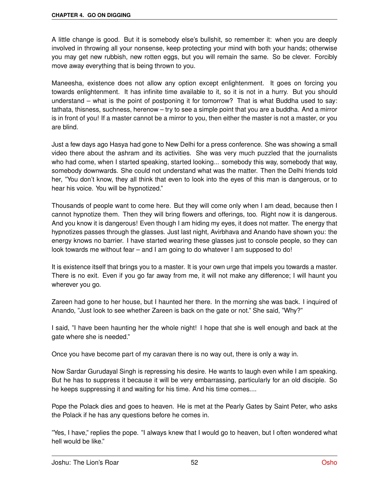A little change is good. But it is somebody else's bullshit, so remember it: when you are deeply involved in throwing all your nonsense, keep protecting your mind with both your hands; otherwise you may get new rubbish, new rotten eggs, but you will remain the same. So be clever. Forcibly move away everything that is being thrown to you.

Maneesha, existence does not allow any option except enlightenment. It goes on forcing you towards enlightenment. It has infinite time available to it, so it is not in a hurry. But you should understand – what is the point of postponing it for tomorrow? That is what Buddha used to say: tathata, thisness, suchness, herenow – try to see a simple point that you are a buddha. And a mirror is in front of you! If a master cannot be a mirror to you, then either the master is not a master, or you are blind.

Just a few days ago Hasya had gone to New Delhi for a press conference. She was showing a small video there about the ashram and its activities. She was very much puzzled that the journalists who had come, when I started speaking, started looking... somebody this way, somebody that way, somebody downwards. She could not understand what was the matter. Then the Delhi friends told her, "You don't know, they all think that even to look into the eyes of this man is dangerous, or to hear his voice. You will be hypnotized."

Thousands of people want to come here. But they will come only when I am dead, because then I cannot hypnotize them. Then they will bring flowers and offerings, too. Right now it is dangerous. And you know it is dangerous! Even though I am hiding my eyes, it does not matter. The energy that hypnotizes passes through the glasses. Just last night, Avirbhava and Anando have shown you: the energy knows no barrier. I have started wearing these glasses just to console people, so they can look towards me without fear – and I am going to do whatever I am supposed to do!

It is existence itself that brings you to a master. It is your own urge that impels you towards a master. There is no exit. Even if you go far away from me, it will not make any difference; I will haunt you wherever you go.

Zareen had gone to her house, but I haunted her there. In the morning she was back. I inquired of Anando, "Just look to see whether Zareen is back on the gate or not." She said, "Why?"

I said, "I have been haunting her the whole night! I hope that she is well enough and back at the gate where she is needed."

Once you have become part of my caravan there is no way out, there is only a way in.

Now Sardar Gurudayal Singh is repressing his desire. He wants to laugh even while I am speaking. But he has to suppress it because it will be very embarrassing, particularly for an old disciple. So he keeps suppressing it and waiting for his time. And his time comes....

Pope the Polack dies and goes to heaven. He is met at the Pearly Gates by Saint Peter, who asks the Polack if he has any questions before he comes in.

"Yes, I have," replies the pope. "I always knew that I would go to heaven, but I often wondered what hell would be like."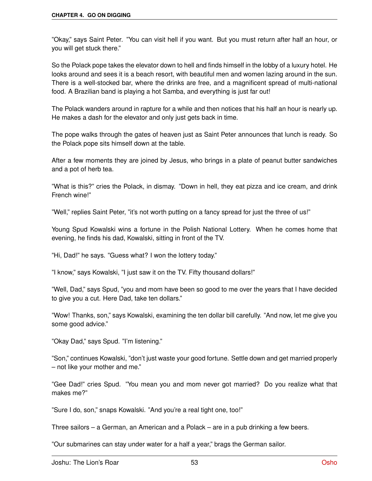"Okay," says Saint Peter. "You can visit hell if you want. But you must return after half an hour, or you will get stuck there."

So the Polack pope takes the elevator down to hell and finds himself in the lobby of a luxury hotel. He looks around and sees it is a beach resort, with beautiful men and women lazing around in the sun. There is a well-stocked bar, where the drinks are free, and a magnificent spread of multi-national food. A Brazilian band is playing a hot Samba, and everything is just far out!

The Polack wanders around in rapture for a while and then notices that his half an hour is nearly up. He makes a dash for the elevator and only just gets back in time.

The pope walks through the gates of heaven just as Saint Peter announces that lunch is ready. So the Polack pope sits himself down at the table.

After a few moments they are joined by Jesus, who brings in a plate of peanut butter sandwiches and a pot of herb tea.

"What is this?" cries the Polack, in dismay. "Down in hell, they eat pizza and ice cream, and drink French wine!"

"Well," replies Saint Peter, "it's not worth putting on a fancy spread for just the three of us!"

Young Spud Kowalski wins a fortune in the Polish National Lottery. When he comes home that evening, he finds his dad, Kowalski, sitting in front of the TV.

"Hi, Dad!" he says. "Guess what? I won the lottery today."

"I know," says Kowalski, "I just saw it on the TV. Fifty thousand dollars!"

"Well, Dad," says Spud, "you and mom have been so good to me over the years that I have decided to give you a cut. Here Dad, take ten dollars."

"Wow! Thanks, son," says Kowalski, examining the ten dollar bill carefully. "And now, let me give you some good advice."

"Okay Dad," says Spud. "I'm listening."

"Son," continues Kowalski, "don't just waste your good fortune. Settle down and get married properly – not like your mother and me."

"Gee Dad!" cries Spud. "You mean you and mom never got married? Do you realize what that makes me?"

"Sure I do, son," snaps Kowalski. "And you're a real tight one, too!"

Three sailors – a German, an American and a Polack – are in a pub drinking a few beers.

"Our submarines can stay under water for a half a year," brags the German sailor.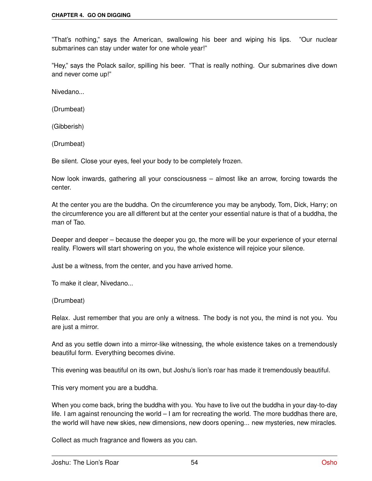"That's nothing," says the American, swallowing his beer and wiping his lips. "Our nuclear submarines can stay under water for one whole year!"

"Hey," says the Polack sailor, spilling his beer. "That is really nothing. Our submarines dive down and never come up!"

Nivedano...

(Drumbeat)

(Gibberish)

(Drumbeat)

Be silent. Close your eyes, feel your body to be completely frozen.

Now look inwards, gathering all your consciousness – almost like an arrow, forcing towards the center.

At the center you are the buddha. On the circumference you may be anybody, Tom, Dick, Harry; on the circumference you are all different but at the center your essential nature is that of a buddha, the man of Tao.

Deeper and deeper – because the deeper you go, the more will be your experience of your eternal reality. Flowers will start showering on you, the whole existence will rejoice your silence.

Just be a witness, from the center, and you have arrived home.

To make it clear, Nivedano...

(Drumbeat)

Relax. Just remember that you are only a witness. The body is not you, the mind is not you. You are just a mirror.

And as you settle down into a mirror-like witnessing, the whole existence takes on a tremendously beautiful form. Everything becomes divine.

This evening was beautiful on its own, but Joshu's lion's roar has made it tremendously beautiful.

This very moment you are a buddha.

When you come back, bring the buddha with you. You have to live out the buddha in your day-to-day life. I am against renouncing the world – I am for recreating the world. The more buddhas there are, the world will have new skies, new dimensions, new doors opening... new mysteries, new miracles.

Collect as much fragrance and flowers as you can.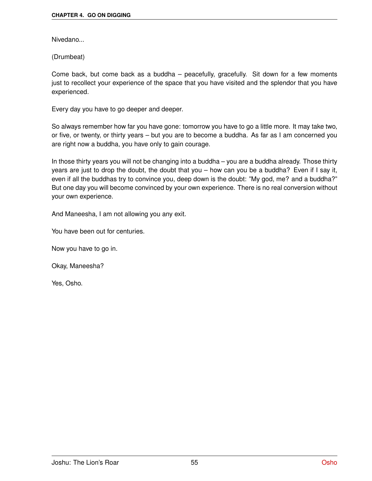Nivedano...

(Drumbeat)

Come back, but come back as a buddha – peacefully, gracefully. Sit down for a few moments just to recollect your experience of the space that you have visited and the splendor that you have experienced.

Every day you have to go deeper and deeper.

So always remember how far you have gone: tomorrow you have to go a little more. It may take two, or five, or twenty, or thirty years – but you are to become a buddha. As far as I am concerned you are right now a buddha, you have only to gain courage.

In those thirty years you will not be changing into a buddha – you are a buddha already. Those thirty years are just to drop the doubt, the doubt that you – how can you be a buddha? Even if I say it, even if all the buddhas try to convince you, deep down is the doubt: "My god, me? and a buddha?" But one day you will become convinced by your own experience. There is no real conversion without your own experience.

And Maneesha, I am not allowing you any exit.

You have been out for centuries.

Now you have to go in.

Okay, Maneesha?

Yes, Osho.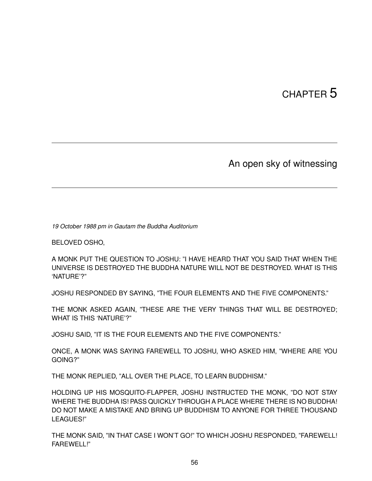# CHAPTER 5

### An open sky of witnessing

*19 October 1988 pm in Gautam the Buddha Auditorium*

BELOVED OSHO,

A MONK PUT THE QUESTION TO JOSHU: "I HAVE HEARD THAT YOU SAID THAT WHEN THE UNIVERSE IS DESTROYED THE BUDDHA NATURE WILL NOT BE DESTROYED. WHAT IS THIS 'NATURE'?"

JOSHU RESPONDED BY SAYING, "THE FOUR ELEMENTS AND THE FIVE COMPONENTS."

THE MONK ASKED AGAIN, "THESE ARE THE VERY THINGS THAT WILL BE DESTROYED; WHAT IS THIS 'NATURE'?"

JOSHU SAID, "IT IS THE FOUR ELEMENTS AND THE FIVE COMPONENTS."

ONCE, A MONK WAS SAYING FAREWELL TO JOSHU, WHO ASKED HIM, "WHERE ARE YOU GOING?"

THE MONK REPLIED, "ALL OVER THE PLACE, TO LEARN BUDDHISM."

HOLDING UP HIS MOSQUITO-FLAPPER, JOSHU INSTRUCTED THE MONK, "DO NOT STAY WHERE THE BUDDHA IS! PASS QUICKLY THROUGH A PLACE WHERE THERE IS NO BUDDHA! DO NOT MAKE A MISTAKE AND BRING UP BUDDHISM TO ANYONE FOR THREE THOUSAND LEAGUES!"

THE MONK SAID, "IN THAT CASE I WON'T GO!" TO WHICH JOSHU RESPONDED, "FAREWELL! FAREWELL!"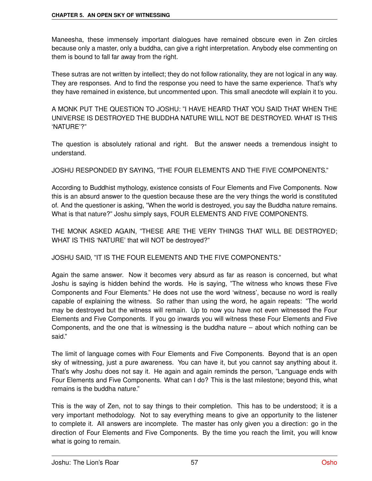Maneesha, these immensely important dialogues have remained obscure even in Zen circles because only a master, only a buddha, can give a right interpretation. Anybody else commenting on them is bound to fall far away from the right.

These sutras are not written by intellect; they do not follow rationality, they are not logical in any way. They are responses. And to find the response you need to have the same experience. That's why they have remained in existence, but uncommented upon. This small anecdote will explain it to you.

A MONK PUT THE QUESTION TO JOSHU: "I HAVE HEARD THAT YOU SAID THAT WHEN THE UNIVERSE IS DESTROYED THE BUDDHA NATURE WILL NOT BE DESTROYED. WHAT IS THIS 'NATURE'?"

The question is absolutely rational and right. But the answer needs a tremendous insight to understand.

JOSHU RESPONDED BY SAYING, "THE FOUR ELEMENTS AND THE FIVE COMPONENTS."

According to Buddhist mythology, existence consists of Four Elements and Five Components. Now this is an absurd answer to the question because these are the very things the world is constituted of. And the questioner is asking, "When the world is destroyed, you say the Buddha nature remains. What is that nature?" Joshu simply says, FOUR ELEMENTS AND FIVE COMPONENTS.

THE MONK ASKED AGAIN, "THESE ARE THE VERY THINGS THAT WILL BE DESTROYED; WHAT IS THIS 'NATURE' that will NOT be destroyed?"

JOSHU SAID, "IT IS THE FOUR ELEMENTS AND THE FIVE COMPONENTS."

Again the same answer. Now it becomes very absurd as far as reason is concerned, but what Joshu is saying is hidden behind the words. He is saying, "The witness who knows these Five Components and Four Elements." He does not use the word 'witness', because no word is really capable of explaining the witness. So rather than using the word, he again repeats: "The world may be destroyed but the witness will remain. Up to now you have not even witnessed the Four Elements and Five Components. If you go inwards you will witness these Four Elements and Five Components, and the one that is witnessing is the buddha nature – about which nothing can be said."

The limit of language comes with Four Elements and Five Components. Beyond that is an open sky of witnessing, just a pure awareness. You can have it, but you cannot say anything about it. That's why Joshu does not say it. He again and again reminds the person, "Language ends with Four Elements and Five Components. What can I do? This is the last milestone; beyond this, what remains is the buddha nature."

This is the way of Zen, not to say things to their completion. This has to be understood; it is a very important methodology. Not to say everything means to give an opportunity to the listener to complete it. All answers are incomplete. The master has only given you a direction: go in the direction of Four Elements and Five Components. By the time you reach the limit, you will know what is going to remain.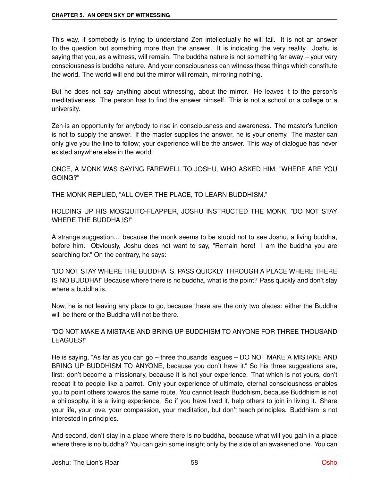This way, if somebody is trying to understand Zen intellectually he will fail. It is not an answer to the question but something more than the answer. It is indicating the very reality. Joshu is saying that you, as a witness, will remain. The buddha nature is not something far away – your very consciousness is buddha nature. And your consciousness can witness these things which constitute the world. The world will end but the mirror will remain, mirroring nothing.

But he does not say anything about witnessing, about the mirror. He leaves it to the person's meditativeness. The person has to find the answer himself. This is not a school or a college or a university.

Zen is an opportunity for anybody to rise in consciousness and awareness. The master's function is not to supply the answer. If the master supplies the answer, he is your enemy. The master can only give you the line to follow; your experience will be the answer. This way of dialogue has never existed anywhere else in the world.

ONCE, A MONK WAS SAYING FAREWELL TO JOSHU, WHO ASKED HIM. "WHERE ARE YOU GOING?"

THE MONK REPLIED, "ALL OVER THE PLACE, TO LEARN BUDDHISM."

HOLDING UP HIS MOSQUITO-FLAPPER, JOSHU INSTRUCTED THE MONK, "DO NOT STAY WHERE THE BUDDHA IS!"

A strange suggestion... because the monk seems to be stupid not to see Joshu, a living buddha, before him. Obviously, Joshu does not want to say, "Remain here! I am the buddha you are searching for." On the contrary, he says:

"DO NOT STAY WHERE THE BUDDHA IS. PASS QUICKLY THROUGH A PLACE WHERE THERE IS NO BUDDHA!" Because where there is no buddha, what is the point? Pass quickly and don't stay where a buddha is.

Now, he is not leaving any place to go, because these are the only two places: either the Buddha will be there or the Buddha will not be there.

"DO NOT MAKE A MISTAKE AND BRING UP BUDDHISM TO ANYONE FOR THREE THOUSAND LEAGUES!"

He is saying, "As far as you can go – three thousands leagues – DO NOT MAKE A MISTAKE AND BRING UP BUDDHISM TO ANYONE, because you don't have it." So his three suggestions are, first: don't become a missionary, because it is not your experience. That which is not yours, don't repeat it to people like a parrot. Only your experience of ultimate, eternal consciousness enables you to point others towards the same route. You cannot teach Buddhism, because Buddhism is not a philosophy, it is a living experience. So if you have lived it, help others to join in living it. Share your life, your love, your compassion, your meditation, but don't teach principles. Buddhism is not interested in principles.

And second, don't stay in a place where there is no buddha, because what will you gain in a place where there is no buddha? You can gain some insight only by the side of an awakened one. You can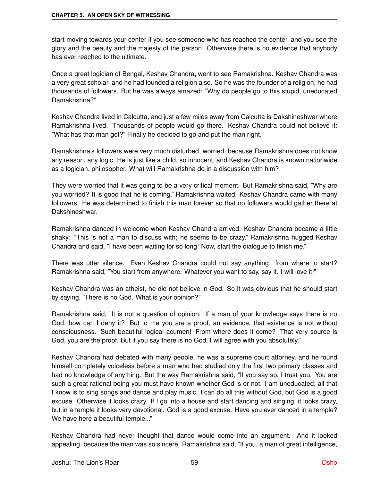start moving towards your center if you see someone who has reached the center, and you see the glory and the beauty and the majesty of the person. Otherwise there is no evidence that anybody has ever reached to the ultimate.

Once a great logician of Bengal, Keshav Chandra, went to see Ramakrishna. Keshav Chandra was a very great scholar, and he had founded a religion also. So he was the founder of a religion, he had thousands of followers. But he was always amazed: "Why do people go to this stupid, uneducated Ramakrishna?"

Keshav Chandra lived in Calcutta, and just a few miles away from Calcutta is Dakshineshwar where Ramakrishna lived. Thousands of people would go there. Keshav Chandra could not believe it: "What has that man got?" Finally he decided to go and put the man right.

Ramakrishna's followers were very much disturbed, worried, because Ramakrishna does not know any reason, any logic. He is just like a child, so innocent, and Keshav Chandra is known nationwide as a logician, philosopher. What will Ramakrishna do in a discussion with him?

They were worried that it was going to be a very critical moment. But Ramakrishna said, "Why are you worried? It is good that he is coming." Ramakrishna waited. Keshav Chandra came with many followers. He was determined to finish this man forever so that no followers would gather there at Dakshineshwar.

Ramakrishna danced in welcome when Keshav Chandra arrived. Keshav Chandra became a little shaky: "This is not a man to discuss with; he seems to be crazy." Ramakrishna hugged Keshav Chandra and said, "I have been waiting for so long! Now, start the dialogue to finish me."

There was utter silence. Even Keshav Chandra could not say anything: from where to start? Ramakrishna said, "You start from anywhere. Whatever you want to say, say it. I will love it!"

Keshav Chandra was an atheist, he did not believe in God. So it was obvious that he should start by saying, "There is no God. What is your opinion?"

Ramakrishna said, "It is not a question of opinion. If a man of your knowledge says there is no God, how can I deny it? But to me you are a proof, an evidence, that existence is not without consciousness. Such beautiful logical acumen! From where does it come? That very source is God, you are the proof. But if you say there is no God, I will agree with you absolutely."

Keshav Chandra had debated with many people, he was a supreme court attorney, and he found himself completely voiceless before a man who had studied only the first two primary classes and had no knowledge of anything. But the way Ramakrishna said, "If you say so, I trust you. You are such a great rational being you must have known whether God is or not. I am uneducated; all that I know is to sing songs and dance and play music. I can do all this without God, but God is a good excuse. Otherwise it looks crazy. If I go into a house and start dancing and singing, it looks crazy, but in a temple it looks very devotional. God is a good excuse. Have you ever danced in a temple? We have here a beautiful temple..."

Keshav Chandra had never thought that dance would come into an argument. And it looked appealing, because the man was so sincere. Ramakrishna said, "If you, a man of great intelligence,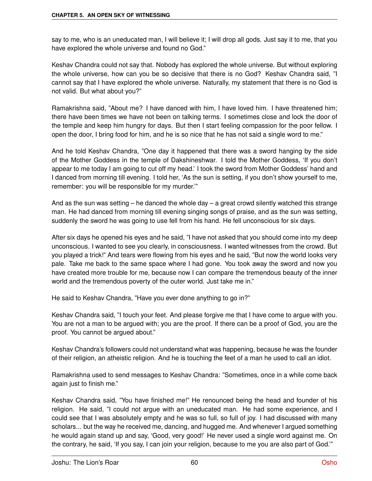say to me, who is an uneducated man, I will believe it; I will drop all gods. Just say it to me, that you have explored the whole universe and found no God."

Keshav Chandra could not say that. Nobody has explored the whole universe. But without exploring the whole universe, how can you be so decisive that there is no God? Keshav Chandra said, "I cannot say that I have explored the whole universe. Naturally, my statement that there is no God is not valid. But what about you?"

Ramakrishna said, "About me? I have danced with him, I have loved him. I have threatened him; there have been times we have not been on talking terms. I sometimes close and lock the door of the temple and keep him hungry for days. But then I start feeling compassion for the poor fellow. I open the door, I bring food for him, and he is so nice that he has not said a single word to me."

And he told Keshav Chandra, "One day it happened that there was a sword hanging by the side of the Mother Goddess in the temple of Dakshineshwar. I told the Mother Goddess, 'If you don't appear to me today I am going to cut off my head.' I took the sword from Mother Goddess' hand and I danced from morning till evening. I told her, 'As the sun is setting, if you don't show yourself to me, remember: you will be responsible for my murder.'"

And as the sun was setting  $-$  he danced the whole day  $-$  a great crowd silently watched this strange man. He had danced from morning till evening singing songs of praise, and as the sun was setting, suddenly the sword he was going to use fell from his hand. He fell unconscious for six days.

After six days he opened his eyes and he said, "I have not asked that you should come into my deep unconscious. I wanted to see you clearly, in consciousness. I wanted witnesses from the crowd. But you played a trick!" And tears were flowing from his eyes and he said, "But now the world looks very pale. Take me back to the same space where I had gone. You took away the sword and now you have created more trouble for me, because now I can compare the tremendous beauty of the inner world and the tremendous poverty of the outer world. Just take me in."

He said to Keshav Chandra, "Have you ever done anything to go in?"

Keshav Chandra said, "I touch your feet. And please forgive me that I have come to argue with you. You are not a man to be argued with; you are the proof. If there can be a proof of God, you are the proof. You cannot be argued about."

Keshav Chandra's followers could not understand what was happening, because he was the founder of their religion, an atheistic religion. And he is touching the feet of a man he used to call an idiot.

Ramakrishna used to send messages to Keshav Chandra: "Sometimes, once in a while come back again just to finish me."

Keshav Chandra said, "You have finished me!" He renounced being the head and founder of his religion. He said, "I could not argue with an uneducated man. He had some experience, and I could see that I was absolutely empty and he was so full, so full of joy. I had discussed with many scholars... but the way he received me, dancing, and hugged me. And whenever I argued something he would again stand up and say, 'Good, very good!' He never used a single word against me. On the contrary, he said, 'If you say, I can join your religion, because to me you are also part of God.'"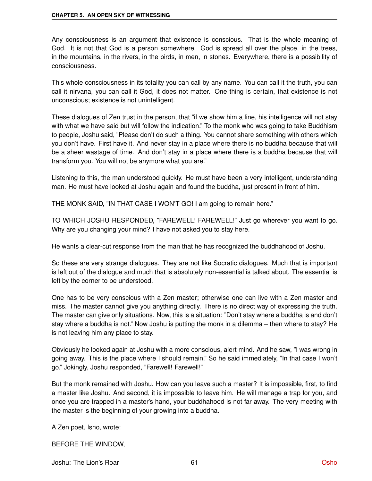Any consciousness is an argument that existence is conscious. That is the whole meaning of God. It is not that God is a person somewhere. God is spread all over the place, in the trees, in the mountains, in the rivers, in the birds, in men, in stones. Everywhere, there is a possibility of consciousness.

This whole consciousness in its totality you can call by any name. You can call it the truth, you can call it nirvana, you can call it God, it does not matter. One thing is certain, that existence is not unconscious; existence is not unintelligent.

These dialogues of Zen trust in the person, that "if we show him a line, his intelligence will not stay with what we have said but will follow the indication." To the monk who was going to take Buddhism to people, Joshu said, "Please don't do such a thing. You cannot share something with others which you don't have. First have it. And never stay in a place where there is no buddha because that will be a sheer wastage of time. And don't stay in a place where there is a buddha because that will transform you. You will not be anymore what you are."

Listening to this, the man understood quickly. He must have been a very intelligent, understanding man. He must have looked at Joshu again and found the buddha, just present in front of him.

THE MONK SAID, "IN THAT CASE I WON'T GO! I am going to remain here."

TO WHICH JOSHU RESPONDED, "FAREWELL! FAREWELL!" Just go wherever you want to go. Why are you changing your mind? I have not asked you to stay here.

He wants a clear-cut response from the man that he has recognized the buddhahood of Joshu.

So these are very strange dialogues. They are not like Socratic dialogues. Much that is important is left out of the dialogue and much that is absolutely non-essential is talked about. The essential is left by the corner to be understood.

One has to be very conscious with a Zen master; otherwise one can live with a Zen master and miss. The master cannot give you anything directly. There is no direct way of expressing the truth. The master can give only situations. Now, this is a situation: "Don't stay where a buddha is and don't stay where a buddha is not." Now Joshu is putting the monk in a dilemma – then where to stay? He is not leaving him any place to stay.

Obviously he looked again at Joshu with a more conscious, alert mind. And he saw, "I was wrong in going away. This is the place where I should remain." So he said immediately, "In that case I won't go." Jokingly, Joshu responded, "Farewell! Farewell!"

But the monk remained with Joshu. How can you leave such a master? It is impossible, first, to find a master like Joshu. And second, it is impossible to leave him. He will manage a trap for you, and once you are trapped in a master's hand, your buddhahood is not far away. The very meeting with the master is the beginning of your growing into a buddha.

A Zen poet, Isho, wrote:

BEFORE THE WINDOW,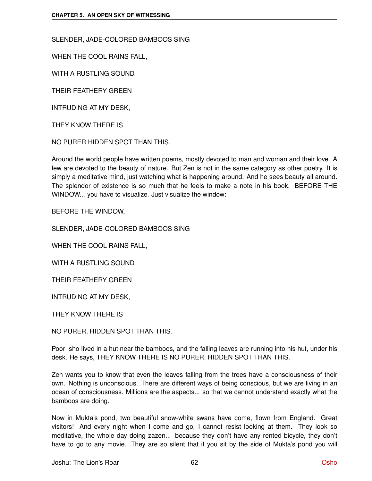SLENDER, JADE-COLORED BAMBOOS SING

WHEN THE COOL RAINS FALL,

WITH A RUSTLING SOUND.

THEIR FEATHERY GREEN

INTRUDING AT MY DESK,

THEY KNOW THERE IS

NO PURER HIDDEN SPOT THAN THIS.

Around the world people have written poems, mostly devoted to man and woman and their love. A few are devoted to the beauty of nature. But Zen is not in the same category as other poetry. It is simply a meditative mind, just watching what is happening around. And he sees beauty all around. The splendor of existence is so much that he feels to make a note in his book. BEFORE THE WINDOW... you have to visualize. Just visualize the window:

BEFORE THE WINDOW,

SLENDER, JADE-COLORED BAMBOOS SING

WHEN THE COOL RAINS FALL,

WITH A RUSTLING SOUND.

THEIR FEATHERY GREEN

INTRUDING AT MY DESK,

THEY KNOW THERE IS

NO PURER, HIDDEN SPOT THAN THIS.

Poor Isho lived in a hut near the bamboos, and the falling leaves are running into his hut, under his desk. He says, THEY KNOW THERE IS NO PURER, HIDDEN SPOT THAN THIS.

Zen wants you to know that even the leaves falling from the trees have a consciousness of their own. Nothing is unconscious. There are different ways of being conscious, but we are living in an ocean of consciousness. Millions are the aspects... so that we cannot understand exactly what the bamboos are doing.

Now in Mukta's pond, two beautiful snow-white swans have come, flown from England. Great visitors! And every night when I come and go, I cannot resist looking at them. They look so meditative, the whole day doing zazen... because they don't have any rented bicycle, they don't have to go to any movie. They are so silent that if you sit by the side of Mukta's pond you will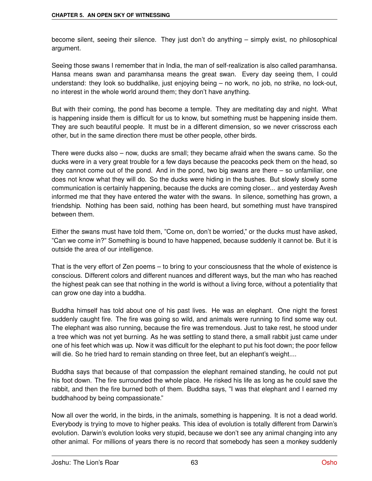become silent, seeing their silence. They just don't do anything – simply exist, no philosophical argument.

Seeing those swans I remember that in India, the man of self-realization is also called paramhansa. Hansa means swan and paramhansa means the great swan. Every day seeing them, I could understand: they look so buddhalike, just enjoying being – no work, no job, no strike, no lock-out, no interest in the whole world around them; they don't have anything.

But with their coming, the pond has become a temple. They are meditating day and night. What is happening inside them is difficult for us to know, but something must be happening inside them. They are such beautiful people. It must be in a different dimension, so we never crisscross each other, but in the same direction there must be other people, other birds.

There were ducks also – now, ducks are small; they became afraid when the swans came. So the ducks were in a very great trouble for a few days because the peacocks peck them on the head, so they cannot come out of the pond. And in the pond, two big swans are there – so unfamiliar, one does not know what they will do. So the ducks were hiding in the bushes. But slowly slowly some communication is certainly happening, because the ducks are coming closer... and yesterday Avesh informed me that they have entered the water with the swans. In silence, something has grown, a friendship. Nothing has been said, nothing has been heard, but something must have transpired between them.

Either the swans must have told them, "Come on, don't be worried," or the ducks must have asked, "Can we come in?" Something is bound to have happened, because suddenly it cannot be. But it is outside the area of our intelligence.

That is the very effort of Zen poems – to bring to your consciousness that the whole of existence is conscious. Different colors and different nuances and different ways, but the man who has reached the highest peak can see that nothing in the world is without a living force, without a potentiality that can grow one day into a buddha.

Buddha himself has told about one of his past lives. He was an elephant. One night the forest suddenly caught fire. The fire was going so wild, and animals were running to find some way out. The elephant was also running, because the fire was tremendous. Just to take rest, he stood under a tree which was not yet burning. As he was settling to stand there, a small rabbit just came under one of his feet which was up. Now it was difficult for the elephant to put his foot down; the poor fellow will die. So he tried hard to remain standing on three feet, but an elephant's weight....

Buddha says that because of that compassion the elephant remained standing, he could not put his foot down. The fire surrounded the whole place. He risked his life as long as he could save the rabbit, and then the fire burned both of them. Buddha says, "I was that elephant and I earned my buddhahood by being compassionate."

Now all over the world, in the birds, in the animals, something is happening. It is not a dead world. Everybody is trying to move to higher peaks. This idea of evolution is totally different from Darwin's evolution. Darwin's evolution looks very stupid, because we don't see any animal changing into any other animal. For millions of years there is no record that somebody has seen a monkey suddenly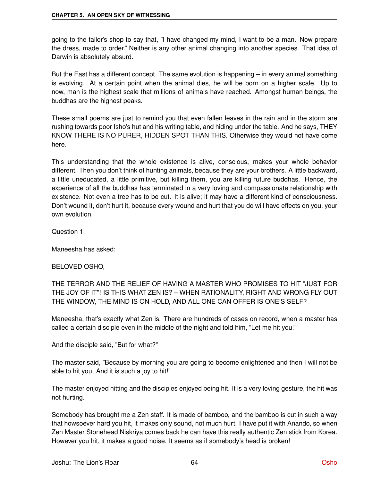going to the tailor's shop to say that, "I have changed my mind, I want to be a man. Now prepare the dress, made to order." Neither is any other animal changing into another species. That idea of Darwin is absolutely absurd.

But the East has a different concept. The same evolution is happening – in every animal something is evolving. At a certain point when the animal dies, he will be born on a higher scale. Up to now, man is the highest scale that millions of animals have reached. Amongst human beings, the buddhas are the highest peaks.

These small poems are just to remind you that even fallen leaves in the rain and in the storm are rushing towards poor Isho's hut and his writing table, and hiding under the table. And he says, THEY KNOW THERE IS NO PURER, HIDDEN SPOT THAN THIS. Otherwise they would not have come here.

This understanding that the whole existence is alive, conscious, makes your whole behavior different. Then you don't think of hunting animals, because they are your brothers. A little backward, a little uneducated, a little primitive, but killing them, you are killing future buddhas. Hence, the experience of all the buddhas has terminated in a very loving and compassionate relationship with existence. Not even a tree has to be cut. It is alive; it may have a different kind of consciousness. Don't wound it, don't hurt it, because every wound and hurt that you do will have effects on you, your own evolution.

Question 1

Maneesha has asked:

#### BELOVED OSHO,

THE TERROR AND THE RELIEF OF HAVING A MASTER WHO PROMISES TO HIT "JUST FOR THE JOY OF IT"! IS THIS WHAT ZEN IS? – WHEN RATIONALITY, RIGHT AND WRONG FLY OUT THE WINDOW, THE MIND IS ON HOLD, AND ALL ONE CAN OFFER IS ONE'S SELF?

Maneesha, that's exactly what Zen is. There are hundreds of cases on record, when a master has called a certain disciple even in the middle of the night and told him, "Let me hit you."

And the disciple said, "But for what?"

The master said, "Because by morning you are going to become enlightened and then I will not be able to hit you. And it is such a joy to hit!"

The master enjoyed hitting and the disciples enjoyed being hit. It is a very loving gesture, the hit was not hurting.

Somebody has brought me a Zen staff. It is made of bamboo, and the bamboo is cut in such a way that howsoever hard you hit, it makes only sound, not much hurt. I have put it with Anando, so when Zen Master Stonehead Niskriya comes back he can have this really authentic Zen stick from Korea. However you hit, it makes a good noise. It seems as if somebody's head is broken!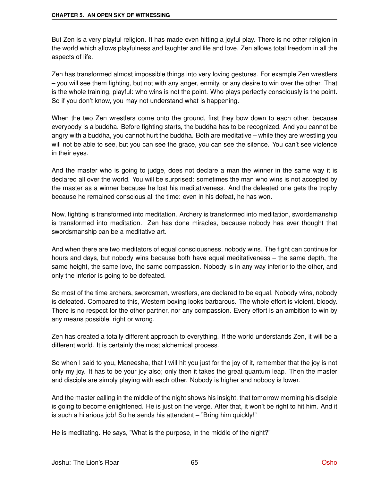But Zen is a very playful religion. It has made even hitting a joyful play. There is no other religion in the world which allows playfulness and laughter and life and love. Zen allows total freedom in all the aspects of life.

Zen has transformed almost impossible things into very loving gestures. For example Zen wrestlers – you will see them fighting, but not with any anger, enmity, or any desire to win over the other. That is the whole training, playful: who wins is not the point. Who plays perfectly consciously is the point. So if you don't know, you may not understand what is happening.

When the two Zen wrestlers come onto the ground, first they bow down to each other, because everybody is a buddha. Before fighting starts, the buddha has to be recognized. And you cannot be angry with a buddha, you cannot hurt the buddha. Both are meditative – while they are wrestling you will not be able to see, but you can see the grace, you can see the silence. You can't see violence in their eyes.

And the master who is going to judge, does not declare a man the winner in the same way it is declared all over the world. You will be surprised: sometimes the man who wins is not accepted by the master as a winner because he lost his meditativeness. And the defeated one gets the trophy because he remained conscious all the time: even in his defeat, he has won.

Now, fighting is transformed into meditation. Archery is transformed into meditation, swordsmanship is transformed into meditation. Zen has done miracles, because nobody has ever thought that swordsmanship can be a meditative art.

And when there are two meditators of equal consciousness, nobody wins. The fight can continue for hours and days, but nobody wins because both have equal meditativeness – the same depth, the same height, the same love, the same compassion. Nobody is in any way inferior to the other, and only the inferior is going to be defeated.

So most of the time archers, swordsmen, wrestlers, are declared to be equal. Nobody wins, nobody is defeated. Compared to this, Western boxing looks barbarous. The whole effort is violent, bloody. There is no respect for the other partner, nor any compassion. Every effort is an ambition to win by any means possible, right or wrong.

Zen has created a totally different approach to everything. If the world understands Zen, it will be a different world. It is certainly the most alchemical process.

So when I said to you, Maneesha, that I will hit you just for the joy of it, remember that the joy is not only my joy. It has to be your joy also; only then it takes the great quantum leap. Then the master and disciple are simply playing with each other. Nobody is higher and nobody is lower.

And the master calling in the middle of the night shows his insight, that tomorrow morning his disciple is going to become enlightened. He is just on the verge. After that, it won't be right to hit him. And it is such a hilarious job! So he sends his attendant – "Bring him quickly!"

He is meditating. He says, "What is the purpose, in the middle of the night?"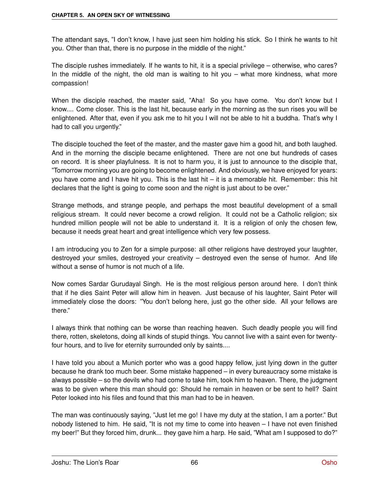The attendant says, "I don't know, I have just seen him holding his stick. So I think he wants to hit you. Other than that, there is no purpose in the middle of the night."

The disciple rushes immediately. If he wants to hit, it is a special privilege – otherwise, who cares? In the middle of the night, the old man is waiting to hit you – what more kindness, what more compassion!

When the disciple reached, the master said, "Aha! So you have come. You don't know but I know.... Come closer. This is the last hit, because early in the morning as the sun rises you will be enlightened. After that, even if you ask me to hit you I will not be able to hit a buddha. That's why I had to call you urgently."

The disciple touched the feet of the master, and the master gave him a good hit, and both laughed. And in the morning the disciple became enlightened. There are not one but hundreds of cases on record. It is sheer playfulness. It is not to harm you, it is just to announce to the disciple that, "Tomorrow morning you are going to become enlightened. And obviously, we have enjoyed for years: you have come and I have hit you. This is the last hit – it is a memorable hit. Remember: this hit declares that the light is going to come soon and the night is just about to be over."

Strange methods, and strange people, and perhaps the most beautiful development of a small religious stream. It could never become a crowd religion. It could not be a Catholic religion; six hundred million people will not be able to understand it. It is a religion of only the chosen few, because it needs great heart and great intelligence which very few possess.

I am introducing you to Zen for a simple purpose: all other religions have destroyed your laughter, destroyed your smiles, destroyed your creativity – destroyed even the sense of humor. And life without a sense of humor is not much of a life.

Now comes Sardar Gurudayal Singh. He is the most religious person around here. I don't think that if he dies Saint Peter will allow him in heaven. Just because of his laughter, Saint Peter will immediately close the doors: "You don't belong here, just go the other side. All your fellows are there."

I always think that nothing can be worse than reaching heaven. Such deadly people you will find there, rotten, skeletons, doing all kinds of stupid things. You cannot live with a saint even for twentyfour hours, and to live for eternity surrounded only by saints....

I have told you about a Munich porter who was a good happy fellow, just lying down in the gutter because he drank too much beer. Some mistake happened – in every bureaucracy some mistake is always possible – so the devils who had come to take him, took him to heaven. There, the judgment was to be given where this man should go: Should he remain in heaven or be sent to hell? Saint Peter looked into his files and found that this man had to be in heaven.

The man was continuously saying, "Just let me go! I have my duty at the station, I am a porter." But nobody listened to him. He said, "It is not my time to come into heaven – I have not even finished my beer!" But they forced him, drunk... they gave him a harp. He said, "What am I supposed to do?"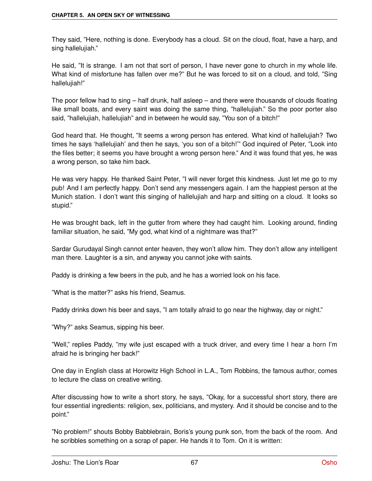They said, "Here, nothing is done. Everybody has a cloud. Sit on the cloud, float, have a harp, and sing hallelujiah."

He said, "It is strange. I am not that sort of person, I have never gone to church in my whole life. What kind of misfortune has fallen over me?" But he was forced to sit on a cloud, and told, "Sing hallelujiah!"

The poor fellow had to sing – half drunk, half asleep – and there were thousands of clouds floating like small boats, and every saint was doing the same thing, "hallelujiah." So the poor porter also said, "hallelujiah, hallelujiah" and in between he would say, "You son of a bitch!"

God heard that. He thought, "It seems a wrong person has entered. What kind of hallelujiah? Two times he says 'hallelujiah' and then he says, 'you son of a bitch!'" God inquired of Peter, "Look into the files better; it seems you have brought a wrong person here." And it was found that yes, he was a wrong person, so take him back.

He was very happy. He thanked Saint Peter, "I will never forget this kindness. Just let me go to my pub! And I am perfectly happy. Don't send any messengers again. I am the happiest person at the Munich station. I don't want this singing of hallelujiah and harp and sitting on a cloud. It looks so stupid."

He was brought back, left in the gutter from where they had caught him. Looking around, finding familiar situation, he said, "My god, what kind of a nightmare was that?"

Sardar Gurudayal Singh cannot enter heaven, they won't allow him. They don't allow any intelligent man there. Laughter is a sin, and anyway you cannot joke with saints.

Paddy is drinking a few beers in the pub, and he has a worried look on his face.

"What is the matter?" asks his friend, Seamus.

Paddy drinks down his beer and says, "I am totally afraid to go near the highway, day or night."

"Why?" asks Seamus, sipping his beer.

"Well," replies Paddy, "my wife just escaped with a truck driver, and every time I hear a horn I'm afraid he is bringing her back!"

One day in English class at Horowitz High School in L.A., Tom Robbins, the famous author, comes to lecture the class on creative writing.

After discussing how to write a short story, he says, "Okay, for a successful short story, there are four essential ingredients: religion, sex, politicians, and mystery. And it should be concise and to the point."

"No problem!" shouts Bobby Babblebrain, Boris's young punk son, from the back of the room. And he scribbles something on a scrap of paper. He hands it to Tom. On it is written: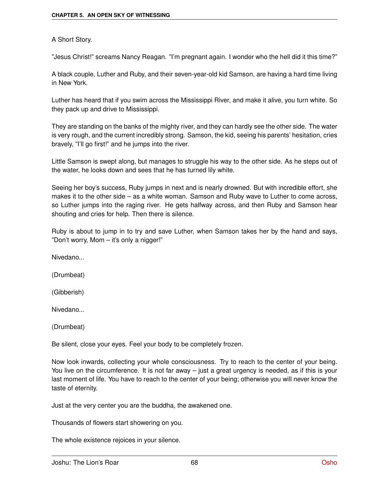#### A Short Story.

"Jesus Christ!" screams Nancy Reagan. "I'm pregnant again. I wonder who the hell did it this time?"

A black couple, Luther and Ruby, and their seven-year-old kid Samson, are having a hard time living in New York.

Luther has heard that if you swim across the Mississippi River, and make it alive, you turn white. So they pack up and drive to Mississippi.

They are standing on the banks of the mighty river, and they can hardly see the other side. The water is very rough, and the current incredibly strong. Samson, the kid, seeing his parents' hesitation, cries bravely, "I'll go first!" and he jumps into the river.

Little Samson is swept along, but manages to struggle his way to the other side. As he steps out of the water, he looks down and sees that he has turned lily white.

Seeing her boy's success, Ruby jumps in next and is nearly drowned. But with incredible effort, she makes it to the other side – as a white woman. Samson and Ruby wave to Luther to come across, so Luther jumps into the raging river. He gets halfway across, and then Ruby and Samson hear shouting and cries for help. Then there is silence.

Ruby is about to jump in to try and save Luther, when Samson takes her by the hand and says, "Don't worry, Mom – it's only a nigger!"

Nivedano...

(Drumbeat)

(Gibberish)

Nivedano...

(Drumbeat)

Be silent, close your eyes. Feel your body to be completely frozen.

Now look inwards, collecting your whole consciousness. Try to reach to the center of your being. You live on the circumference. It is not far away – just a great urgency is needed, as if this is your last moment of life. You have to reach to the center of your being; otherwise you will never know the taste of eternity.

Just at the very center you are the buddha, the awakened one.

Thousands of flowers start showering on you.

The whole existence rejoices in your silence.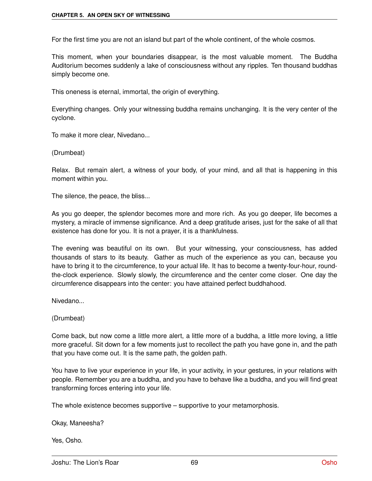For the first time you are not an island but part of the whole continent, of the whole cosmos.

This moment, when your boundaries disappear, is the most valuable moment. The Buddha Auditorium becomes suddenly a lake of consciousness without any ripples. Ten thousand buddhas simply become one.

This oneness is eternal, immortal, the origin of everything.

Everything changes. Only your witnessing buddha remains unchanging. It is the very center of the cyclone.

To make it more clear, Nivedano...

(Drumbeat)

Relax. But remain alert, a witness of your body, of your mind, and all that is happening in this moment within you.

The silence, the peace, the bliss...

As you go deeper, the splendor becomes more and more rich. As you go deeper, life becomes a mystery, a miracle of immense significance. And a deep gratitude arises, just for the sake of all that existence has done for you. It is not a prayer, it is a thankfulness.

The evening was beautiful on its own. But your witnessing, your consciousness, has added thousands of stars to its beauty. Gather as much of the experience as you can, because you have to bring it to the circumference, to your actual life. It has to become a twenty-four-hour, roundthe-clock experience. Slowly slowly, the circumference and the center come closer. One day the circumference disappears into the center: you have attained perfect buddhahood.

Nivedano...

(Drumbeat)

Come back, but now come a little more alert, a little more of a buddha, a little more loving, a little more graceful. Sit down for a few moments just to recollect the path you have gone in, and the path that you have come out. It is the same path, the golden path.

You have to live your experience in your life, in your activity, in your gestures, in your relations with people. Remember you are a buddha, and you have to behave like a buddha, and you will find great transforming forces entering into your life.

The whole existence becomes supportive – supportive to your metamorphosis.

Okay, Maneesha?

Yes, Osho.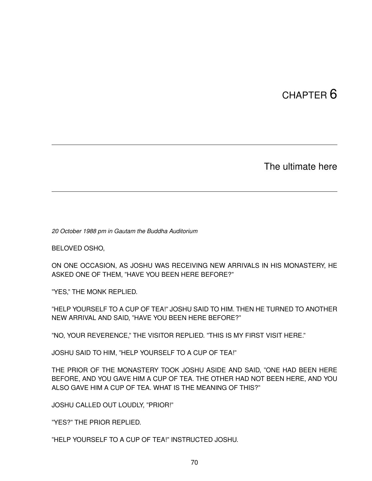## CHAPTER 6

The ultimate here

*20 October 1988 pm in Gautam the Buddha Auditorium*

BELOVED OSHO,

ON ONE OCCASION, AS JOSHU WAS RECEIVING NEW ARRIVALS IN HIS MONASTERY, HE ASKED ONE OF THEM, "HAVE YOU BEEN HERE BEFORE?"

"YES," THE MONK REPLIED.

"HELP YOURSELF TO A CUP OF TEA!" JOSHU SAID TO HIM. THEN HE TURNED TO ANOTHER NEW ARRIVAL AND SAID, "HAVE YOU BEEN HERE BEFORE?"

"NO, YOUR REVERENCE," THE VISITOR REPLIED. "THIS IS MY FIRST VISIT HERE."

JOSHU SAID TO HIM, "HELP YOURSELF TO A CUP OF TEA!"

THE PRIOR OF THE MONASTERY TOOK JOSHU ASIDE AND SAID, "ONE HAD BEEN HERE BEFORE, AND YOU GAVE HIM A CUP OF TEA. THE OTHER HAD NOT BEEN HERE, AND YOU ALSO GAVE HIM A CUP OF TEA. WHAT IS THE MEANING OF THIS?"

JOSHU CALLED OUT LOUDLY, "PRIOR!"

"YES?" THE PRIOR REPLIED.

"HELP YOURSELF TO A CUP OF TEA!" INSTRUCTED JOSHU.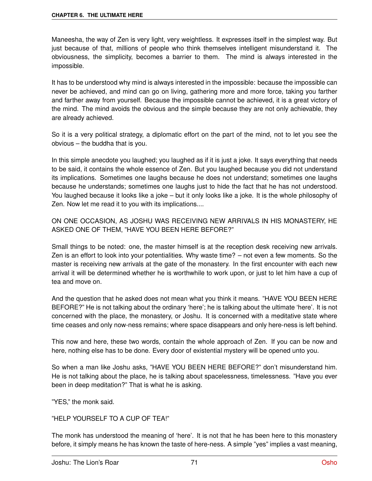Maneesha, the way of Zen is very light, very weightless. It expresses itself in the simplest way. But just because of that, millions of people who think themselves intelligent misunderstand it. The obviousness, the simplicity, becomes a barrier to them. The mind is always interested in the impossible.

It has to be understood why mind is always interested in the impossible: because the impossible can never be achieved, and mind can go on living, gathering more and more force, taking you farther and farther away from yourself. Because the impossible cannot be achieved, it is a great victory of the mind. The mind avoids the obvious and the simple because they are not only achievable, they are already achieved.

So it is a very political strategy, a diplomatic effort on the part of the mind, not to let you see the obvious – the buddha that is you.

In this simple anecdote you laughed; you laughed as if it is just a joke. It says everything that needs to be said, it contains the whole essence of Zen. But you laughed because you did not understand its implications. Sometimes one laughs because he does not understand; sometimes one laughs because he understands; sometimes one laughs just to hide the fact that he has not understood. You laughed because it looks like a joke – but it only looks like a joke. It is the whole philosophy of Zen. Now let me read it to you with its implications....

ON ONE OCCASION, AS JOSHU WAS RECEIVING NEW ARRIVALS IN HIS MONASTERY, HE ASKED ONE OF THEM, "HAVE YOU BEEN HERE BEFORE?"

Small things to be noted: one, the master himself is at the reception desk receiving new arrivals. Zen is an effort to look into your potentialities. Why waste time? – not even a few moments. So the master is receiving new arrivals at the gate of the monastery. In the first encounter with each new arrival it will be determined whether he is worthwhile to work upon, or just to let him have a cup of tea and move on.

And the question that he asked does not mean what you think it means. "HAVE YOU BEEN HERE BEFORE?" He is not talking about the ordinary 'here'; he is talking about the ultimate 'here'. It is not concerned with the place, the monastery, or Joshu. It is concerned with a meditative state where time ceases and only now-ness remains; where space disappears and only here-ness is left behind.

This now and here, these two words, contain the whole approach of Zen. If you can be now and here, nothing else has to be done. Every door of existential mystery will be opened unto you.

So when a man like Joshu asks, "HAVE YOU BEEN HERE BEFORE?" don't misunderstand him. He is not talking about the place, he is talking about spacelessness, timelessness. "Have you ever been in deep meditation?" That is what he is asking.

"YES," the monk said.

"HELP YOURSELF TO A CUP OF TEA!"

The monk has understood the meaning of 'here'. It is not that he has been here to this monastery before, it simply means he has known the taste of here-ness. A simple "yes" implies a vast meaning,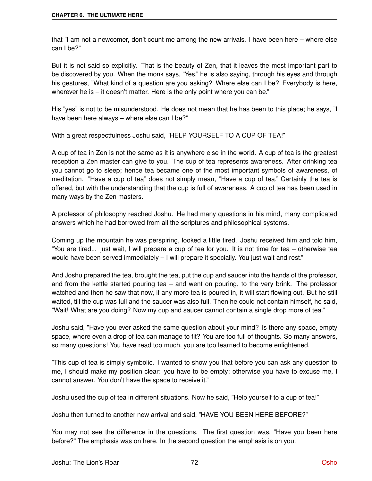that "I am not a newcomer, don't count me among the new arrivals. I have been here – where else can I be?"

But it is not said so explicitly. That is the beauty of Zen, that it leaves the most important part to be discovered by you. When the monk says, "Yes," he is also saying, through his eyes and through his gestures, "What kind of a question are you asking? Where else can I be? Everybody is here, wherever he is – it doesn't matter. Here is the only point where you can be."

His "yes" is not to be misunderstood. He does not mean that he has been to this place; he says, "I have been here always – where else can I be?"

With a great respectfulness Joshu said, "HELP YOURSELF TO A CUP OF TEA!"

A cup of tea in Zen is not the same as it is anywhere else in the world. A cup of tea is the greatest reception a Zen master can give to you. The cup of tea represents awareness. After drinking tea you cannot go to sleep; hence tea became one of the most important symbols of awareness, of meditation. "Have a cup of tea" does not simply mean, "Have a cup of tea." Certainly the tea is offered, but with the understanding that the cup is full of awareness. A cup of tea has been used in many ways by the Zen masters.

A professor of philosophy reached Joshu. He had many questions in his mind, many complicated answers which he had borrowed from all the scriptures and philosophical systems.

Coming up the mountain he was perspiring, looked a little tired. Joshu received him and told him, "You are tired... just wait, I will prepare a cup of tea for you. It is not time for tea – otherwise tea would have been served immediately – I will prepare it specially. You just wait and rest."

And Joshu prepared the tea, brought the tea, put the cup and saucer into the hands of the professor, and from the kettle started pouring tea – and went on pouring, to the very brink. The professor watched and then he saw that now, if any more tea is poured in, it will start flowing out. But he still waited, till the cup was full and the saucer was also full. Then he could not contain himself, he said, "Wait! What are you doing? Now my cup and saucer cannot contain a single drop more of tea."

Joshu said, "Have you ever asked the same question about your mind? Is there any space, empty space, where even a drop of tea can manage to fit? You are too full of thoughts. So many answers, so many questions! You have read too much, you are too learned to become enlightened.

"This cup of tea is simply symbolic. I wanted to show you that before you can ask any question to me, I should make my position clear: you have to be empty; otherwise you have to excuse me, I cannot answer. You don't have the space to receive it."

Joshu used the cup of tea in different situations. Now he said, "Help yourself to a cup of tea!"

Joshu then turned to another new arrival and said, "HAVE YOU BEEN HERE BEFORE?"

You may not see the difference in the questions. The first question was, "Have you been here before?" The emphasis was on here. In the second question the emphasis is on you.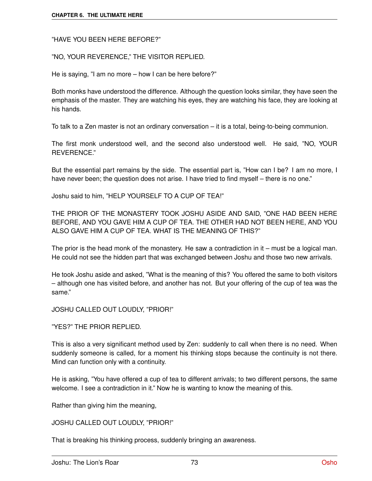"HAVE YOU BEEN HERE BEFORE?"

"NO, YOUR REVERENCE," THE VISITOR REPLIED.

He is saying, "I am no more – how I can be here before?"

Both monks have understood the difference. Although the question looks similar, they have seen the emphasis of the master. They are watching his eyes, they are watching his face, they are looking at his hands.

To talk to a Zen master is not an ordinary conversation – it is a total, being-to-being communion.

The first monk understood well, and the second also understood well. He said, "NO, YOUR REVERENCE."

But the essential part remains by the side. The essential part is, "How can I be? I am no more, I have never been; the question does not arise. I have tried to find myself – there is no one."

Joshu said to him, "HELP YOURSELF TO A CUP OF TEA!"

THE PRIOR OF THE MONASTERY TOOK JOSHU ASIDE AND SAID, "ONE HAD BEEN HERE BEFORE, AND YOU GAVE HIM A CUP OF TEA. THE OTHER HAD NOT BEEN HERE, AND YOU ALSO GAVE HIM A CUP OF TEA. WHAT IS THE MEANING OF THIS?"

The prior is the head monk of the monastery. He saw a contradiction in it – must be a logical man. He could not see the hidden part that was exchanged between Joshu and those two new arrivals.

He took Joshu aside and asked, "What is the meaning of this? You offered the same to both visitors – although one has visited before, and another has not. But your offering of the cup of tea was the same."

JOSHU CALLED OUT LOUDLY, "PRIOR!"

"YES?" THE PRIOR REPLIED.

This is also a very significant method used by Zen: suddenly to call when there is no need. When suddenly someone is called, for a moment his thinking stops because the continuity is not there. Mind can function only with a continuity.

He is asking, "You have offered a cup of tea to different arrivals; to two different persons, the same welcome. I see a contradiction in it." Now he is wanting to know the meaning of this.

Rather than giving him the meaning,

JOSHU CALLED OUT LOUDLY, "PRIOR!"

That is breaking his thinking process, suddenly bringing an awareness.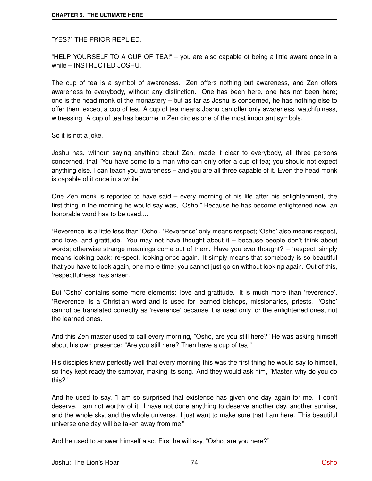"YES?" THE PRIOR REPLIED.

"HELP YOURSELF TO A CUP OF TEA!" – you are also capable of being a little aware once in a while – INSTRUCTED JOSHU.

The cup of tea is a symbol of awareness. Zen offers nothing but awareness, and Zen offers awareness to everybody, without any distinction. One has been here, one has not been here; one is the head monk of the monastery – but as far as Joshu is concerned, he has nothing else to offer them except a cup of tea. A cup of tea means Joshu can offer only awareness, watchfulness, witnessing. A cup of tea has become in Zen circles one of the most important symbols.

So it is not a joke.

Joshu has, without saying anything about Zen, made it clear to everybody, all three persons concerned, that "You have come to a man who can only offer a cup of tea; you should not expect anything else. I can teach you awareness – and you are all three capable of it. Even the head monk is capable of it once in a while."

One Zen monk is reported to have said – every morning of his life after his enlightenment, the first thing in the morning he would say was, "Osho!" Because he has become enlightened now, an honorable word has to be used....

'Reverence' is a little less than 'Osho'. 'Reverence' only means respect; 'Osho' also means respect, and love, and gratitude. You may not have thought about it – because people don't think about words; otherwise strange meanings come out of them. Have you ever thought? – 'respect' simply means looking back: re-spect, looking once again. It simply means that somebody is so beautiful that you have to look again, one more time; you cannot just go on without looking again. Out of this, 'respectfulness' has arisen.

But 'Osho' contains some more elements: love and gratitude. It is much more than 'reverence'. 'Reverence' is a Christian word and is used for learned bishops, missionaries, priests. 'Osho' cannot be translated correctly as 'reverence' because it is used only for the enlightened ones, not the learned ones.

And this Zen master used to call every morning, "Osho, are you still here?" He was asking himself about his own presence: "Are you still here? Then have a cup of tea!"

His disciples knew perfectly well that every morning this was the first thing he would say to himself, so they kept ready the samovar, making its song. And they would ask him, "Master, why do you do this?"

And he used to say, "I am so surprised that existence has given one day again for me. I don't deserve, I am not worthy of it. I have not done anything to deserve another day, another sunrise, and the whole sky, and the whole universe. I just want to make sure that I am here. This beautiful universe one day will be taken away from me."

And he used to answer himself also. First he will say, "Osho, are you here?"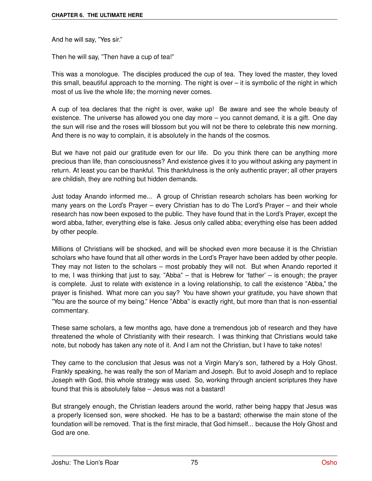And he will say, "Yes sir."

Then he will say, "Then have a cup of tea!"

This was a monologue. The disciples produced the cup of tea. They loved the master, they loved this small, beautiful approach to the morning. The night is over – it is symbolic of the night in which most of us live the whole life; the morning never comes.

A cup of tea declares that the night is over, wake up! Be aware and see the whole beauty of existence. The universe has allowed you one day more – you cannot demand, it is a gift. One day the sun will rise and the roses will blossom but you will not be there to celebrate this new morning. And there is no way to complain, it is absolutely in the hands of the cosmos.

But we have not paid our gratitude even for our life. Do you think there can be anything more precious than life, than consciousness? And existence gives it to you without asking any payment in return. At least you can be thankful. This thankfulness is the only authentic prayer; all other prayers are childish, they are nothing but hidden demands.

Just today Anando informed me... A group of Christian research scholars has been working for many years on the Lord's Prayer – every Christian has to do The Lord's Prayer – and their whole research has now been exposed to the public. They have found that in the Lord's Prayer, except the word abba, father, everything else is fake. Jesus only called abba; everything else has been added by other people.

Millions of Christians will be shocked, and will be shocked even more because it is the Christian scholars who have found that all other words in the Lord's Prayer have been added by other people. They may not listen to the scholars – most probably they will not. But when Anando reported it to me, I was thinking that just to say, "Abba" – that is Hebrew for 'father' – is enough; the prayer is complete. Just to relate with existence in a loving relationship, to call the existence "Abba," the prayer is finished. What more can you say? You have shown your gratitude, you have shown that "You are the source of my being." Hence "Abba" is exactly right, but more than that is non-essential commentary.

These same scholars, a few months ago, have done a tremendous job of research and they have threatened the whole of Christianity with their research. I was thinking that Christians would take note, but nobody has taken any note of it. And I am not the Christian, but I have to take notes!

They came to the conclusion that Jesus was not a Virgin Mary's son, fathered by a Holy Ghost. Frankly speaking, he was really the son of Mariam and Joseph. But to avoid Joseph and to replace Joseph with God, this whole strategy was used. So, working through ancient scriptures they have found that this is absolutely false – Jesus was not a bastard!

But strangely enough, the Christian leaders around the world, rather being happy that Jesus was a properly licensed son, were shocked. He has to be a bastard; otherwise the main stone of the foundation will be removed. That is the first miracle, that God himself... because the Holy Ghost and God are one.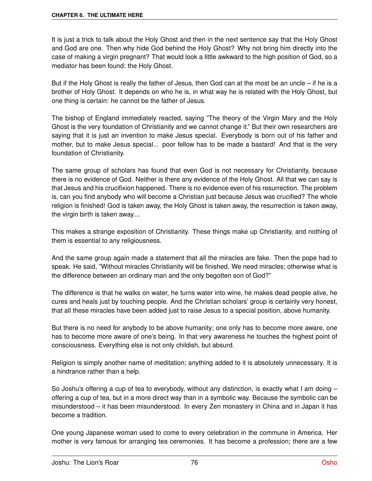It is just a trick to talk about the Holy Ghost and then in the next sentence say that the Holy Ghost and God are one. Then why hide God behind the Holy Ghost? Why not bring him directly into the case of making a virgin pregnant? That would look a little awkward to the high position of God, so a mediator has been found: the Holy Ghost.

But if the Holy Ghost is really the father of Jesus, then God can at the most be an uncle – if he is a brother of Holy Ghost. It depends on who he is, in what way he is related with the Holy Ghost, but one thing is certain: he cannot be the father of Jesus.

The bishop of England immediately reacted, saying "The theory of the Virgin Mary and the Holy Ghost is the very foundation of Christianity and we cannot change it." But their own researchers are saying that it is just an invention to make Jesus special. Everybody is born out of his father and mother, but to make Jesus special... poor fellow has to be made a bastard! And that is the very foundation of Christianity.

The same group of scholars has found that even God is not necessary for Christianity, because there is no evidence of God. Neither is there any evidence of the Holy Ghost. All that we can say is that Jesus and his crucifixion happened. There is no evidence even of his resurrection. The problem is, can you find anybody who will become a Christian just because Jesus was crucified? The whole religion is finished! God is taken away, the Holy Ghost is taken away, the resurrection is taken away, the virgin birth is taken away....

This makes a strange exposition of Christianity. These things make up Christianity, and nothing of them is essential to any religiousness.

And the same group again made a statement that all the miracles are fake. Then the pope had to speak. He said, "Without miracles Christianity will be finished. We need miracles; otherwise what is the difference between an ordinary man and the only begotten son of God?"

The difference is that he walks on water, he turns water into wine, he makes dead people alive, he cures and heals just by touching people. And the Christian scholars' group is certainly very honest, that all these miracles have been added just to raise Jesus to a special position, above humanity.

But there is no need for anybody to be above humanity; one only has to become more aware, one has to become more aware of one's being. In that very awareness he touches the highest point of consciousness. Everything else is not only childish, but absurd.

Religion is simply another name of meditation; anything added to it is absolutely unnecessary. It is a hindrance rather than a help.

So Joshu's offering a cup of tea to everybody, without any distinction, is exactly what I am doing  $$ offering a cup of tea, but in a more direct way than in a symbolic way. Because the symbolic can be misunderstood – it has been misunderstood. In every Zen monastery in China and in Japan it has become a tradition.

One young Japanese woman used to come to every celebration in the commune in America. Her mother is very famous for arranging tea ceremonies. It has become a profession; there are a few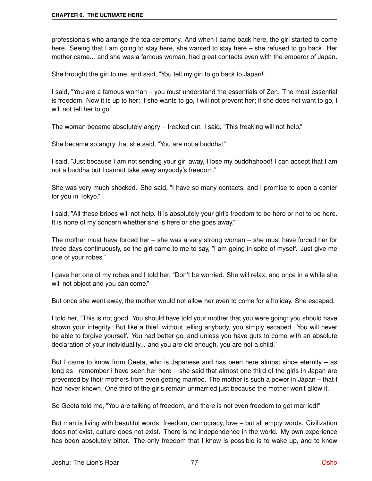professionals who arrange the tea ceremony. And when I came back here, the girl started to come here. Seeing that I am going to stay here, she wanted to stay here – she refused to go back. Her mother came... and she was a famous woman, had great contacts even with the emperor of Japan.

She brought the girl to me, and said, "You tell my girl to go back to Japan!"

I said, "You are a famous woman – you must understand the essentials of Zen. The most essential is freedom. Now it is up to her: if she wants to go, I will not prevent her; if she does not want to go, I will not tell her to go."

The woman became absolutely angry – freaked out. I said, "This freaking will not help."

She became so angry that she said, "You are not a buddha!"

I said, "Just because I am not sending your girl away, I lose my buddhahood! I can accept that I am not a buddha but I cannot take away anybody's freedom."

She was very much shocked. She said, "I have so many contacts, and I promise to open a center for you in Tokyo."

I said, "All these bribes will not help. It is absolutely your girl's freedom to be here or not to be here. It is none of my concern whether she is here or she goes away."

The mother must have forced her – she was a very strong woman – she must have forced her for three days continuously, so the girl came to me to say, "I am going in spite of myself. Just give me one of your robes."

I gave her one of my robes and I told her, "Don't be worried. She will relax, and once in a while she will not object and you can come."

But once she went away, the mother would not allow her even to come for a holiday. She escaped.

I told her, "This is not good. You should have told your mother that you were going; you should have shown your integrity. But like a thief, without telling anybody, you simply escaped. You will never be able to forgive yourself. You had better go, and unless you have guts to come with an absolute declaration of your individuality... and you are old enough, you are not a child."

But I came to know from Geeta, who is Japanese and has been here almost since eternity – as long as I remember I have seen her here – she said that almost one third of the girls in Japan are prevented by their mothers from even getting married. The mother is such a power in Japan – that I had never known. One third of the girls remain unmarried just because the mother won't allow it.

So Geeta told me, "You are talking of freedom, and there is not even freedom to get married!"

But man is living with beautiful words: freedom, democracy, love – but all empty words. Civilization does not exist, culture does not exist. There is no independence in the world. My own experience has been absolutely bitter. The only freedom that I know is possible is to wake up, and to know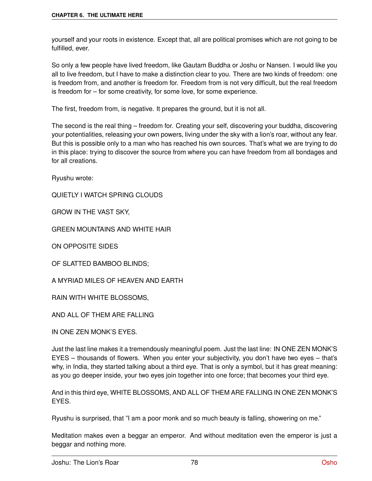yourself and your roots in existence. Except that, all are political promises which are not going to be fulfilled, ever.

So only a few people have lived freedom, like Gautam Buddha or Joshu or Nansen. I would like you all to live freedom, but I have to make a distinction clear to you. There are two kinds of freedom: one is freedom from, and another is freedom for. Freedom from is not very difficult, but the real freedom is freedom for – for some creativity, for some love, for some experience.

The first, freedom from, is negative. It prepares the ground, but it is not all.

The second is the real thing – freedom for. Creating your self, discovering your buddha, discovering your potentialities, releasing your own powers, living under the sky with a lion's roar, without any fear. But this is possible only to a man who has reached his own sources. That's what we are trying to do in this place: trying to discover the source from where you can have freedom from all bondages and for all creations.

Ryushu wrote:

QUIETLY I WATCH SPRING CLOUDS

GROW IN THE VAST SKY,

GREEN MOUNTAINS AND WHITE HAIR

ON OPPOSITE SIDES

OF SLATTED BAMBOO BLINDS;

A MYRIAD MILES OF HEAVEN AND EARTH

RAIN WITH WHITE BLOSSOMS,

AND ALL OF THEM ARE FALLING

IN ONE ZEN MONK'S EYES.

Just the last line makes it a tremendously meaningful poem. Just the last line: IN ONE ZEN MONK'S EYES – thousands of flowers. When you enter your subjectivity, you don't have two eyes – that's why, in India, they started talking about a third eye. That is only a symbol, but it has great meaning: as you go deeper inside, your two eyes join together into one force; that becomes your third eye.

And in this third eye, WHITE BLOSSOMS, AND ALL OF THEM ARE FALLING IN ONE ZEN MONK'S EYES.

Ryushu is surprised, that "I am a poor monk and so much beauty is falling, showering on me."

Meditation makes even a beggar an emperor. And without meditation even the emperor is just a beggar and nothing more.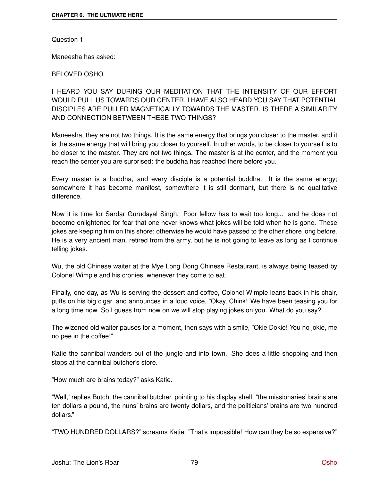Question 1

Maneesha has asked:

## BELOVED OSHO,

I HEARD YOU SAY DURING OUR MEDITATION THAT THE INTENSITY OF OUR EFFORT WOULD PULL US TOWARDS OUR CENTER. I HAVE ALSO HEARD YOU SAY THAT POTENTIAL DISCIPLES ARE PULLED MAGNETICALLY TOWARDS THE MASTER. IS THERE A SIMILARITY AND CONNECTION BETWEEN THESE TWO THINGS?

Maneesha, they are not two things. It is the same energy that brings you closer to the master, and it is the same energy that will bring you closer to yourself. In other words, to be closer to yourself is to be closer to the master. They are not two things. The master is at the center, and the moment you reach the center you are surprised: the buddha has reached there before you.

Every master is a buddha, and every disciple is a potential buddha. It is the same energy; somewhere it has become manifest, somewhere it is still dormant, but there is no qualitative difference.

Now it is time for Sardar Gurudayal Singh. Poor fellow has to wait too long... and he does not become enlightened for fear that one never knows what jokes will be told when he is gone. These jokes are keeping him on this shore; otherwise he would have passed to the other shore long before. He is a very ancient man, retired from the army, but he is not going to leave as long as I continue telling jokes.

Wu, the old Chinese waiter at the Mye Long Dong Chinese Restaurant, is always being teased by Colonel Wimple and his cronies, whenever they come to eat.

Finally, one day, as Wu is serving the dessert and coffee, Colonel Wimple leans back in his chair, puffs on his big cigar, and announces in a loud voice, "Okay, Chink! We have been teasing you for a long time now. So I guess from now on we will stop playing jokes on you. What do you say?"

The wizened old waiter pauses for a moment, then says with a smile, "Okie Dokie! You no jokie, me no pee in the coffee!"

Katie the cannibal wanders out of the jungle and into town. She does a little shopping and then stops at the cannibal butcher's store.

"How much are brains today?" asks Katie.

"Well," replies Butch, the cannibal butcher, pointing to his display shelf, "the missionaries' brains are ten dollars a pound, the nuns' brains are twenty dollars, and the politicians' brains are two hundred dollars."

"TWO HUNDRED DOLLARS?" screams Katie. "That's impossible! How can they be so expensive?"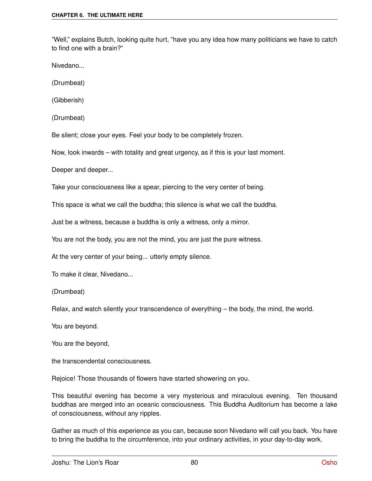"Well," explains Butch, looking quite hurt, "have you any idea how many politicians we have to catch to find one with a brain?"

Nivedano...

(Drumbeat)

(Gibberish)

(Drumbeat)

Be silent; close your eyes. Feel your body to be completely frozen.

Now, look inwards – with totality and great urgency, as if this is your last moment.

Deeper and deeper...

Take your consciousness like a spear, piercing to the very center of being.

This space is what we call the buddha; this silence is what we call the buddha.

Just be a witness, because a buddha is only a witness, only a mirror.

You are not the body, you are not the mind, you are just the pure witness.

At the very center of your being... utterly empty silence.

To make it clear, Nivedano...

(Drumbeat)

Relax, and watch silently your transcendence of everything – the body, the mind, the world.

You are beyond.

You are the beyond,

the transcendental consciousness.

Rejoice! Those thousands of flowers have started showering on you.

This beautiful evening has become a very mysterious and miraculous evening. Ten thousand buddhas are merged into an oceanic consciousness. This Buddha Auditorium has become a lake of consciousness, without any ripples.

Gather as much of this experience as you can, because soon Nivedano will call you back. You have to bring the buddha to the circumference, into your ordinary activities, in your day-to-day work.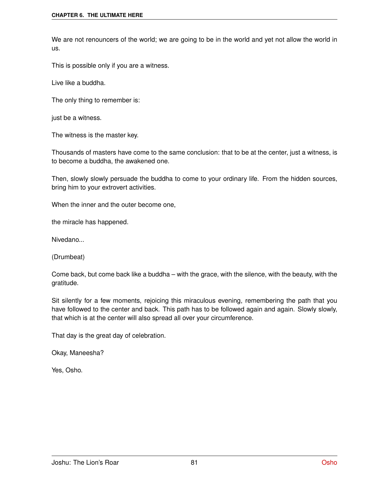We are not renouncers of the world; we are going to be in the world and yet not allow the world in us.

This is possible only if you are a witness.

Live like a buddha.

The only thing to remember is:

just be a witness.

The witness is the master key.

Thousands of masters have come to the same conclusion: that to be at the center, just a witness, is to become a buddha, the awakened one.

Then, slowly slowly persuade the buddha to come to your ordinary life. From the hidden sources, bring him to your extrovert activities.

When the inner and the outer become one,

the miracle has happened.

Nivedano...

(Drumbeat)

Come back, but come back like a buddha – with the grace, with the silence, with the beauty, with the gratitude.

Sit silently for a few moments, rejoicing this miraculous evening, remembering the path that you have followed to the center and back. This path has to be followed again and again. Slowly slowly, that which is at the center will also spread all over your circumference.

That day is the great day of celebration.

Okay, Maneesha?

Yes, Osho.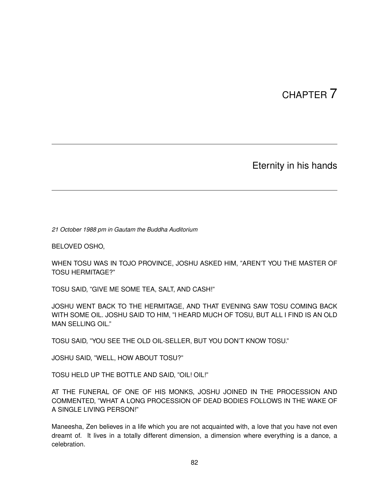# CHAPTER 7

Eternity in his hands

*21 October 1988 pm in Gautam the Buddha Auditorium*

BELOVED OSHO,

WHEN TOSU WAS IN TOJO PROVINCE, JOSHU ASKED HIM, "AREN'T YOU THE MASTER OF TOSU HERMITAGE?"

TOSU SAID, "GIVE ME SOME TEA, SALT, AND CASH!"

JOSHU WENT BACK TO THE HERMITAGE, AND THAT EVENING SAW TOSU COMING BACK WITH SOME OIL. JOSHU SAID TO HIM, "I HEARD MUCH OF TOSU, BUT ALL I FIND IS AN OLD MAN SELLING OIL."

TOSU SAID, "YOU SEE THE OLD OIL-SELLER, BUT YOU DON'T KNOW TOSU."

JOSHU SAID, "WELL, HOW ABOUT TOSU?"

TOSU HELD UP THE BOTTLE AND SAID, "OIL! OIL!"

AT THE FUNERAL OF ONE OF HIS MONKS, JOSHU JOINED IN THE PROCESSION AND COMMENTED, "WHAT A LONG PROCESSION OF DEAD BODIES FOLLOWS IN THE WAKE OF A SINGLE LIVING PERSON!"

Maneesha, Zen believes in a life which you are not acquainted with, a love that you have not even dreamt of. It lives in a totally different dimension, a dimension where everything is a dance, a celebration.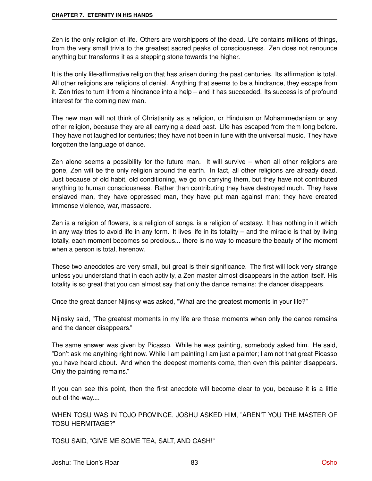Zen is the only religion of life. Others are worshippers of the dead. Life contains millions of things, from the very small trivia to the greatest sacred peaks of consciousness. Zen does not renounce anything but transforms it as a stepping stone towards the higher.

It is the only life-affirmative religion that has arisen during the past centuries. Its affirmation is total. All other religions are religions of denial. Anything that seems to be a hindrance, they escape from it. Zen tries to turn it from a hindrance into a help – and it has succeeded. Its success is of profound interest for the coming new man.

The new man will not think of Christianity as a religion, or Hinduism or Mohammedanism or any other religion, because they are all carrying a dead past. Life has escaped from them long before. They have not laughed for centuries; they have not been in tune with the universal music. They have forgotten the language of dance.

Zen alone seems a possibility for the future man. It will survive – when all other religions are gone, Zen will be the only religion around the earth. In fact, all other religions are already dead. Just because of old habit, old conditioning, we go on carrying them, but they have not contributed anything to human consciousness. Rather than contributing they have destroyed much. They have enslaved man, they have oppressed man, they have put man against man; they have created immense violence, war, massacre.

Zen is a religion of flowers, is a religion of songs, is a religion of ecstasy. It has nothing in it which in any way tries to avoid life in any form. It lives life in its totality – and the miracle is that by living totally, each moment becomes so precious... there is no way to measure the beauty of the moment when a person is total, herenow.

These two anecdotes are very small, but great is their significance. The first will look very strange unless you understand that in each activity, a Zen master almost disappears in the action itself. His totality is so great that you can almost say that only the dance remains; the dancer disappears.

Once the great dancer Nijinsky was asked, "What are the greatest moments in your life?"

Nijinsky said, "The greatest moments in my life are those moments when only the dance remains and the dancer disappears."

The same answer was given by Picasso. While he was painting, somebody asked him. He said, "Don't ask me anything right now. While I am painting I am just a painter; I am not that great Picasso you have heard about. And when the deepest moments come, then even this painter disappears. Only the painting remains."

If you can see this point, then the first anecdote will become clear to you, because it is a little out-of-the-way....

WHEN TOSU WAS IN TOJO PROVINCE, JOSHU ASKED HIM, "AREN'T YOU THE MASTER OF TOSU HERMITAGE?"

TOSU SAID, "GIVE ME SOME TEA, SALT, AND CASH!"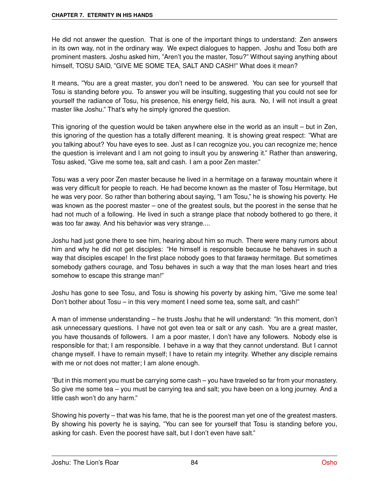He did not answer the question. That is one of the important things to understand: Zen answers in its own way, not in the ordinary way. We expect dialogues to happen. Joshu and Tosu both are prominent masters. Joshu asked him, "Aren't you the master, Tosu?" Without saying anything about himself, TOSU SAID, "GIVE ME SOME TEA, SALT AND CASH!" What does it mean?

It means, "You are a great master, you don't need to be answered. You can see for yourself that Tosu is standing before you. To answer you will be insulting, suggesting that you could not see for yourself the radiance of Tosu, his presence, his energy field, his aura. No, I will not insult a great master like Joshu." That's why he simply ignored the question.

This ignoring of the question would be taken anywhere else in the world as an insult – but in Zen, this ignoring of the question has a totally different meaning. It is showing great respect: "What are you talking about? You have eyes to see. Just as I can recognize you, you can recognize me; hence the question is irrelevant and I am not going to insult you by answering it." Rather than answering, Tosu asked, "Give me some tea, salt and cash. I am a poor Zen master."

Tosu was a very poor Zen master because he lived in a hermitage on a faraway mountain where it was very difficult for people to reach. He had become known as the master of Tosu Hermitage, but he was very poor. So rather than bothering about saying, "I am Tosu," he is showing his poverty. He was known as the poorest master – one of the greatest souls, but the poorest in the sense that he had not much of a following. He lived in such a strange place that nobody bothered to go there, it was too far away. And his behavior was very strange....

Joshu had just gone there to see him, hearing about him so much. There were many rumors about him and why he did not get disciples: "He himself is responsible because he behaves in such a way that disciples escape! In the first place nobody goes to that faraway hermitage. But sometimes somebody gathers courage, and Tosu behaves in such a way that the man loses heart and tries somehow to escape this strange man!"

Joshu has gone to see Tosu, and Tosu is showing his poverty by asking him, "Give me some tea! Don't bother about Tosu – in this very moment I need some tea, some salt, and cash!"

A man of immense understanding – he trusts Joshu that he will understand: "In this moment, don't ask unnecessary questions. I have not got even tea or salt or any cash. You are a great master, you have thousands of followers. I am a poor master, I don't have any followers. Nobody else is responsible for that; I am responsible. I behave in a way that they cannot understand. But I cannot change myself. I have to remain myself; I have to retain my integrity. Whether any disciple remains with me or not does not matter; I am alone enough.

"But in this moment you must be carrying some cash – you have traveled so far from your monastery. So give me some tea – you must be carrying tea and salt; you have been on a long journey. And a little cash won't do any harm."

Showing his poverty – that was his fame, that he is the poorest man yet one of the greatest masters. By showing his poverty he is saying, "You can see for yourself that Tosu is standing before you, asking for cash. Even the poorest have salt, but I don't even have salt."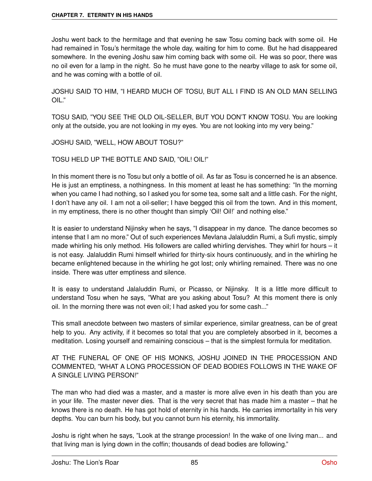Joshu went back to the hermitage and that evening he saw Tosu coming back with some oil. He had remained in Tosu's hermitage the whole day, waiting for him to come. But he had disappeared somewhere. In the evening Joshu saw him coming back with some oil. He was so poor, there was no oil even for a lamp in the night. So he must have gone to the nearby village to ask for some oil, and he was coming with a bottle of oil.

JOSHU SAID TO HIM, "I HEARD MUCH OF TOSU, BUT ALL I FIND IS AN OLD MAN SELLING OIL."

TOSU SAID, "YOU SEE THE OLD OIL-SELLER, BUT YOU DON'T KNOW TOSU. You are looking only at the outside, you are not looking in my eyes. You are not looking into my very being."

JOSHU SAID, "WELL, HOW ABOUT TOSU?"

TOSU HELD UP THE BOTTLE AND SAID, "OIL! OIL!"

In this moment there is no Tosu but only a bottle of oil. As far as Tosu is concerned he is an absence. He is just an emptiness, a nothingness. In this moment at least he has something: "In the morning when you came I had nothing, so I asked you for some tea, some salt and a little cash. For the night, I don't have any oil. I am not a oil-seller; I have begged this oil from the town. And in this moment, in my emptiness, there is no other thought than simply 'Oil! Oil!' and nothing else."

It is easier to understand Nijinsky when he says, "I disappear in my dance. The dance becomes so intense that I am no more." Out of such experiences Mevlana Jalaluddin Rumi, a Sufi mystic, simply made whirling his only method. His followers are called whirling dervishes. They whirl for hours – it is not easy. Jalaluddin Rumi himself whirled for thirty-six hours continuously, and in the whirling he became enlightened because in the whirling he got lost; only whirling remained. There was no one inside. There was utter emptiness and silence.

It is easy to understand Jalaluddin Rumi, or Picasso, or Nijinsky. It is a little more difficult to understand Tosu when he says, "What are you asking about Tosu? At this moment there is only oil. In the morning there was not even oil; I had asked you for some cash..."

This small anecdote between two masters of similar experience, similar greatness, can be of great help to you. Any activity, if it becomes so total that you are completely absorbed in it, becomes a meditation. Losing yourself and remaining conscious – that is the simplest formula for meditation.

AT THE FUNERAL OF ONE OF HIS MONKS, JOSHU JOINED IN THE PROCESSION AND COMMENTED, "WHAT A LONG PROCESSION OF DEAD BODIES FOLLOWS IN THE WAKE OF A SINGLE LIVING PERSON!"

The man who had died was a master, and a master is more alive even in his death than you are in your life. The master never dies. That is the very secret that has made him a master – that he knows there is no death. He has got hold of eternity in his hands. He carries immortality in his very depths. You can burn his body, but you cannot burn his eternity, his immortality.

Joshu is right when he says, "Look at the strange procession! In the wake of one living man... and that living man is lying down in the coffin; thousands of dead bodies are following."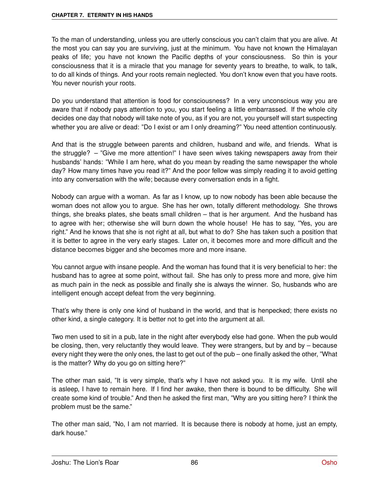To the man of understanding, unless you are utterly conscious you can't claim that you are alive. At the most you can say you are surviving, just at the minimum. You have not known the Himalayan peaks of life; you have not known the Pacific depths of your consciousness. So thin is your consciousness that it is a miracle that you manage for seventy years to breathe, to walk, to talk, to do all kinds of things. And your roots remain neglected. You don't know even that you have roots. You never nourish your roots.

Do you understand that attention is food for consciousness? In a very unconscious way you are aware that if nobody pays attention to you, you start feeling a little embarrassed. If the whole city decides one day that nobody will take note of you, as if you are not, you yourself will start suspecting whether you are alive or dead: "Do I exist or am I only dreaming?" You need attention continuously.

And that is the struggle between parents and children, husband and wife, and friends. What is the struggle? – "Give me more attention!" I have seen wives taking newspapers away from their husbands' hands: "While I am here, what do you mean by reading the same newspaper the whole day? How many times have you read it?" And the poor fellow was simply reading it to avoid getting into any conversation with the wife; because every conversation ends in a fight.

Nobody can argue with a woman. As far as I know, up to now nobody has been able because the woman does not allow you to argue. She has her own, totally different methodology. She throws things, she breaks plates, she beats small children – that is her argument. And the husband has to agree with her; otherwise she will burn down the whole house! He has to say, "Yes, you are right." And he knows that she is not right at all, but what to do? She has taken such a position that it is better to agree in the very early stages. Later on, it becomes more and more difficult and the distance becomes bigger and she becomes more and more insane.

You cannot argue with insane people. And the woman has found that it is very beneficial to her: the husband has to agree at some point, without fail. She has only to press more and more, give him as much pain in the neck as possible and finally she is always the winner. So, husbands who are intelligent enough accept defeat from the very beginning.

That's why there is only one kind of husband in the world, and that is henpecked; there exists no other kind, a single category. It is better not to get into the argument at all.

Two men used to sit in a pub, late in the night after everybody else had gone. When the pub would be closing, then, very reluctantly they would leave. They were strangers, but by and by – because every night they were the only ones, the last to get out of the pub – one finally asked the other, "What is the matter? Why do you go on sitting here?"

The other man said, "It is very simple, that's why I have not asked you. It is my wife. Until she is asleep, I have to remain here. If I find her awake, then there is bound to be difficulty. She will create some kind of trouble." And then he asked the first man, "Why are you sitting here? I think the problem must be the same."

The other man said, "No, I am not married. It is because there is nobody at home, just an empty, dark house."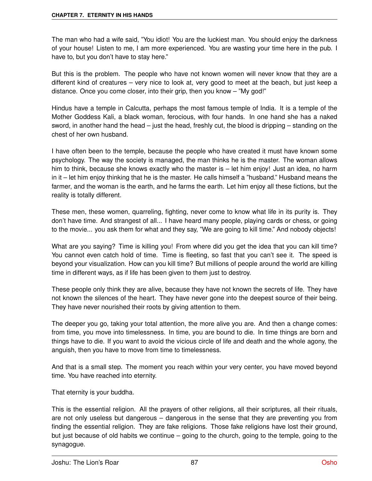The man who had a wife said, "You idiot! You are the luckiest man. You should enjoy the darkness of your house! Listen to me, I am more experienced. You are wasting your time here in the pub. I have to, but you don't have to stay here."

But this is the problem. The people who have not known women will never know that they are a different kind of creatures – very nice to look at, very good to meet at the beach, but just keep a distance. Once you come closer, into their grip, then you know – "My god!"

Hindus have a temple in Calcutta, perhaps the most famous temple of India. It is a temple of the Mother Goddess Kali, a black woman, ferocious, with four hands. In one hand she has a naked sword, in another hand the head – just the head, freshly cut, the blood is dripping – standing on the chest of her own husband.

I have often been to the temple, because the people who have created it must have known some psychology. The way the society is managed, the man thinks he is the master. The woman allows him to think, because she knows exactly who the master is – let him enjoy! Just an idea, no harm in it – let him enjoy thinking that he is the master. He calls himself a "husband." Husband means the farmer, and the woman is the earth, and he farms the earth. Let him enjoy all these fictions, but the reality is totally different.

These men, these women, quarreling, fighting, never come to know what life in its purity is. They don't have time. And strangest of all... I have heard many people, playing cards or chess, or going to the movie... you ask them for what and they say, "We are going to kill time." And nobody objects!

What are you saying? Time is killing you! From where did you get the idea that you can kill time? You cannot even catch hold of time. Time is fleeting, so fast that you can't see it. The speed is beyond your visualization. How can you kill time? But millions of people around the world are killing time in different ways, as if life has been given to them just to destroy.

These people only think they are alive, because they have not known the secrets of life. They have not known the silences of the heart. They have never gone into the deepest source of their being. They have never nourished their roots by giving attention to them.

The deeper you go, taking your total attention, the more alive you are. And then a change comes: from time, you move into timelessness. In time, you are bound to die. In time things are born and things have to die. If you want to avoid the vicious circle of life and death and the whole agony, the anguish, then you have to move from time to timelessness.

And that is a small step. The moment you reach within your very center, you have moved beyond time. You have reached into eternity.

That eternity is your buddha.

This is the essential religion. All the prayers of other religions, all their scriptures, all their rituals, are not only useless but dangerous – dangerous in the sense that they are preventing you from finding the essential religion. They are fake religions. Those fake religions have lost their ground, but just because of old habits we continue – going to the church, going to the temple, going to the synagogue.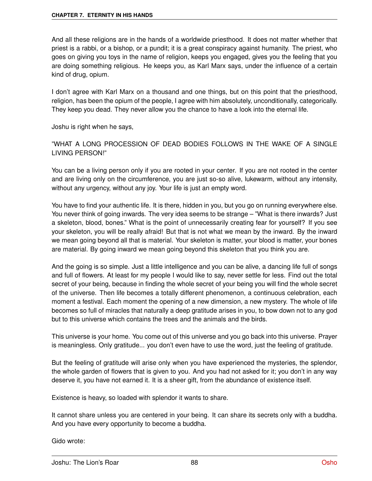And all these religions are in the hands of a worldwide priesthood. It does not matter whether that priest is a rabbi, or a bishop, or a pundit; it is a great conspiracy against humanity. The priest, who goes on giving you toys in the name of religion, keeps you engaged, gives you the feeling that you are doing something religious. He keeps you, as Karl Marx says, under the influence of a certain kind of drug, opium.

I don't agree with Karl Marx on a thousand and one things, but on this point that the priesthood, religion, has been the opium of the people, I agree with him absolutely, unconditionally, categorically. They keep you dead. They never allow you the chance to have a look into the eternal life.

Joshu is right when he says,

"WHAT A LONG PROCESSION OF DEAD BODIES FOLLOWS IN THE WAKE OF A SINGLE LIVING PERSON!"

You can be a living person only if you are rooted in your center. If you are not rooted in the center and are living only on the circumference, you are just so-so alive, lukewarm, without any intensity, without any urgency, without any joy. Your life is just an empty word.

You have to find your authentic life. It is there, hidden in you, but you go on running everywhere else. You never think of going inwards. The very idea seems to be strange – "What is there inwards? Just a skeleton, blood, bones." What is the point of unnecessarily creating fear for yourself? If you see your skeleton, you will be really afraid! But that is not what we mean by the inward. By the inward we mean going beyond all that is material. Your skeleton is matter, your blood is matter, your bones are material. By going inward we mean going beyond this skeleton that you think you are.

And the going is so simple. Just a little intelligence and you can be alive, a dancing life full of songs and full of flowers. At least for my people I would like to say, never settle for less. Find out the total secret of your being, because in finding the whole secret of your being you will find the whole secret of the universe. Then life becomes a totally different phenomenon, a continuous celebration, each moment a festival. Each moment the opening of a new dimension, a new mystery. The whole of life becomes so full of miracles that naturally a deep gratitude arises in you, to bow down not to any god but to this universe which contains the trees and the animals and the birds.

This universe is your home. You come out of this universe and you go back into this universe. Prayer is meaningless. Only gratitude... you don't even have to use the word, just the feeling of gratitude.

But the feeling of gratitude will arise only when you have experienced the mysteries, the splendor, the whole garden of flowers that is given to you. And you had not asked for it; you don't in any way deserve it, you have not earned it. It is a sheer gift, from the abundance of existence itself.

Existence is heavy, so loaded with splendor it wants to share.

It cannot share unless you are centered in your being. It can share its secrets only with a buddha. And you have every opportunity to become a buddha.

Gido wrote: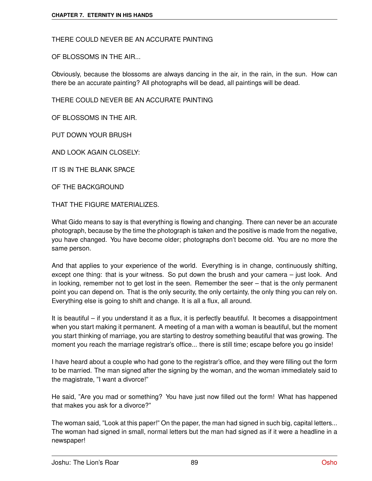THERE COULD NEVER BE AN ACCURATE PAINTING

OF BLOSSOMS IN THE AIR...

Obviously, because the blossoms are always dancing in the air, in the rain, in the sun. How can there be an accurate painting? All photographs will be dead, all paintings will be dead.

THERE COULD NEVER BE AN ACCURATE PAINTING

OF BLOSSOMS IN THE AIR.

PUT DOWN YOUR BRUSH

AND LOOK AGAIN CLOSELY:

IT IS IN THE BLANK SPACE

OF THE BACKGROUND

THAT THE FIGURE MATERIALIZES.

What Gido means to say is that everything is flowing and changing. There can never be an accurate photograph, because by the time the photograph is taken and the positive is made from the negative, you have changed. You have become older; photographs don't become old. You are no more the same person.

And that applies to your experience of the world. Everything is in change, continuously shifting, except one thing: that is your witness. So put down the brush and your camera – just look. And in looking, remember not to get lost in the seen. Remember the seer – that is the only permanent point you can depend on. That is the only security, the only certainty, the only thing you can rely on. Everything else is going to shift and change. It is all a flux, all around.

It is beautiful – if you understand it as a flux, it is perfectly beautiful. It becomes a disappointment when you start making it permanent. A meeting of a man with a woman is beautiful, but the moment you start thinking of marriage, you are starting to destroy something beautiful that was growing. The moment you reach the marriage registrar's office... there is still time; escape before you go inside!

I have heard about a couple who had gone to the registrar's office, and they were filling out the form to be married. The man signed after the signing by the woman, and the woman immediately said to the magistrate, "I want a divorce!"

He said, "Are you mad or something? You have just now filled out the form! What has happened that makes you ask for a divorce?"

The woman said, "Look at this paper!" On the paper, the man had signed in such big, capital letters... The woman had signed in small, normal letters but the man had signed as if it were a headline in a newspaper!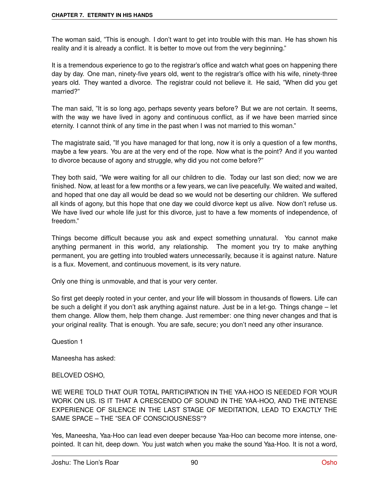The woman said, "This is enough. I don't want to get into trouble with this man. He has shown his reality and it is already a conflict. It is better to move out from the very beginning."

It is a tremendous experience to go to the registrar's office and watch what goes on happening there day by day. One man, ninety-five years old, went to the registrar's office with his wife, ninety-three years old. They wanted a divorce. The registrar could not believe it. He said, "When did you get married?"

The man said, "It is so long ago, perhaps seventy years before? But we are not certain. It seems, with the way we have lived in agony and continuous conflict, as if we have been married since eternity. I cannot think of any time in the past when I was not married to this woman."

The magistrate said, "If you have managed for that long, now it is only a question of a few months, maybe a few years. You are at the very end of the rope. Now what is the point? And if you wanted to divorce because of agony and struggle, why did you not come before?"

They both said, "We were waiting for all our children to die. Today our last son died; now we are finished. Now, at least for a few months or a few years, we can live peacefully. We waited and waited, and hoped that one day all would be dead so we would not be deserting our children. We suffered all kinds of agony, but this hope that one day we could divorce kept us alive. Now don't refuse us. We have lived our whole life just for this divorce, just to have a few moments of independence, of freedom."

Things become difficult because you ask and expect something unnatural. You cannot make anything permanent in this world, any relationship. The moment you try to make anything permanent, you are getting into troubled waters unnecessarily, because it is against nature. Nature is a flux. Movement, and continuous movement, is its very nature.

Only one thing is unmovable, and that is your very center.

So first get deeply rooted in your center, and your life will blossom in thousands of flowers. Life can be such a delight if you don't ask anything against nature. Just be in a let-go. Things change – let them change. Allow them, help them change. Just remember: one thing never changes and that is your original reality. That is enough. You are safe, secure; you don't need any other insurance.

Question 1

Maneesha has asked:

# BELOVED OSHO,

WE WERE TOLD THAT OUR TOTAL PARTICIPATION IN THE YAA-HOO IS NEEDED FOR YOUR WORK ON US. IS IT THAT A CRESCENDO OF SOUND IN THE YAA-HOO, AND THE INTENSE EXPERIENCE OF SILENCE IN THE LAST STAGE OF MEDITATION, LEAD TO EXACTLY THE SAME SPACE – THE "SEA OF CONSCIOUSNESS"?

Yes, Maneesha, Yaa-Hoo can lead even deeper because Yaa-Hoo can become more intense, onepointed. It can hit, deep down. You just watch when you make the sound Yaa-Hoo. It is not a word,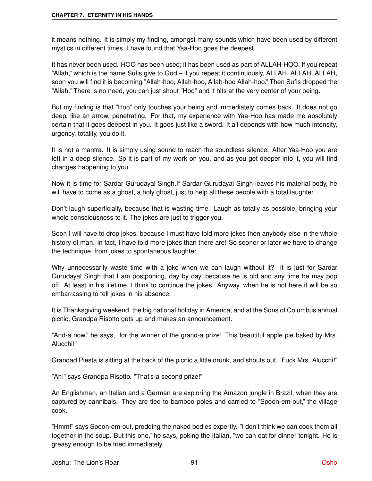it means nothing. It is simply my finding, amongst many sounds which have been used by different mystics in different times. I have found that Yaa-Hoo goes the deepest.

It has never been used. HOO has been used; it has been used as part of ALLAH-HOO. If you repeat "Allah," which is the name Sufis give to God – if you repeat it continuously, ALLAH, ALLAH, ALLAH, soon you will find it is becoming "Allah-hoo, Allah-hoo, Allah-hoo Allah-hoo." Then Sufis dropped the "Allah." There is no need, you can just shout "Hoo" and it hits at the very center of your being.

But my finding is that "Hoo" only touches your being and immediately comes back. It does not go deep, like an arrow, penetrating. For that, my experience with Yaa-Hoo has made me absolutely certain that it goes deepest in you. It goes just like a sword. It all depends with how much intensity, urgency, totality, you do it.

It is not a mantra. It is simply using sound to reach the soundless silence. After Yaa-Hoo you are left in a deep silence. So it is part of my work on you, and as you get deeper into it, you will find changes happening to you.

Now it is time for Sardar Gurudayal Singh.If Sardar Gurudayal Singh leaves his material body, he will have to come as a ghost, a holy ghost, just to help all these people with a total laughter.

Don't laugh superficially, because that is wasting time. Laugh as totally as possible, bringing your whole consciousness to it. The jokes are just to trigger you.

Soon I will have to drop jokes, because I must have told more jokes then anybody else in the whole history of man. In fact, I have told more jokes than there are! So sooner or later we have to change the technique, from jokes to spontaneous laughter.

Why unnecessarily waste time with a joke when we can laugh without it? It is just for Sardar Gurudayal Singh that I am postponing, day by day, because he is old and any time he may pop off. At least in his lifetime, I think to continue the jokes. Anyway, when he is not here it will be so embarrassing to tell jokes in his absence.

It is Thanksgiving weekend, the big national holiday in America, and at the Sons of Columbus annual picnic, Grandpa Risotto gets up and makes an announcement.

"And-a now," he says, "for the winner of the grand-a prize! This beautiful apple pie baked by Mrs. Alucchi!"

Grandad Piesta is sitting at the back of the picnic a little drunk, and shouts out, "Fuck Mrs. Alucchi!"

"Ah!" says Grandpa Risotto. "That's-a second prize!"

An Englishman, an Italian and a German are exploring the Amazon jungle in Brazil, when they are captured by cannibals. They are tied to bamboo poles and carried to "Spoon-em-out," the village cook.

"Hmm!" says Spoon-em-out, prodding the naked bodies expertly. "I don't think we can cook them all together in the soup. But this one," he says, poking the Italian, "we can eat for dinner tonight. He is greasy enough to be fried immediately.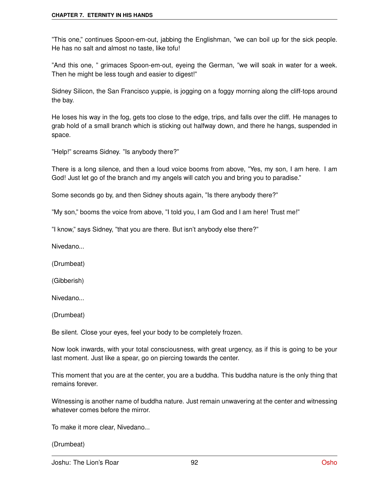#### **CHAPTER 7. ETERNITY IN HIS HANDS**

"This one," continues Spoon-em-out, jabbing the Englishman, "we can boil up for the sick people. He has no salt and almost no taste, like tofu!

"And this one, " grimaces Spoon-em-out, eyeing the German, "we will soak in water for a week. Then he might be less tough and easier to digest!"

Sidney Silicon, the San Francisco yuppie, is jogging on a foggy morning along the cliff-tops around the bay.

He loses his way in the fog, gets too close to the edge, trips, and falls over the cliff. He manages to grab hold of a small branch which is sticking out halfway down, and there he hangs, suspended in space.

"Help!" screams Sidney. "Is anybody there?"

There is a long silence, and then a loud voice booms from above, "Yes, my son, I am here. I am God! Just let go of the branch and my angels will catch you and bring you to paradise."

Some seconds go by, and then Sidney shouts again, "Is there anybody there?"

"My son," booms the voice from above, "I told you, I am God and I am here! Trust me!"

"I know," says Sidney, "that you are there. But isn't anybody else there?"

Nivedano...

(Drumbeat)

(Gibberish)

Nivedano...

(Drumbeat)

Be silent. Close your eyes, feel your body to be completely frozen.

Now look inwards, with your total consciousness, with great urgency, as if this is going to be your last moment. Just like a spear, go on piercing towards the center.

This moment that you are at the center, you are a buddha. This buddha nature is the only thing that remains forever.

Witnessing is another name of buddha nature. Just remain unwavering at the center and witnessing whatever comes before the mirror.

To make it more clear, Nivedano...

(Drumbeat)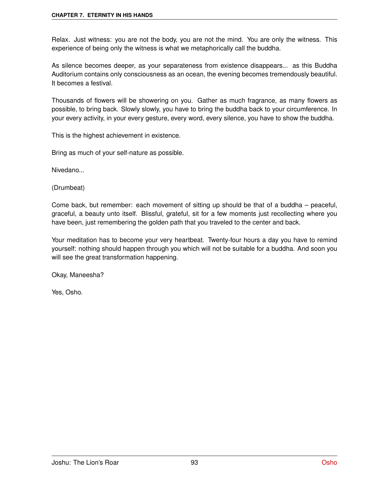#### **CHAPTER 7. ETERNITY IN HIS HANDS**

Relax. Just witness: you are not the body, you are not the mind. You are only the witness. This experience of being only the witness is what we metaphorically call the buddha.

As silence becomes deeper, as your separateness from existence disappears... as this Buddha Auditorium contains only consciousness as an ocean, the evening becomes tremendously beautiful. It becomes a festival.

Thousands of flowers will be showering on you. Gather as much fragrance, as many flowers as possible, to bring back. Slowly slowly, you have to bring the buddha back to your circumference. In your every activity, in your every gesture, every word, every silence, you have to show the buddha.

This is the highest achievement in existence.

Bring as much of your self-nature as possible.

Nivedano...

(Drumbeat)

Come back, but remember: each movement of sitting up should be that of a buddha – peaceful, graceful, a beauty unto itself. Blissful, grateful, sit for a few moments just recollecting where you have been, just remembering the golden path that you traveled to the center and back.

Your meditation has to become your very heartbeat. Twenty-four hours a day you have to remind yourself: nothing should happen through you which will not be suitable for a buddha. And soon you will see the great transformation happening.

Okay, Maneesha?

Yes, Osho.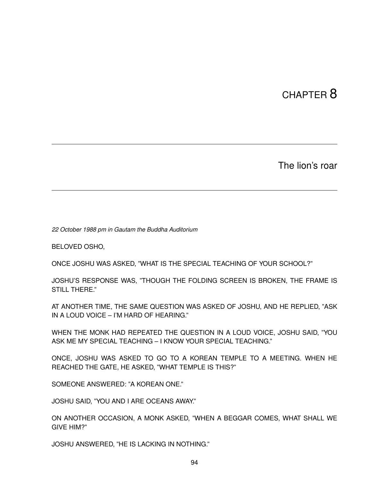# CHAPTER 8

The lion's roar

*22 October 1988 pm in Gautam the Buddha Auditorium*

BELOVED OSHO,

ONCE JOSHU WAS ASKED, "WHAT IS THE SPECIAL TEACHING OF YOUR SCHOOL?"

JOSHU'S RESPONSE WAS, "THOUGH THE FOLDING SCREEN IS BROKEN, THE FRAME IS STILL THERE."

AT ANOTHER TIME, THE SAME QUESTION WAS ASKED OF JOSHU, AND HE REPLIED, "ASK IN A LOUD VOICE – I'M HARD OF HEARING."

WHEN THE MONK HAD REPEATED THE QUESTION IN A LOUD VOICE, JOSHU SAID, "YOU ASK ME MY SPECIAL TEACHING – I KNOW YOUR SPECIAL TEACHING."

ONCE, JOSHU WAS ASKED TO GO TO A KOREAN TEMPLE TO A MEETING. WHEN HE REACHED THE GATE, HE ASKED, "WHAT TEMPLE IS THIS?"

SOMEONE ANSWERED: "A KOREAN ONE."

JOSHU SAID, "YOU AND I ARE OCEANS AWAY."

ON ANOTHER OCCASION, A MONK ASKED, "WHEN A BEGGAR COMES, WHAT SHALL WE GIVE HIM?"

JOSHU ANSWERED, "HE IS LACKING IN NOTHING."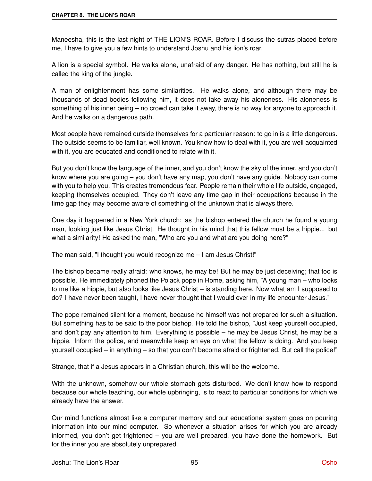Maneesha, this is the last night of THE LION'S ROAR. Before I discuss the sutras placed before me, I have to give you a few hints to understand Joshu and his lion's roar.

A lion is a special symbol. He walks alone, unafraid of any danger. He has nothing, but still he is called the king of the jungle.

A man of enlightenment has some similarities. He walks alone, and although there may be thousands of dead bodies following him, it does not take away his aloneness. His aloneness is something of his inner being – no crowd can take it away, there is no way for anyone to approach it. And he walks on a dangerous path.

Most people have remained outside themselves for a particular reason: to go in is a little dangerous. The outside seems to be familiar, well known. You know how to deal with it, you are well acquainted with it, you are educated and conditioned to relate with it.

But you don't know the language of the inner, and you don't know the sky of the inner, and you don't know where you are going – you don't have any map, you don't have any guide. Nobody can come with you to help you. This creates tremendous fear. People remain their whole life outside, engaged, keeping themselves occupied. They don't leave any time gap in their occupations because in the time gap they may become aware of something of the unknown that is always there.

One day it happened in a New York church: as the bishop entered the church he found a young man, looking just like Jesus Christ. He thought in his mind that this fellow must be a hippie... but what a similarity! He asked the man, "Who are you and what are you doing here?"

The man said, "I thought you would recognize me – I am Jesus Christ!"

The bishop became really afraid: who knows, he may be! But he may be just deceiving; that too is possible. He immediately phoned the Polack pope in Rome, asking him, "A young man – who looks to me like a hippie, but also looks like Jesus Christ – is standing here. Now what am I supposed to do? I have never been taught, I have never thought that I would ever in my life encounter Jesus."

The pope remained silent for a moment, because he himself was not prepared for such a situation. But something has to be said to the poor bishop. He told the bishop, "Just keep yourself occupied, and don't pay any attention to him. Everything is possible – he may be Jesus Christ, he may be a hippie. Inform the police, and meanwhile keep an eye on what the fellow is doing. And you keep yourself occupied – in anything – so that you don't become afraid or frightened. But call the police!"

Strange, that if a Jesus appears in a Christian church, this will be the welcome.

With the unknown, somehow our whole stomach gets disturbed. We don't know how to respond because our whole teaching, our whole upbringing, is to react to particular conditions for which we already have the answer.

Our mind functions almost like a computer memory and our educational system goes on pouring information into our mind computer. So whenever a situation arises for which you are already informed, you don't get frightened – you are well prepared, you have done the homework. But for the inner you are absolutely unprepared.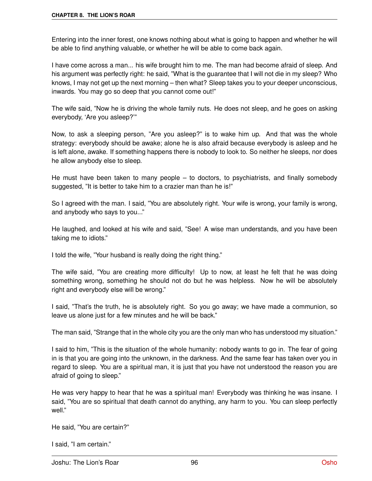Entering into the inner forest, one knows nothing about what is going to happen and whether he will be able to find anything valuable, or whether he will be able to come back again.

I have come across a man... his wife brought him to me. The man had become afraid of sleep. And his argument was perfectly right: he said, "What is the guarantee that I will not die in my sleep? Who knows, I may not get up the next morning – then what? Sleep takes you to your deeper unconscious, inwards. You may go so deep that you cannot come out!"

The wife said, "Now he is driving the whole family nuts. He does not sleep, and he goes on asking everybody, 'Are you asleep?'"

Now, to ask a sleeping person, "Are you asleep?" is to wake him up. And that was the whole strategy: everybody should be awake; alone he is also afraid because everybody is asleep and he is left alone, awake. If something happens there is nobody to look to. So neither he sleeps, nor does he allow anybody else to sleep.

He must have been taken to many people  $-$  to doctors, to psychiatrists, and finally somebody suggested, "It is better to take him to a crazier man than he is!"

So I agreed with the man. I said, "You are absolutely right. Your wife is wrong, your family is wrong, and anybody who says to you..."

He laughed, and looked at his wife and said, "See! A wise man understands, and you have been taking me to idiots."

I told the wife, "Your husband is really doing the right thing."

The wife said, "You are creating more difficulty! Up to now, at least he felt that he was doing something wrong, something he should not do but he was helpless. Now he will be absolutely right and everybody else will be wrong."

I said, "That's the truth, he is absolutely right. So you go away; we have made a communion, so leave us alone just for a few minutes and he will be back."

The man said, "Strange that in the whole city you are the only man who has understood my situation."

I said to him, "This is the situation of the whole humanity: nobody wants to go in. The fear of going in is that you are going into the unknown, in the darkness. And the same fear has taken over you in regard to sleep. You are a spiritual man, it is just that you have not understood the reason you are afraid of going to sleep."

He was very happy to hear that he was a spiritual man! Everybody was thinking he was insane. I said, "You are so spiritual that death cannot do anything, any harm to you. You can sleep perfectly well."

He said, "You are certain?"

I said, "I am certain."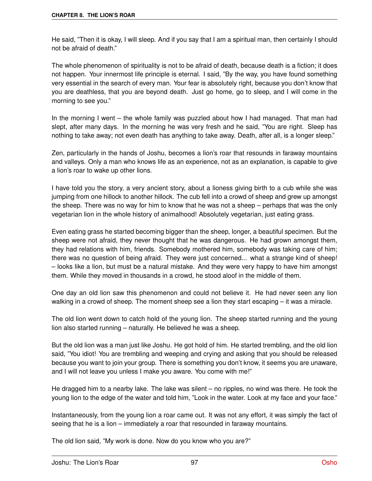He said, "Then it is okay, I will sleep. And if you say that I am a spiritual man, then certainly I should not be afraid of death."

The whole phenomenon of spirituality is not to be afraid of death, because death is a fiction; it does not happen. Your innermost life principle is eternal. I said, "By the way, you have found something very essential in the search of every man. Your fear is absolutely right, because you don't know that you are deathless, that you are beyond death. Just go home, go to sleep, and I will come in the morning to see you."

In the morning I went – the whole family was puzzled about how I had managed. That man had slept, after many days. In the morning he was very fresh and he said, "You are right. Sleep has nothing to take away; not even death has anything to take away. Death, after all, is a longer sleep."

Zen, particularly in the hands of Joshu, becomes a lion's roar that resounds in faraway mountains and valleys. Only a man who knows life as an experience, not as an explanation, is capable to give a lion's roar to wake up other lions.

I have told you the story, a very ancient story, about a lioness giving birth to a cub while she was jumping from one hillock to another hillock. The cub fell into a crowd of sheep and grew up amongst the sheep. There was no way for him to know that he was not a sheep – perhaps that was the only vegetarian lion in the whole history of animalhood! Absolutely vegetarian, just eating grass.

Even eating grass he started becoming bigger than the sheep, longer, a beautiful specimen. But the sheep were not afraid, they never thought that he was dangerous. He had grown amongst them, they had relations with him, friends. Somebody mothered him, somebody was taking care of him; there was no question of being afraid. They were just concerned... what a strange kind of sheep! – looks like a lion, but must be a natural mistake. And they were very happy to have him amongst them. While they moved in thousands in a crowd, he stood aloof in the middle of them.

One day an old lion saw this phenomenon and could not believe it. He had never seen any lion walking in a crowd of sheep. The moment sheep see a lion they start escaping – it was a miracle.

The old lion went down to catch hold of the young lion. The sheep started running and the young lion also started running – naturally. He believed he was a sheep.

But the old lion was a man just like Joshu. He got hold of him. He started trembling, and the old lion said, "You idiot! You are trembling and weeping and crying and asking that you should be released because you want to join your group. There is something you don't know, it seems you are unaware, and I will not leave you unless I make you aware. You come with me!"

He dragged him to a nearby lake. The lake was silent – no ripples, no wind was there. He took the young lion to the edge of the water and told him, "Look in the water. Look at my face and your face."

Instantaneously, from the young lion a roar came out. It was not any effort, it was simply the fact of seeing that he is a lion – immediately a roar that resounded in faraway mountains.

The old lion said, "My work is done. Now do you know who you are?"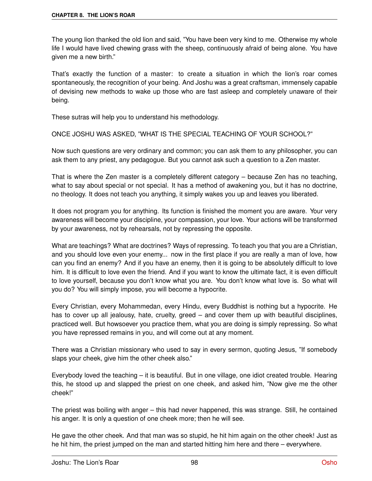The young lion thanked the old lion and said, "You have been very kind to me. Otherwise my whole life I would have lived chewing grass with the sheep, continuously afraid of being alone. You have given me a new birth."

That's exactly the function of a master: to create a situation in which the lion's roar comes spontaneously, the recognition of your being. And Joshu was a great craftsman, immensely capable of devising new methods to wake up those who are fast asleep and completely unaware of their being.

These sutras will help you to understand his methodology.

ONCE JOSHU WAS ASKED, "WHAT IS THE SPECIAL TEACHING OF YOUR SCHOOL?"

Now such questions are very ordinary and common; you can ask them to any philosopher, you can ask them to any priest, any pedagogue. But you cannot ask such a question to a Zen master.

That is where the Zen master is a completely different category – because Zen has no teaching, what to say about special or not special. It has a method of awakening you, but it has no doctrine, no theology. It does not teach you anything, it simply wakes you up and leaves you liberated.

It does not program you for anything. Its function is finished the moment you are aware. Your very awareness will become your discipline, your compassion, your love. Your actions will be transformed by your awareness, not by rehearsals, not by repressing the opposite.

What are teachings? What are doctrines? Ways of repressing. To teach you that you are a Christian, and you should love even your enemy... now in the first place if you are really a man of love, how can you find an enemy? And if you have an enemy, then it is going to be absolutely difficult to love him. It is difficult to love even the friend. And if you want to know the ultimate fact, it is even difficult to love yourself, because you don't know what you are. You don't know what love is. So what will you do? You will simply impose, you will become a hypocrite.

Every Christian, every Mohammedan, every Hindu, every Buddhist is nothing but a hypocrite. He has to cover up all jealousy, hate, cruelty, greed – and cover them up with beautiful disciplines, practiced well. But howsoever you practice them, what you are doing is simply repressing. So what you have repressed remains in you, and will come out at any moment.

There was a Christian missionary who used to say in every sermon, quoting Jesus, "If somebody slaps your cheek, give him the other cheek also."

Everybody loved the teaching – it is beautiful. But in one village, one idiot created trouble. Hearing this, he stood up and slapped the priest on one cheek, and asked him, "Now give me the other cheek!"

The priest was boiling with anger – this had never happened, this was strange. Still, he contained his anger. It is only a question of one cheek more; then he will see.

He gave the other cheek. And that man was so stupid, he hit him again on the other cheek! Just as he hit him, the priest jumped on the man and started hitting him here and there – everywhere.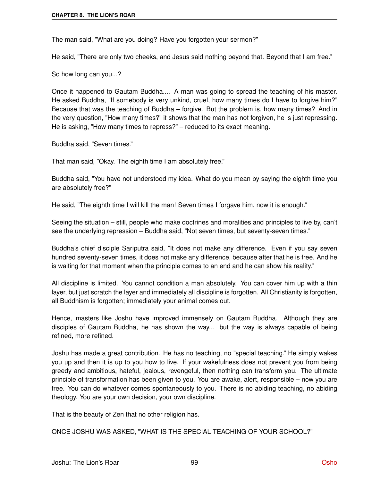The man said, "What are you doing? Have you forgotten your sermon?"

He said, "There are only two cheeks, and Jesus said nothing beyond that. Beyond that I am free."

So how long can you...?

Once it happened to Gautam Buddha.... A man was going to spread the teaching of his master. He asked Buddha, "If somebody is very unkind, cruel, how many times do I have to forgive him?" Because that was the teaching of Buddha – forgive. But the problem is, how many times? And in the very question, "How many times?" it shows that the man has not forgiven, he is just repressing. He is asking, "How many times to repress?" – reduced to its exact meaning.

Buddha said, "Seven times."

That man said, "Okay. The eighth time I am absolutely free."

Buddha said, "You have not understood my idea. What do you mean by saying the eighth time you are absolutely free?"

He said, "The eighth time I will kill the man! Seven times I forgave him, now it is enough."

Seeing the situation – still, people who make doctrines and moralities and principles to live by, can't see the underlying repression – Buddha said, "Not seven times, but seventy-seven times."

Buddha's chief disciple Sariputra said, "It does not make any difference. Even if you say seven hundred seventy-seven times, it does not make any difference, because after that he is free. And he is waiting for that moment when the principle comes to an end and he can show his reality."

All discipline is limited. You cannot condition a man absolutely. You can cover him up with a thin layer, but just scratch the layer and immediately all discipline is forgotten. All Christianity is forgotten, all Buddhism is forgotten; immediately your animal comes out.

Hence, masters like Joshu have improved immensely on Gautam Buddha. Although they are disciples of Gautam Buddha, he has shown the way... but the way is always capable of being refined, more refined.

Joshu has made a great contribution. He has no teaching, no "special teaching." He simply wakes you up and then it is up to you how to live. If your wakefulness does not prevent you from being greedy and ambitious, hateful, jealous, revengeful, then nothing can transform you. The ultimate principle of transformation has been given to you. You are awake, alert, responsible – now you are free. You can do whatever comes spontaneously to you. There is no abiding teaching, no abiding theology. You are your own decision, your own discipline.

That is the beauty of Zen that no other religion has.

ONCE JOSHU WAS ASKED, "WHAT IS THE SPECIAL TEACHING OF YOUR SCHOOL?"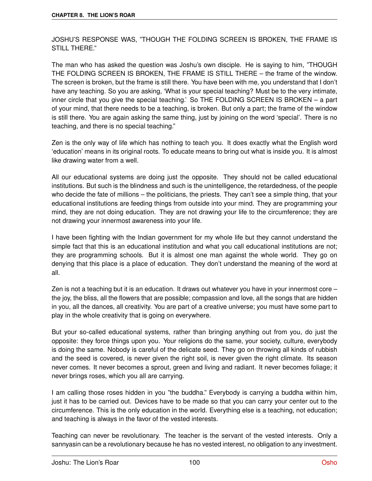JOSHU'S RESPONSE WAS, "THOUGH THE FOLDING SCREEN IS BROKEN, THE FRAME IS STILL THERE."

The man who has asked the question was Joshu's own disciple. He is saying to him, "THOUGH THE FOLDING SCREEN IS BROKEN, THE FRAME IS STILL THERE – the frame of the window. The screen is broken, but the frame is still there. You have been with me, you understand that I don't have any teaching. So you are asking, 'What is your special teaching? Must be to the very intimate, inner circle that you give the special teaching.' So THE FOLDING SCREEN IS BROKEN – a part of your mind, that there needs to be a teaching, is broken. But only a part; the frame of the window is still there. You are again asking the same thing, just by joining on the word 'special'. There is no teaching, and there is no special teaching."

Zen is the only way of life which has nothing to teach you. It does exactly what the English word 'education' means in its original roots. To educate means to bring out what is inside you. It is almost like drawing water from a well.

All our educational systems are doing just the opposite. They should not be called educational institutions. But such is the blindness and such is the unintelligence, the retardedness, of the people who decide the fate of millions – the politicians, the priests. They can't see a simple thing, that your educational institutions are feeding things from outside into your mind. They are programming your mind, they are not doing education. They are not drawing your life to the circumference; they are not drawing your innermost awareness into your life.

I have been fighting with the Indian government for my whole life but they cannot understand the simple fact that this is an educational institution and what you call educational institutions are not; they are programming schools. But it is almost one man against the whole world. They go on denying that this place is a place of education. They don't understand the meaning of the word at all.

Zen is not a teaching but it is an education. It draws out whatever you have in your innermost core – the joy, the bliss, all the flowers that are possible; compassion and love, all the songs that are hidden in you, all the dances, all creativity. You are part of a creative universe; you must have some part to play in the whole creativity that is going on everywhere.

But your so-called educational systems, rather than bringing anything out from you, do just the opposite: they force things upon you. Your religions do the same, your society, culture, everybody is doing the same. Nobody is careful of the delicate seed. They go on throwing all kinds of rubbish and the seed is covered, is never given the right soil, is never given the right climate. Its season never comes. It never becomes a sprout, green and living and radiant. It never becomes foliage; it never brings roses, which you all are carrying.

I am calling those roses hidden in you "the buddha." Everybody is carrying a buddha within him, just it has to be carried out. Devices have to be made so that you can carry your center out to the circumference. This is the only education in the world. Everything else is a teaching, not education; and teaching is always in the favor of the vested interests.

Teaching can never be revolutionary. The teacher is the servant of the vested interests. Only a sannyasin can be a revolutionary because he has no vested interest, no obligation to any investment.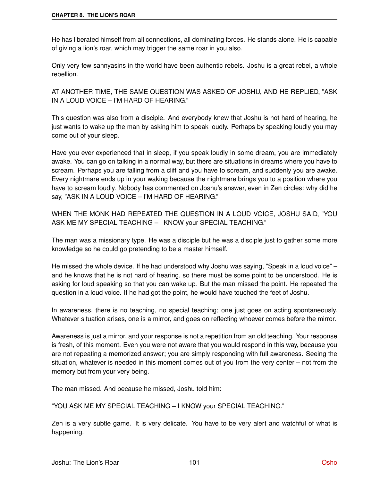He has liberated himself from all connections, all dominating forces. He stands alone. He is capable of giving a lion's roar, which may trigger the same roar in you also.

Only very few sannyasins in the world have been authentic rebels. Joshu is a great rebel, a whole rebellion.

AT ANOTHER TIME, THE SAME QUESTION WAS ASKED OF JOSHU, AND HE REPLIED, "ASK IN A LOUD VOICE – I'M HARD OF HEARING."

This question was also from a disciple. And everybody knew that Joshu is not hard of hearing, he just wants to wake up the man by asking him to speak loudly. Perhaps by speaking loudly you may come out of your sleep.

Have you ever experienced that in sleep, if you speak loudly in some dream, you are immediately awake. You can go on talking in a normal way, but there are situations in dreams where you have to scream. Perhaps you are falling from a cliff and you have to scream, and suddenly you are awake. Every nightmare ends up in your waking because the nightmare brings you to a position where you have to scream loudly. Nobody has commented on Joshu's answer, even in Zen circles: why did he say, "ASK IN A LOUD VOICE – I'M HARD OF HEARING."

WHEN THE MONK HAD REPEATED THE QUESTION IN A LOUD VOICE, JOSHU SAID, "YOU ASK ME MY SPECIAL TEACHING – I KNOW your SPECIAL TEACHING."

The man was a missionary type. He was a disciple but he was a disciple just to gather some more knowledge so he could go pretending to be a master himself.

He missed the whole device. If he had understood why Joshu was saying, "Speak in a loud voice" – and he knows that he is not hard of hearing, so there must be some point to be understood. He is asking for loud speaking so that you can wake up. But the man missed the point. He repeated the question in a loud voice. If he had got the point, he would have touched the feet of Joshu.

In awareness, there is no teaching, no special teaching; one just goes on acting spontaneously. Whatever situation arises, one is a mirror, and goes on reflecting whoever comes before the mirror.

Awareness is just a mirror, and your response is not a repetition from an old teaching. Your response is fresh, of this moment. Even you were not aware that you would respond in this way, because you are not repeating a memorized answer; you are simply responding with full awareness. Seeing the situation, whatever is needed in this moment comes out of you from the very center – not from the memory but from your very being.

The man missed. And because he missed, Joshu told him:

"YOU ASK ME MY SPECIAL TEACHING – I KNOW your SPECIAL TEACHING."

Zen is a very subtle game. It is very delicate. You have to be very alert and watchful of what is happening.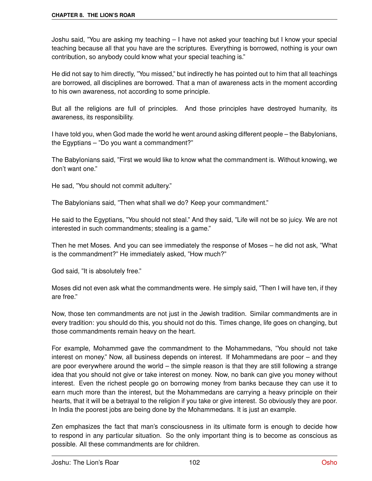Joshu said, "You are asking my teaching – I have not asked your teaching but I know your special teaching because all that you have are the scriptures. Everything is borrowed, nothing is your own contribution, so anybody could know what your special teaching is."

He did not say to him directly, "You missed," but indirectly he has pointed out to him that all teachings are borrowed, all disciplines are borrowed. That a man of awareness acts in the moment according to his own awareness, not according to some principle.

But all the religions are full of principles. And those principles have destroyed humanity, its awareness, its responsibility.

I have told you, when God made the world he went around asking different people – the Babylonians, the Egyptians – "Do you want a commandment?"

The Babylonians said, "First we would like to know what the commandment is. Without knowing, we don't want one."

He sad, "You should not commit adultery."

The Babylonians said, "Then what shall we do? Keep your commandment."

He said to the Egyptians, "You should not steal." And they said, "Life will not be so juicy. We are not interested in such commandments; stealing is a game."

Then he met Moses. And you can see immediately the response of Moses – he did not ask, "What is the commandment?" He immediately asked, "How much?"

God said, "It is absolutely free."

Moses did not even ask what the commandments were. He simply said, "Then I will have ten, if they are free."

Now, those ten commandments are not just in the Jewish tradition. Similar commandments are in every tradition: you should do this, you should not do this. Times change, life goes on changing, but those commandments remain heavy on the heart.

For example, Mohammed gave the commandment to the Mohammedans, "You should not take interest on money." Now, all business depends on interest. If Mohammedans are poor – and they are poor everywhere around the world – the simple reason is that they are still following a strange idea that you should not give or take interest on money. Now, no bank can give you money without interest. Even the richest people go on borrowing money from banks because they can use it to earn much more than the interest, but the Mohammedans are carrying a heavy principle on their hearts, that it will be a betrayal to the religion if you take or give interest. So obviously they are poor. In India the poorest jobs are being done by the Mohammedans. It is just an example.

Zen emphasizes the fact that man's consciousness in its ultimate form is enough to decide how to respond in any particular situation. So the only important thing is to become as conscious as possible. All these commandments are for children.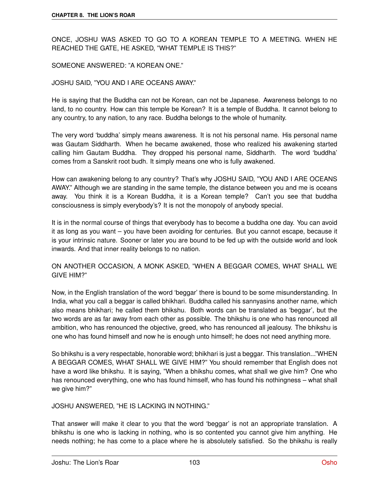ONCE, JOSHU WAS ASKED TO GO TO A KOREAN TEMPLE TO A MEETING. WHEN HE REACHED THE GATE, HE ASKED, "WHAT TEMPLE IS THIS?"

### SOMEONE ANSWERED: "A KOREAN ONE."

### JOSHU SAID, "YOU AND I ARE OCEANS AWAY."

He is saying that the Buddha can not be Korean, can not be Japanese. Awareness belongs to no land, to no country. How can this temple be Korean? It is a temple of Buddha. It cannot belong to any country, to any nation, to any race. Buddha belongs to the whole of humanity.

The very word 'buddha' simply means awareness. It is not his personal name. His personal name was Gautam Siddharth. When he became awakened, those who realized his awakening started calling him Gautam Buddha. They dropped his personal name, Siddharth. The word 'buddha' comes from a Sanskrit root budh. It simply means one who is fully awakened.

How can awakening belong to any country? That's why JOSHU SAID, "YOU AND I ARE OCEANS AWAY." Although we are standing in the same temple, the distance between you and me is oceans away. You think it is a Korean Buddha, it is a Korean temple? Can't you see that buddha consciousness is simply everybody's? It is not the monopoly of anybody special.

It is in the normal course of things that everybody has to become a buddha one day. You can avoid it as long as you want – you have been avoiding for centuries. But you cannot escape, because it is your intrinsic nature. Sooner or later you are bound to be fed up with the outside world and look inwards. And that inner reality belongs to no nation.

ON ANOTHER OCCASION, A MONK ASKED, "WHEN A BEGGAR COMES, WHAT SHALL WE GIVE HIM?"

Now, in the English translation of the word 'beggar' there is bound to be some misunderstanding. In India, what you call a beggar is called bhikhari. Buddha called his sannyasins another name, which also means bhikhari; he called them bhikshu. Both words can be translated as 'beggar', but the two words are as far away from each other as possible. The bhikshu is one who has renounced all ambition, who has renounced the objective, greed, who has renounced all jealousy. The bhikshu is one who has found himself and now he is enough unto himself; he does not need anything more.

So bhikshu is a very respectable, honorable word; bhikhari is just a beggar. This translation..."WHEN A BEGGAR COMES, WHAT SHALL WE GIVE HIM?" You should remember that English does not have a word like bhikshu. It is saying, "When a bhikshu comes, what shall we give him? One who has renounced everything, one who has found himself, who has found his nothingness – what shall we give him?"

#### JOSHU ANSWERED, "HE IS LACKING IN NOTHING."

That answer will make it clear to you that the word 'beggar' is not an appropriate translation. A bhikshu is one who is lacking in nothing, who is so contented you cannot give him anything. He needs nothing; he has come to a place where he is absolutely satisfied. So the bhikshu is really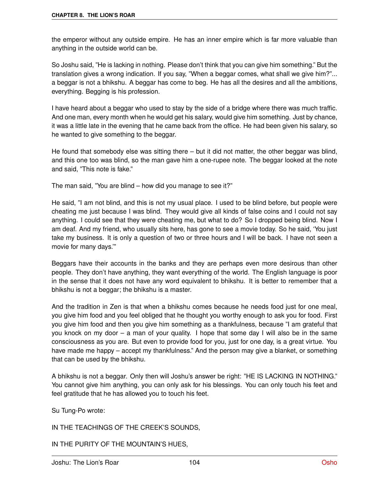the emperor without any outside empire. He has an inner empire which is far more valuable than anything in the outside world can be.

So Joshu said, "He is lacking in nothing. Please don't think that you can give him something." But the translation gives a wrong indication. If you say, "When a beggar comes, what shall we give him?"... a beggar is not a bhikshu. A beggar has come to beg. He has all the desires and all the ambitions, everything. Begging is his profession.

I have heard about a beggar who used to stay by the side of a bridge where there was much traffic. And one man, every month when he would get his salary, would give him something. Just by chance, it was a little late in the evening that he came back from the office. He had been given his salary, so he wanted to give something to the beggar.

He found that somebody else was sitting there – but it did not matter, the other beggar was blind, and this one too was blind, so the man gave him a one-rupee note. The beggar looked at the note and said, "This note is fake."

The man said, "You are blind – how did you manage to see it?"

He said, "I am not blind, and this is not my usual place. I used to be blind before, but people were cheating me just because I was blind. They would give all kinds of false coins and I could not say anything. I could see that they were cheating me, but what to do? So I dropped being blind. Now I am deaf. And my friend, who usually sits here, has gone to see a movie today. So he said, 'You just take my business. It is only a question of two or three hours and I will be back. I have not seen a movie for many days.'"

Beggars have their accounts in the banks and they are perhaps even more desirous than other people. They don't have anything, they want everything of the world. The English language is poor in the sense that it does not have any word equivalent to bhikshu. It is better to remember that a bhikshu is not a beggar; the bhikshu is a master.

And the tradition in Zen is that when a bhikshu comes because he needs food just for one meal, you give him food and you feel obliged that he thought you worthy enough to ask you for food. First you give him food and then you give him something as a thankfulness, because "I am grateful that you knock on my door – a man of your quality. I hope that some day I will also be in the same consciousness as you are. But even to provide food for you, just for one day, is a great virtue. You have made me happy – accept my thankfulness." And the person may give a blanket, or something that can be used by the bhikshu.

A bhikshu is not a beggar. Only then will Joshu's answer be right: "HE IS LACKING IN NOTHING." You cannot give him anything, you can only ask for his blessings. You can only touch his feet and feel gratitude that he has allowed you to touch his feet.

Su Tung-Po wrote:

IN THE TEACHINGS OF THE CREEK'S SOUNDS,

IN THE PURITY OF THE MOUNTAIN'S HUES,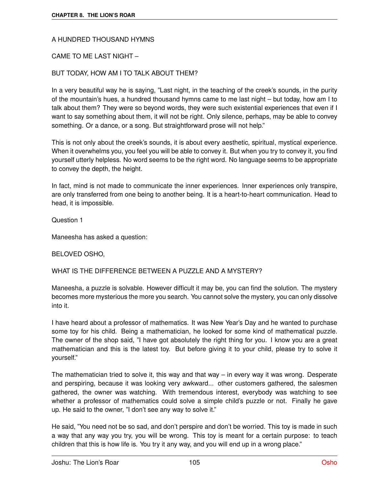## A HUNDRED THOUSAND HYMNS

## CAME TO ME LAST NIGHT –

## BUT TODAY, HOW AM I TO TALK ABOUT THEM?

In a very beautiful way he is saying, "Last night, in the teaching of the creek's sounds, in the purity of the mountain's hues, a hundred thousand hymns came to me last night – but today, how am I to talk about them? They were so beyond words, they were such existential experiences that even if I want to say something about them, it will not be right. Only silence, perhaps, may be able to convey something. Or a dance, or a song. But straightforward prose will not help."

This is not only about the creek's sounds, it is about every aesthetic, spiritual, mystical experience. When it overwhelms you, you feel you will be able to convey it. But when you try to convey it, you find yourself utterly helpless. No word seems to be the right word. No language seems to be appropriate to convey the depth, the height.

In fact, mind is not made to communicate the inner experiences. Inner experiences only transpire, are only transferred from one being to another being. It is a heart-to-heart communication. Head to head, it is impossible.

Question 1

Maneesha has asked a question:

## BELOVED OSHO,

## WHAT IS THE DIFFERENCE BETWEEN A PUZZLE AND A MYSTERY?

Maneesha, a puzzle is solvable. However difficult it may be, you can find the solution. The mystery becomes more mysterious the more you search. You cannot solve the mystery, you can only dissolve into it.

I have heard about a professor of mathematics. It was New Year's Day and he wanted to purchase some toy for his child. Being a mathematician, he looked for some kind of mathematical puzzle. The owner of the shop said, "I have got absolutely the right thing for you. I know you are a great mathematician and this is the latest toy. But before giving it to your child, please try to solve it yourself."

The mathematician tried to solve it, this way and that way – in every way it was wrong. Desperate and perspiring, because it was looking very awkward... other customers gathered, the salesmen gathered, the owner was watching. With tremendous interest, everybody was watching to see whether a professor of mathematics could solve a simple child's puzzle or not. Finally he gave up. He said to the owner, "I don't see any way to solve it."

He said, "You need not be so sad, and don't perspire and don't be worried. This toy is made in such a way that any way you try, you will be wrong. This toy is meant for a certain purpose: to teach children that this is how life is. You try it any way, and you will end up in a wrong place."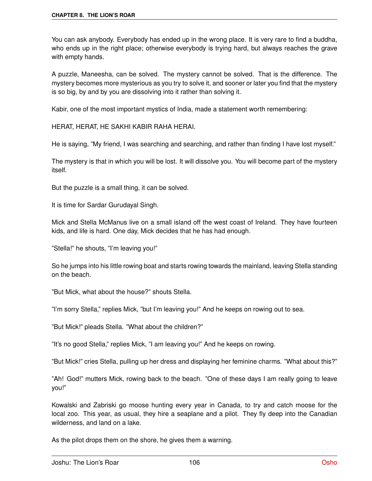You can ask anybody. Everybody has ended up in the wrong place. It is very rare to find a buddha, who ends up in the right place; otherwise everybody is trying hard, but always reaches the grave with empty hands.

A puzzle, Maneesha, can be solved. The mystery cannot be solved. That is the difference. The mystery becomes more mysterious as you try to solve it, and sooner or later you find that the mystery is so big, by and by you are dissolving into it rather than solving it.

Kabir, one of the most important mystics of India, made a statement worth remembering:

HERAT, HERAT, HE SAKHI KABIR RAHA HERAI.

He is saying, "My friend, I was searching and searching, and rather than finding I have lost myself."

The mystery is that in which you will be lost. It will dissolve you. You will become part of the mystery itself.

But the puzzle is a small thing, it can be solved.

It is time for Sardar Gurudayal Singh.

Mick and Stella McManus live on a small island off the west coast of Ireland. They have fourteen kids, and life is hard. One day, Mick decides that he has had enough.

"Stella!" he shouts, "I'm leaving you!"

So he jumps into his little rowing boat and starts rowing towards the mainland, leaving Stella standing on the beach.

"But Mick, what about the house?" shouts Stella.

"I'm sorry Stella," replies Mick, "but I'm leaving you!" And he keeps on rowing out to sea.

"But Mick!" pleads Stella. "What about the children?"

"It's no good Stella," replies Mick, "I am leaving you!" And he keeps on rowing.

"But Mick!" cries Stella, pulling up her dress and displaying her feminine charms. "What about this?"

"Ah! God!" mutters Mick, rowing back to the beach. "One of these days I am really going to leave you!"

Kowalski and Zabriski go moose hunting every year in Canada, to try and catch moose for the local zoo. This year, as usual, they hire a seaplane and a pilot. They fly deep into the Canadian wilderness, and land on a lake.

As the pilot drops them on the shore, he gives them a warning.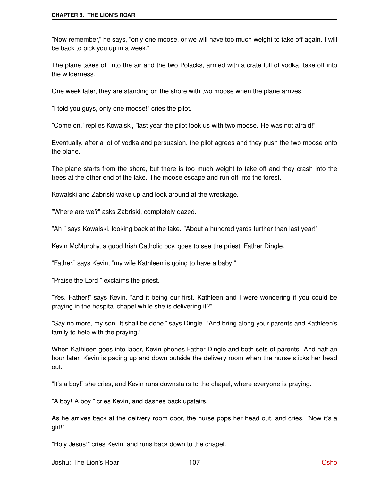"Now remember," he says, "only one moose, or we will have too much weight to take off again. I will be back to pick you up in a week."

The plane takes off into the air and the two Polacks, armed with a crate full of vodka, take off into the wilderness.

One week later, they are standing on the shore with two moose when the plane arrives.

"I told you guys, only one moose!" cries the pilot.

"Come on," replies Kowalski, "last year the pilot took us with two moose. He was not afraid!"

Eventually, after a lot of vodka and persuasion, the pilot agrees and they push the two moose onto the plane.

The plane starts from the shore, but there is too much weight to take off and they crash into the trees at the other end of the lake. The moose escape and run off into the forest.

Kowalski and Zabriski wake up and look around at the wreckage.

"Where are we?" asks Zabriski, completely dazed.

"Ah!" says Kowalski, looking back at the lake. "About a hundred yards further than last year!"

Kevin McMurphy, a good Irish Catholic boy, goes to see the priest, Father Dingle.

"Father," says Kevin, "my wife Kathleen is going to have a baby!"

"Praise the Lord!" exclaims the priest.

"Yes, Father!" says Kevin, "and it being our first, Kathleen and I were wondering if you could be praying in the hospital chapel while she is delivering it?"

"Say no more, my son. It shall be done," says Dingle. "And bring along your parents and Kathleen's family to help with the praying."

When Kathleen goes into labor, Kevin phones Father Dingle and both sets of parents. And half an hour later, Kevin is pacing up and down outside the delivery room when the nurse sticks her head out.

"It's a boy!" she cries, and Kevin runs downstairs to the chapel, where everyone is praying.

"A boy! A boy!" cries Kevin, and dashes back upstairs.

As he arrives back at the delivery room door, the nurse pops her head out, and cries, "Now it's a girl!"

"Holy Jesus!" cries Kevin, and runs back down to the chapel.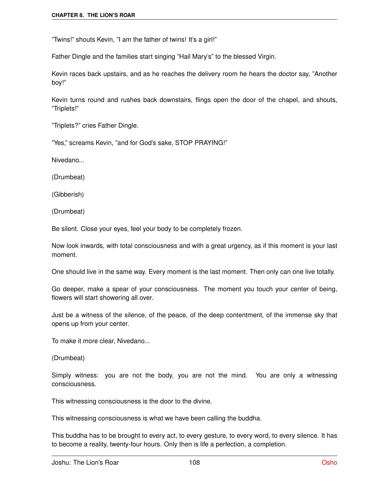"Twins!" shouts Kevin, "I am the father of twins! It's a girl!"

Father Dingle and the families start singing "Hail Mary's" to the blessed Virgin.

Kevin races back upstairs, and as he reaches the delivery room he hears the doctor say, "Another boy!"

Kevin turns round and rushes back downstairs, flings open the door of the chapel, and shouts, "Triplets!"

"Triplets?" cries Father Dingle.

"Yes," screams Kevin, "and for God's sake, STOP PRAYING!"

Nivedano...

(Drumbeat)

(Gibberish)

(Drumbeat)

Be silent. Close your eyes, feel your body to be completely frozen.

Now look inwards, with total consciousness and with a great urgency, as if this moment is your last moment.

One should live in the same way. Every moment is the last moment. Then only can one live totally.

Go deeper, make a spear of your consciousness. The moment you touch your center of being, flowers will start showering all over.

Just be a witness of the silence, of the peace, of the deep contentment, of the immense sky that opens up from your center.

To make it more clear, Nivedano...

(Drumbeat)

Simply witness: you are not the body, you are not the mind. You are only a witnessing consciousness.

This witnessing consciousness is the door to the divine.

This witnessing consciousness is what we have been calling the buddha.

This buddha has to be brought to every act, to every gesture, to every word, to every silence. It has to become a reality, twenty-four hours. Only then is life a perfection, a completion.